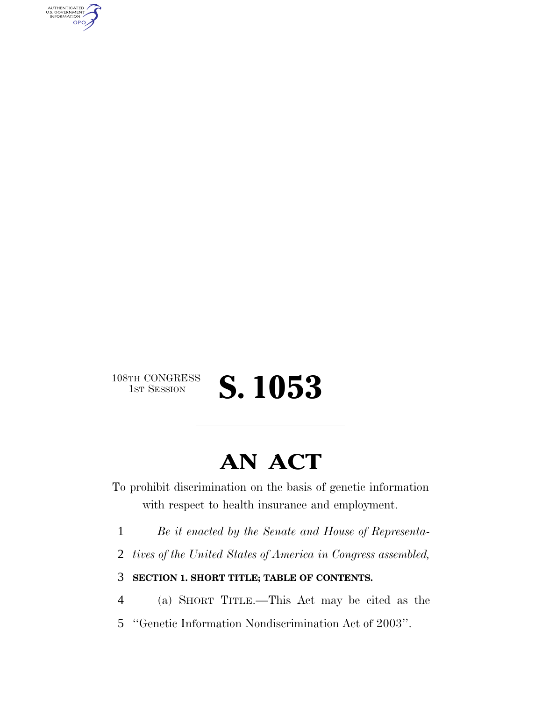AUTHENTICATED<br>U.S. GOVERNMENT<br>INFORMATION **GPO** 

### $\begin{matrix} \text{108TH CONGRESS} \\ \text{1ST SESION} \end{matrix}$ S. 1053

# **AN ACT**

To prohibit discrimination on the basis of genetic information with respect to health insurance and employment.

- 1 *Be it enacted by the Senate and House of Representa-*
- 2 *tives of the United States of America in Congress assembled,*
- 3 **SECTION 1. SHORT TITLE; TABLE OF CONTENTS.**
- 4 (a) SHORT TITLE.—This Act may be cited as the
- 5 ''Genetic Information Nondiscrimination Act of 2003''.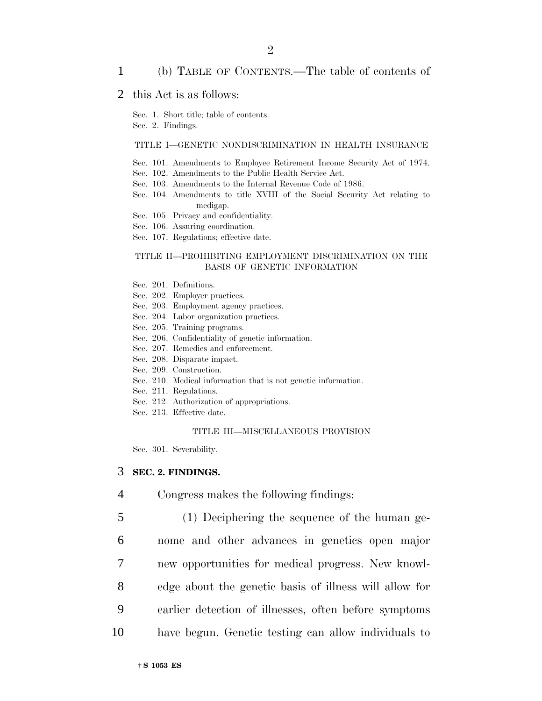#### 1 (b) TABLE OF CONTENTS.—The table of contents of

#### 2 this Act is as follows:

Sec. 1. Short title; table of contents.

Sec. 2. Findings.

#### TITLE I—GENETIC NONDISCRIMINATION IN HEALTH INSURANCE

- Sec. 101. Amendments to Employee Retirement Income Security Act of 1974.
- Sec. 102. Amendments to the Public Health Service Act.
- Sec. 103. Amendments to the Internal Revenue Code of 1986.
- Sec. 104. Amendments to title XVIII of the Social Security Act relating to medigap.
- Sec. 105. Privacy and confidentiality.
- Sec. 106. Assuring coordination.
- Sec. 107. Regulations; effective date.

#### TITLE II—PROHIBITING EMPLOYMENT DISCRIMINATION ON THE BASIS OF GENETIC INFORMATION

- Sec. 201. Definitions.
- Sec. 202. Employer practices.
- Sec. 203. Employment agency practices.
- Sec. 204. Labor organization practices.
- Sec. 205. Training programs.
- Sec. 206. Confidentiality of genetic information.
- Sec. 207. Remedies and enforcement.
- Sec. 208. Disparate impact.
- Sec. 209. Construction.
- Sec. 210. Medical information that is not genetic information.
- Sec. 211. Regulations.
- Sec. 212. Authorization of appropriations.
- Sec. 213. Effective date.

#### TITLE III—MISCELLANEOUS PROVISION

Sec. 301. Severability.

#### 3 **SEC. 2. FINDINGS.**

- 4 Congress makes the following findings:
- 5 (1) Deciphering the sequence of the human ge-6 nome and other advances in genetics open major 7 new opportunities for medical progress. New knowl-8 edge about the genetic basis of illness will allow for 9 earlier detection of illnesses, often before symptoms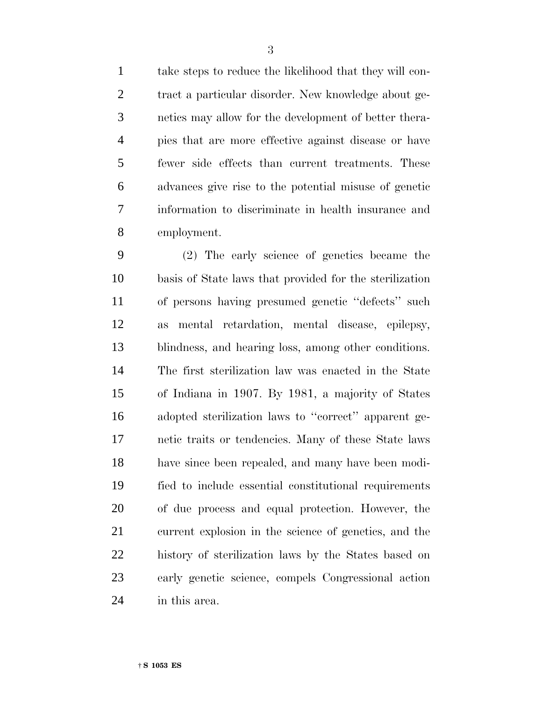take steps to reduce the likelihood that they will con- tract a particular disorder. New knowledge about ge- netics may allow for the development of better thera- pies that are more effective against disease or have fewer side effects than current treatments. These advances give rise to the potential misuse of genetic information to discriminate in health insurance and employment.

 (2) The early science of genetics became the basis of State laws that provided for the sterilization of persons having presumed genetic ''defects'' such as mental retardation, mental disease, epilepsy, blindness, and hearing loss, among other conditions. The first sterilization law was enacted in the State of Indiana in 1907. By 1981, a majority of States adopted sterilization laws to ''correct'' apparent ge- netic traits or tendencies. Many of these State laws have since been repealed, and many have been modi- fied to include essential constitutional requirements of due process and equal protection. However, the current explosion in the science of genetics, and the history of sterilization laws by the States based on early genetic science, compels Congressional action in this area.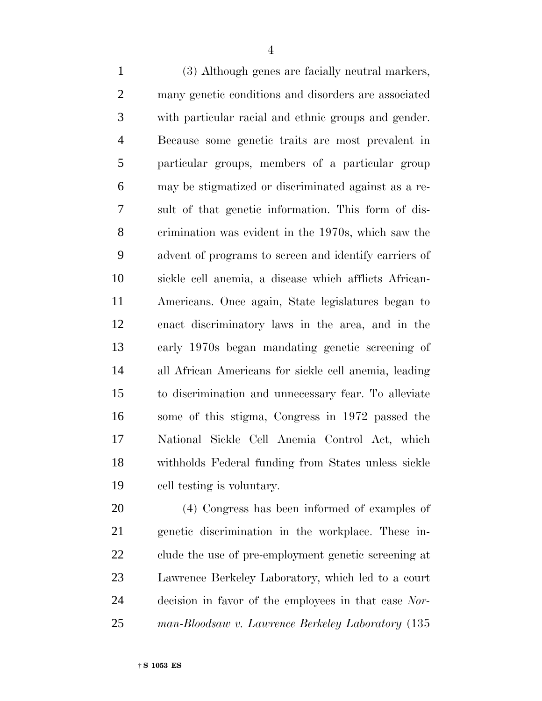(3) Although genes are facially neutral markers, many genetic conditions and disorders are associated with particular racial and ethnic groups and gender. Because some genetic traits are most prevalent in particular groups, members of a particular group may be stigmatized or discriminated against as a re- sult of that genetic information. This form of dis- crimination was evident in the 1970s, which saw the advent of programs to screen and identify carriers of sickle cell anemia, a disease which afflicts African- Americans. Once again, State legislatures began to enact discriminatory laws in the area, and in the early 1970s began mandating genetic screening of all African Americans for sickle cell anemia, leading to discrimination and unnecessary fear. To alleviate some of this stigma, Congress in 1972 passed the National Sickle Cell Anemia Control Act, which withholds Federal funding from States unless sickle cell testing is voluntary.

 (4) Congress has been informed of examples of genetic discrimination in the workplace. These in- clude the use of pre-employment genetic screening at Lawrence Berkeley Laboratory, which led to a court decision in favor of the employees in that case *Nor-man-Bloodsaw v. Lawrence Berkeley Laboratory* (135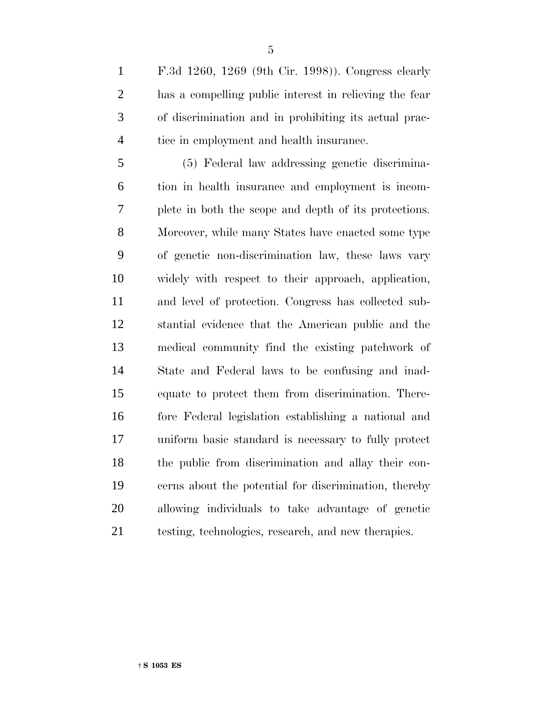F.3d 1260, 1269 (9th Cir. 1998)). Congress clearly has a compelling public interest in relieving the fear of discrimination and in prohibiting its actual prac-tice in employment and health insurance.

 (5) Federal law addressing genetic discrimina- tion in health insurance and employment is incom- plete in both the scope and depth of its protections. Moreover, while many States have enacted some type of genetic non-discrimination law, these laws vary widely with respect to their approach, application, and level of protection. Congress has collected sub- stantial evidence that the American public and the medical community find the existing patchwork of State and Federal laws to be confusing and inad- equate to protect them from discrimination. There- fore Federal legislation establishing a national and uniform basic standard is necessary to fully protect the public from discrimination and allay their con- cerns about the potential for discrimination, thereby allowing individuals to take advantage of genetic testing, technologies, research, and new therapies.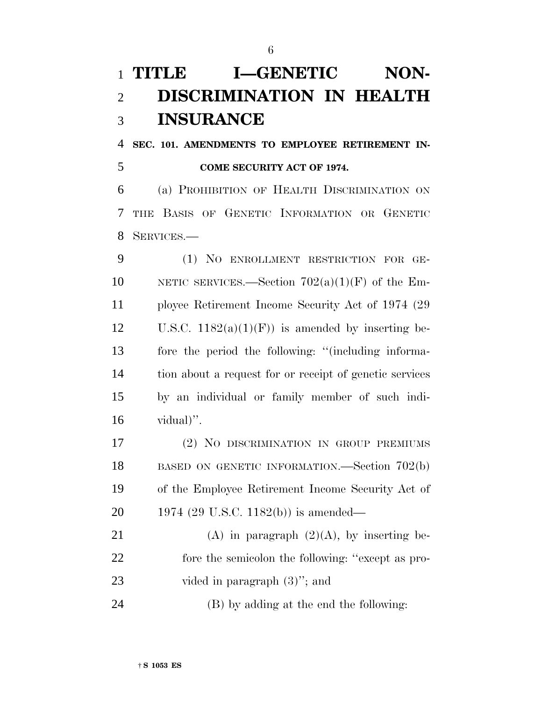## **TITLE I-GENETIC NON- DISCRIMINATION IN HEALTH INSURANCE**

 **SEC. 101. AMENDMENTS TO EMPLOYEE RETIREMENT IN-COME SECURITY ACT OF 1974.**

 (a) PROHIBITION OF HEALTH DISCRIMINATION ON THE BASIS OF GENETIC INFORMATION OR GENETIC SERVICES.—

 (1) NO ENROLLMENT RESTRICTION FOR GE-10 NETIC SERVICES.—Section  $702(a)(1)(F)$  of the Em- ployee Retirement Income Security Act of 1974 (29 12 U.S.C.  $1182(a)(1)(F)$  is amended by inserting be- fore the period the following: ''(including informa- tion about a request for or receipt of genetic services by an individual or family member of such indi-vidual)".

 (2) NO DISCRIMINATION IN GROUP PREMIUMS 18 BASED ON GENETIC INFORMATION.—Section 702(b) of the Employee Retirement Income Security Act of 1974 (29 U.S.C. 1182(b)) is amended—

21 (A) in paragraph  $(2)(A)$ , by inserting be- fore the semicolon the following: ''except as pro-23 vided in paragraph  $(3)$ "; and

(B) by adding at the end the following: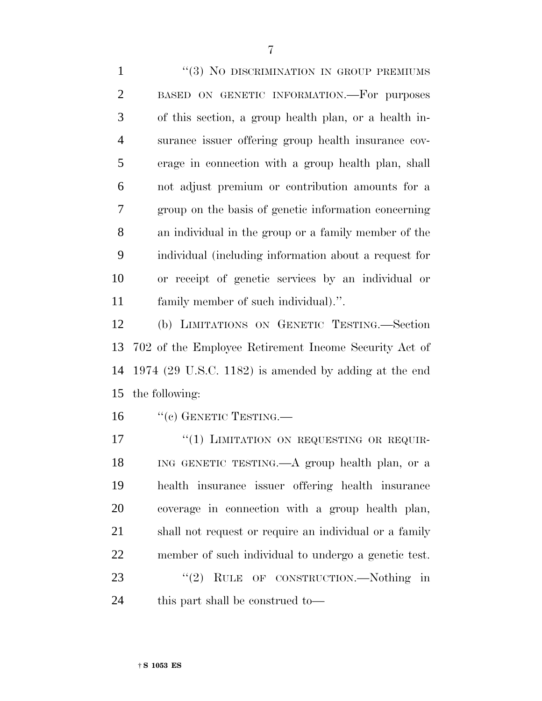1 ''(3) NO DISCRIMINATION IN GROUP PREMIUMS BASED ON GENETIC INFORMATION.—For purposes of this section, a group health plan, or a health in- surance issuer offering group health insurance cov- erage in connection with a group health plan, shall not adjust premium or contribution amounts for a group on the basis of genetic information concerning an individual in the group or a family member of the individual (including information about a request for or receipt of genetic services by an individual or family member of such individual).''.

 (b) LIMITATIONS ON GENETIC TESTING.—Section 702 of the Employee Retirement Income Security Act of 1974 (29 U.S.C. 1182) is amended by adding at the end the following:

16 "(c) GENETIC TESTING.—

17 "(1) LIMITATION ON REQUESTING OR REQUIR- ING GENETIC TESTING.—A group health plan, or a health insurance issuer offering health insurance coverage in connection with a group health plan, shall not request or require an individual or a family member of such individual to undergo a genetic test. 23 "(2) RULE OF CONSTRUCTION.—Nothing in this part shall be construed to—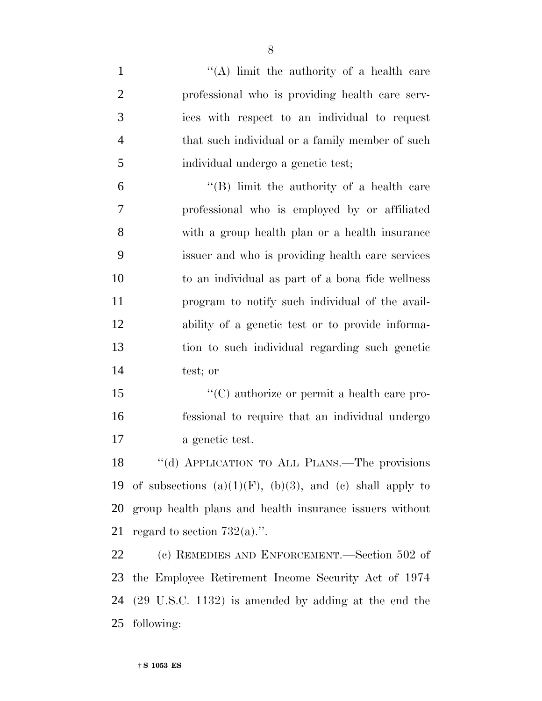1 ''(A) limit the authority of a health care professional who is providing health care serv- ices with respect to an individual to request that such individual or a family member of such individual undergo a genetic test; ''(B) limit the authority of a health care professional who is employed by or affiliated with a group health plan or a health insurance issuer and who is providing health care services to an individual as part of a bona fide wellness program to notify such individual of the avail- ability of a genetic test or to provide informa- tion to such individual regarding such genetic test; or  $\langle ^{\prime}(C)$  authorize or permit a health care pro- fessional to require that an individual undergo a genetic test. ''(d) APPLICATION TO ALL PLANS.—The provisions 19 of subsections  $(a)(1)(F)$ ,  $(b)(3)$ , and  $(c)$  shall apply to group health plans and health insurance issuers without 21 regard to section  $732(a)$ .". (c) REMEDIES AND ENFORCEMENT.—Section 502 of the Employee Retirement Income Security Act of 1974 (29 U.S.C. 1132) is amended by adding at the end the following: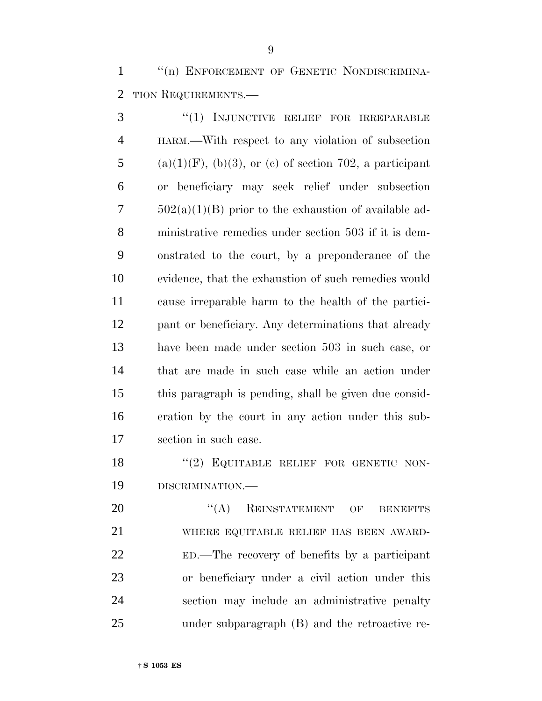1 "(n) ENFORCEMENT OF GENETIC NONDISCRIMINA-TION REQUIREMENTS.—

 ''(1) INJUNCTIVE RELIEF FOR IRREPARABLE HARM.—With respect to any violation of subsection 5 (a)(1)(F), (b)(3), or (c) of section 702, a participant or beneficiary may seek relief under subsection  $7 \qquad 502(a)(1)(B)$  prior to the exhaustion of available ad- ministrative remedies under section 503 if it is dem- onstrated to the court, by a preponderance of the evidence, that the exhaustion of such remedies would cause irreparable harm to the health of the partici- pant or beneficiary. Any determinations that already have been made under section 503 in such case, or that are made in such case while an action under this paragraph is pending, shall be given due consid- eration by the court in any action under this sub-section in such case.

18 "(2) EQUITABLE RELIEF FOR GENETIC NON-DISCRIMINATION.—

20 "(A) REINSTATEMENT OF BENEFITS WHERE EQUITABLE RELIEF HAS BEEN AWARD- ED.—The recovery of benefits by a participant or beneficiary under a civil action under this section may include an administrative penalty under subparagraph (B) and the retroactive re-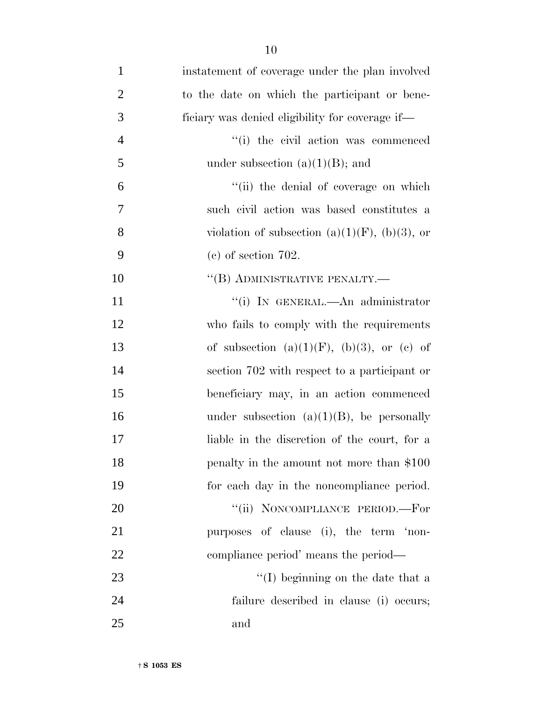| $\mathbf{1}$   | instatement of coverage under the plan involved       |
|----------------|-------------------------------------------------------|
| $\overline{2}$ | to the date on which the participant or bene-         |
| 3              | ficiary was denied eligibility for coverage if—       |
| $\overline{4}$ | "(i) the civil action was commenced                   |
| 5              | under subsection $(a)(1)(B)$ ; and                    |
| 6              | "(ii) the denial of coverage on which                 |
| 7              | such civil action was based constitutes a             |
| 8              | violation of subsection (a) $(1)(F)$ , (b) $(3)$ , or |
| 9              | $(e)$ of section 702.                                 |
| 10             | $``$ (B) ADMINISTRATIVE PENALTY.—                     |
| 11             | "(i) IN GENERAL.—An administrator                     |
| 12             | who fails to comply with the requirements             |
| 13             | of subsection $(a)(1)(F)$ , $(b)(3)$ , or $(c)$ of    |
| 14             | section 702 with respect to a participant or          |
| 15             | beneficiary may, in an action commenced               |
| 16             | under subsection $(a)(1)(B)$ , be personally          |
| 17             | liable in the discretion of the court, for a          |
| 18             | penalty in the amount not more than \$100             |
| 19             | for each day in the noncompliance period.             |
| 20             | "(ii) NONCOMPLIANCE PERIOD.-For                       |
| 21             | purposes of clause (i), the term 'non-                |
| 22             | compliance period' means the period—                  |
| 23             | "(I) beginning on the date that a                     |
| 24             | failure described in clause (i) occurs;               |
| 25             | and                                                   |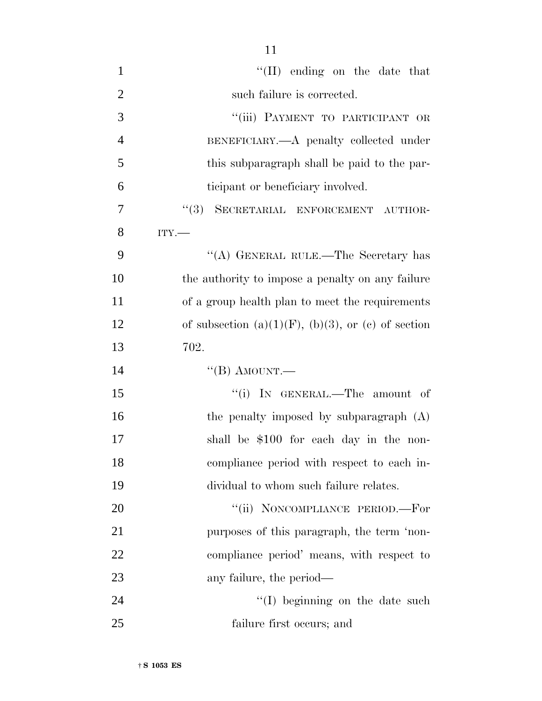| $\mathbf{1}$   | $\lq\lq$ (II) ending on the date that                      |
|----------------|------------------------------------------------------------|
| $\overline{2}$ | such failure is corrected.                                 |
| 3              | "(iii) PAYMENT TO PARTICIPANT OR                           |
| $\overline{4}$ | BENEFICIARY.—A penalty collected under                     |
| 5              | this subparagraph shall be paid to the par-                |
| 6              | ticipant or beneficiary involved.                          |
| $\overline{7}$ | "(3) SECRETARIAL ENFORCEMENT AUTHOR-                       |
| 8              | ITY.                                                       |
| 9              | "(A) GENERAL RULE.—The Secretary has                       |
| 10             | the authority to impose a penalty on any failure           |
| 11             | of a group health plan to meet the requirements            |
| 12             | of subsection (a) $(1)(F)$ , (b) $(3)$ , or (c) of section |
| 13             | 702.                                                       |
| 14             | "(B) AMOUNT.—                                              |
| 15             | "(i) IN GENERAL.—The amount of                             |
| 16             | the penalty imposed by subparagraph $(A)$                  |
| 17             | shall be \$100 for each day in the non-                    |
| 18             | compliance period with respect to each in-                 |
| 19             | dividual to whom such failure relates.                     |

20 "(ii) NONCOMPLIANCE PERIOD.—For purposes of this paragraph, the term 'non- compliance period' means, with respect to any failure, the period—

24 ''(I) beginning on the date such failure first occurs; and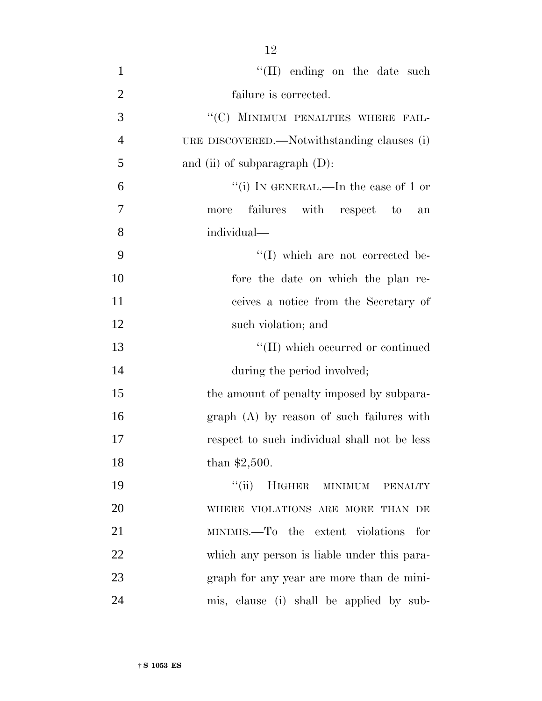| $\mathbf{1}$   | $\lq\lq$ (II) ending on the date such        |
|----------------|----------------------------------------------|
| $\overline{2}$ | failure is corrected.                        |
| 3              | "(C) MINIMUM PENALTIES WHERE FAIL-           |
| $\overline{4}$ | URE DISCOVERED.—Notwithstanding clauses (i)  |
| 5              | and (ii) of subparagraph $(D)$ :             |
| 6              | "(i) IN GENERAL.—In the case of 1 or         |
| 7              | failures with respect to<br>more<br>an       |
| 8              | individual—                                  |
| 9              | "(I) which are not corrected be-             |
| 10             | fore the date on which the plan re-          |
| 11             | ceives a notice from the Secretary of        |
| 12             | such violation; and                          |
| 13             | $\lq\lq$ (II) which occurred or continued    |
| 14             | during the period involved;                  |
| 15             | the amount of penalty imposed by subpara-    |
| 16             | $graph(A)$ by reason of such failures with   |
| 17             | respect to such individual shall not be less |
| 18             | than $$2,500$ .                              |
| 19             | HIGHER MINIMUM PENALTY<br>``(ii)             |
| 20             | WHERE VIOLATIONS ARE MORE THAN DE            |
| 21             | MINIMIS.—To the extent violations for        |
| 22             | which any person is liable under this para-  |
| 23             | graph for any year are more than de mini-    |
| 24             | mis, clause (i) shall be applied by sub-     |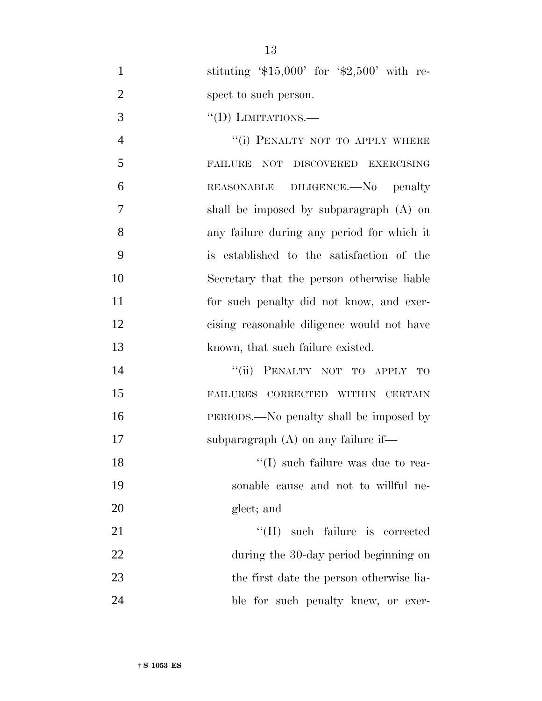1 stituting '\$15,000' for '\$2,500' with re-2 spect to such person.

3 "(D) LIMITATIONS.—

4 "(i) PENALTY NOT TO APPLY WHERE FAILURE NOT DISCOVERED EXERCISING REASONABLE DILIGENCE.—No penalty shall be imposed by subparagraph (A) on any failure during any period for which it is established to the satisfaction of the Secretary that the person otherwise liable for such penalty did not know, and exer- cising reasonable diligence would not have 13 known, that such failure existed.

14 "(ii) PENALTY NOT TO APPLY TO 15 FAILURES CORRECTED WITHIN CERTAIN 16 PERIODS.—No penalty shall be imposed by 17 subparagraph (A) on any failure if—

18 ''(I) such failure was due to rea-19 sonable cause and not to willful ne-20 glect; and

21 ''(II) such failure is corrected 22 during the 30-day period beginning on 23 the first date the person otherwise lia-24 ble for such penalty knew, or exer-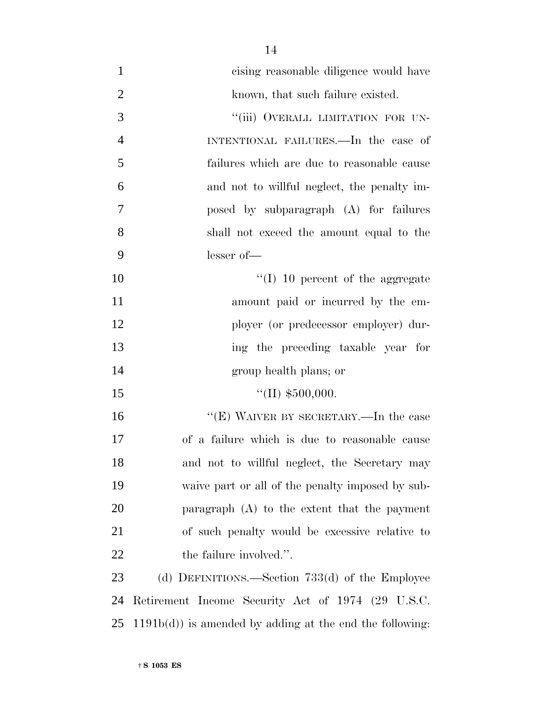| $\mathbf{1}$   | cising reasonable diligence would have                    |
|----------------|-----------------------------------------------------------|
| $\overline{2}$ | known, that such failure existed.                         |
| 3              | "(iii) OVERALL LIMITATION FOR UN-                         |
| $\overline{4}$ | INTENTIONAL FAILURES.—In the case of                      |
| 5              | failures which are due to reasonable cause                |
| 6              | and not to willful neglect, the penalty im-               |
| 7              | posed by subparagraph (A) for failures                    |
| 8              | shall not exceed the amount equal to the                  |
| 9              | $lesser of$ —                                             |
| 10             | $\lq(1)$ 10 percent of the aggregate                      |
| 11             | amount paid or incurred by the em-                        |
| 12             | ployer (or predecessor employer) dur-                     |
| 13             | ing the preceding taxable year for                        |
| 14             | group health plans; or                                    |
| 15             | "(II) $$500,000$ .                                        |
| 16             | "(E) WAIVER BY SECRETARY.—In the case                     |
| 17             | of a failure which is due to reasonable cause             |
| 18             | and not to willful neglect, the Secretary may             |
| 19             | waive part or all of the penalty imposed by sub-          |
| 20             | paragraph $(A)$ to the extent that the payment            |
| 21             | of such penalty would be excessive relative to            |
| 22             | the failure involved.".                                   |
| 23             | (d) DEFINITIONS.—Section $733(d)$ of the Employee         |
| 24             | Retirement Income Security Act of 1974 (29 U.S.C.         |
| 25             | $1191b(d)$ is amended by adding at the end the following: |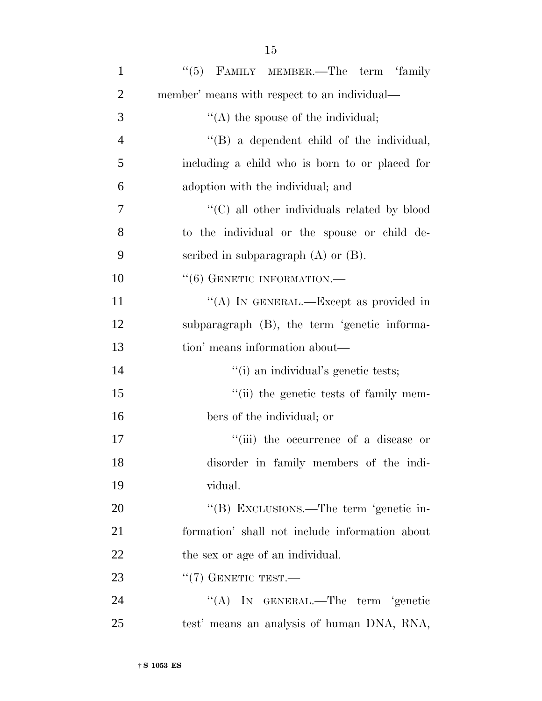| $\mathbf{1}$   | "(5) FAMILY MEMBER.—The term 'family           |
|----------------|------------------------------------------------|
| $\overline{2}$ | member' means with respect to an individual—   |
| 3              | $\lq\lq$ the spouse of the individual;         |
| $\overline{4}$ | $\lq\lq$ a dependent child of the individual,  |
| 5              | including a child who is born to or placed for |
| 6              | adoption with the individual; and              |
| 7              | "(C) all other individuals related by blood    |
| 8              | to the individual or the spouse or child de-   |
| 9              | scribed in subparagraph $(A)$ or $(B)$ .       |
| 10             | $``(6)$ GENETIC INFORMATION.—                  |
| 11             | "(A) IN GENERAL.—Except as provided in         |
| 12             | subparagraph (B), the term 'genetic informa-   |
| 13             | tion' means information about—                 |
| 14             | "(i) an individual's genetic tests;            |
| 15             | "(ii) the genetic tests of family mem-         |
| 16             | bers of the individual; or                     |
| 17             | "(iii) the occurrence of a disease or          |
| 18             | disorder in family members of the indi-        |
| 19             | vidual.                                        |
| 20             | "(B) EXCLUSIONS.—The term 'genetic in-         |
| 21             | formation' shall not include information about |
| 22             | the sex or age of an individual.               |
| 23             | $``(7)$ GENETIC TEST.—                         |
| 24             | "(A) IN GENERAL.—The term 'genetic             |
| 25             | test' means an analysis of human DNA, RNA,     |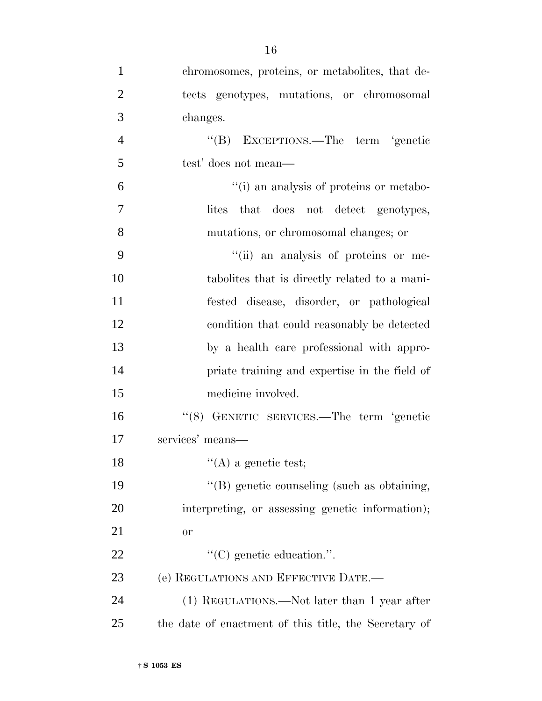| $\mathbf{1}$   | chromosomes, proteins, or metabolites, that de-       |
|----------------|-------------------------------------------------------|
| $\overline{2}$ | tects genotypes, mutations, or chromosomal            |
| 3              | changes.                                              |
| $\overline{4}$ | "(B) EXCEPTIONS.—The term 'genetic                    |
| 5              | test' does not mean—                                  |
| 6              | "(i) an analysis of proteins or metabo-               |
| 7              | that does not detect genotypes,<br>lites              |
| 8              | mutations, or chromosomal changes; or                 |
| 9              | "(ii) an analysis of proteins or me-                  |
| 10             | tabolities that is directly related to a mani-        |
| 11             | fested disease, disorder, or pathological             |
| 12             | condition that could reasonably be detected           |
| 13             | by a health care professional with appro-             |
| 14             | priate training and expertise in the field of         |
| 15             | medicine involved.                                    |
| 16             | "(8) GENETIC SERVICES.—The term 'genetic              |
| 17             | services' means—                                      |
| 18             | $\lq\lq$ (A) a genetic test;                          |
| 19             | "(B) genetic counseling (such as obtaining,           |
| 20             | interpreting, or assessing genetic information);      |
| 21             | <b>or</b>                                             |
| 22             | $\lq\lq$ (C) genetic education.".                     |
| 23             | (e) REGULATIONS AND EFFECTIVE DATE.-                  |
| 24             | (1) REGULATIONS.—Not later than 1 year after          |
| 25             | the date of enactment of this title, the Secretary of |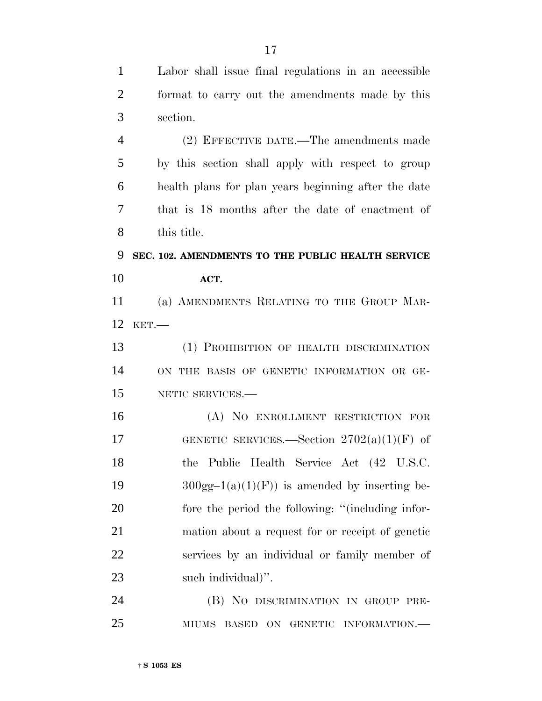Labor shall issue final regulations in an accessible format to carry out the amendments made by this section. (2) EFFECTIVE DATE.—The amendments made by this section shall apply with respect to group health plans for plan years beginning after the date that is 18 months after the date of enactment of this title. **SEC. 102. AMENDMENTS TO THE PUBLIC HEALTH SERVICE ACT.** (a) AMENDMENTS RELATING TO THE GROUP MAR- KET.— (1) PROHIBITION OF HEALTH DISCRIMINATION ON THE BASIS OF GENETIC INFORMATION OR GE- NETIC SERVICES.— (A) NO ENROLLMENT RESTRICTION FOR 17 GENETIC SERVICES.—Section  $2702(a)(1)(F)$  of the Public Health Service Act (42 U.S.C.  $300gg-1(a)(1)(F)$  is amended by inserting be- fore the period the following: ''(including infor- mation about a request for or receipt of genetic services by an individual or family member of such individual)''. (B) NO DISCRIMINATION IN GROUP PRE-MIUMS BASED ON GENETIC INFORMATION.—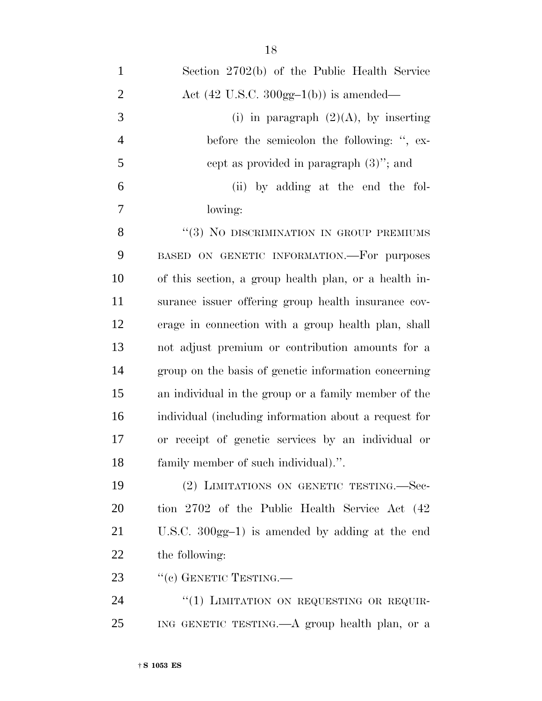| $\mathbf{1}$   | Section 2702(b) of the Public Health Service              |
|----------------|-----------------------------------------------------------|
| $\overline{2}$ | Act $(42 \text{ U.S.C. } 300 \text{gg-1(b)})$ is amended— |
| 3              | (i) in paragraph $(2)(A)$ , by inserting                  |
| $\overline{4}$ | before the semicolon the following: ", ex-                |
| 5              | cept as provided in paragraph $(3)$ "; and                |
| 6              | (ii) by adding at the end the fol-                        |
| 7              | lowing:                                                   |
| 8              | $" (3)$ No DISCRIMINATION IN GROUP PREMIUMS               |
| 9              | BASED ON GENETIC INFORMATION.-For purposes                |
| 10             | of this section, a group health plan, or a health in-     |
| 11             | surance issuer offering group health insurance cov-       |
| 12             | erage in connection with a group health plan, shall       |
| 13             | not adjust premium or contribution amounts for a          |
| 14             | group on the basis of genetic information concerning      |
| 15             | an individual in the group or a family member of the      |
| 16             | individual (including information about a request for     |
| 17             | or receipt of genetic services by an individual or        |
| 18             | family member of such individual).".                      |
| 19             | (2) LIMITATIONS ON GENETIC TESTING.—Sec-                  |
| 20             | tion 2702 of the Public Health Service Act (42)           |
| 21             | U.S.C. $300gg-1$ ) is amended by adding at the end        |
| 22             | the following:                                            |
| 23             | "(c) GENETIC TESTING.—                                    |
| 24             | "(1) LIMITATION ON REQUESTING OR REQUIR-                  |
| 25             | ING GENETIC TESTING.—A group health plan, or a            |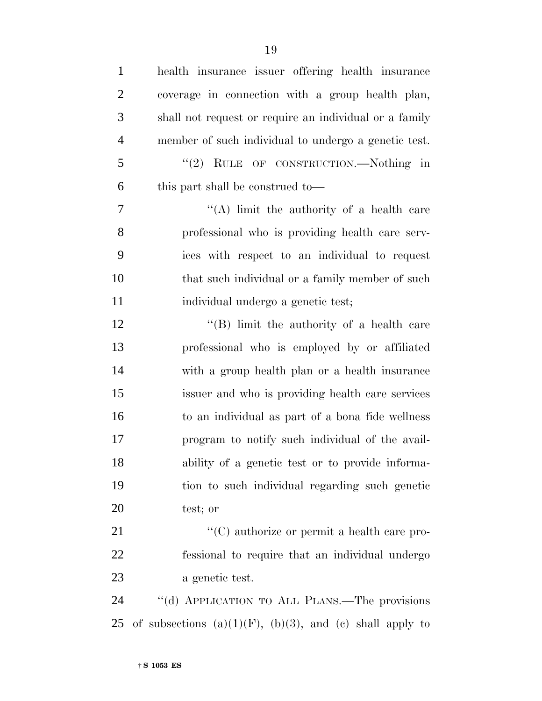| $\mathbf{1}$   | health insurance issuer offering health insurance                |
|----------------|------------------------------------------------------------------|
| $\overline{2}$ | coverage in connection with a group health plan,                 |
| 3              | shall not request or require an individual or a family           |
| $\overline{4}$ | member of such individual to undergo a genetic test.             |
| 5              | "(2) RULE OF CONSTRUCTION.—Nothing in                            |
| 6              | this part shall be construed to—                                 |
| 7              | "(A) limit the authority of a health care                        |
| 8              | professional who is providing health care serv-                  |
| 9              | ices with respect to an individual to request                    |
| 10             | that such individual or a family member of such                  |
| 11             | individual undergo a genetic test;                               |
| 12             | "(B) limit the authority of a health care                        |
| 13             | professional who is employed by or affiliated                    |
| 14             | with a group health plan or a health insurance                   |
| 15             | issuer and who is providing health care services                 |
| 16             | to an individual as part of a bona fide wellness                 |
| 17             | program to notify such individual of the avail-                  |
| 18             | ability of a genetic test or to provide informa-                 |
| 19             | tion to such individual regarding such genetic                   |
| 20             | test; or                                                         |
| 21             | "(C) authorize or permit a health care pro-                      |
| 22             | fessional to require that an individual undergo                  |
| 23             | a genetic test.                                                  |
| 24             | "(d) APPLICATION TO ALL PLANS.—The provisions                    |
| 25             | of subsections $(a)(1)(F)$ , $(b)(3)$ , and $(c)$ shall apply to |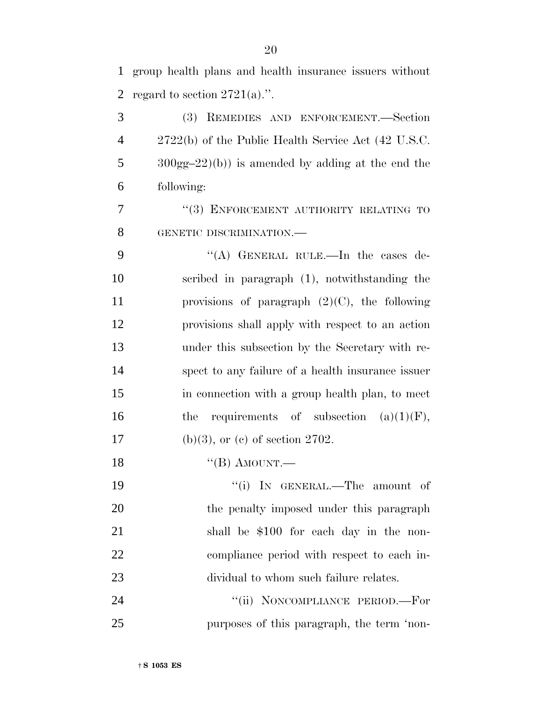group health plans and health insurance issuers without 2 regard to section  $2721(a)$ .".

 (3) REMEDIES AND ENFORCEMENT.—Section 2722(b) of the Public Health Service Act (42 U.S.C. 300gg–22)(b)) is amended by adding at the end the following:

7 "(3) ENFORCEMENT AUTHORITY RELATING TO GENETIC DISCRIMINATION.—

 ''(A) GENERAL RULE.—In the cases de- scribed in paragraph (1), notwithstanding the provisions of paragraph (2)(C), the following provisions shall apply with respect to an action under this subsection by the Secretary with re- spect to any failure of a health insurance issuer in connection with a group health plan, to meet 16 the requirements of subsection  $(a)(1)(F)$ , 17 (b)(3), or (c) of section 2702.

18 "(B) AMOUNT.—

 $\text{``(i)}$  In GENERAL.—The amount of 20 the penalty imposed under this paragraph shall be \$100 for each day in the non- compliance period with respect to each in-dividual to whom such failure relates.

24 "(ii) NONCOMPLIANCE PERIOD.—For purposes of this paragraph, the term 'non-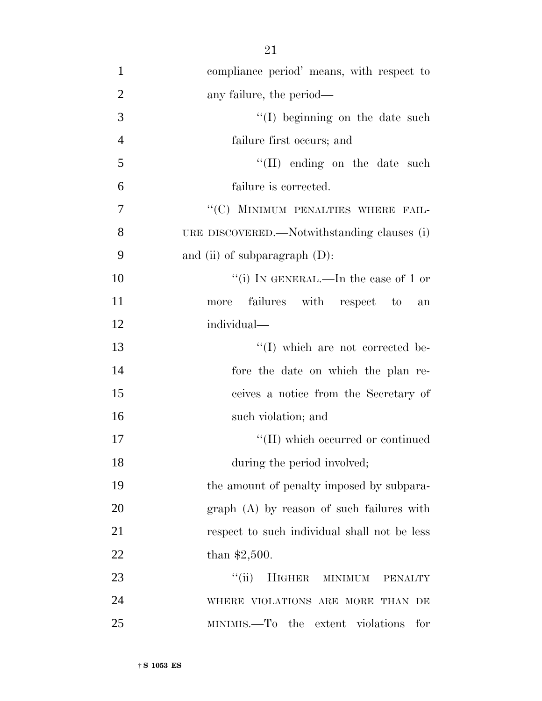| $\mathbf{1}$   | compliance period' means, with respect to    |
|----------------|----------------------------------------------|
| $\overline{2}$ | any failure, the period—                     |
| 3              | $\lq\lq$ (I) beginning on the date such      |
| $\overline{4}$ | failure first occurs; and                    |
| 5              | $\lq\lq$ (II) ending on the date such        |
| 6              | failure is corrected.                        |
| $\overline{7}$ | "(C) MINIMUM PENALTIES WHERE FAIL-           |
| 8              | URE DISCOVERED.—Notwithstanding clauses (i)  |
| 9              | and (ii) of subparagraph $(D)$ :             |
| 10             | "(i) IN GENERAL.—In the case of 1 or         |
| 11             | failures with respect to<br>more<br>an       |
| 12             | individual—                                  |
| 13             | "(I) which are not corrected be-             |
| 14             | fore the date on which the plan re-          |
| 15             | ceives a notice from the Secretary of        |
| 16             | such violation; and                          |
| 17             | "(II) which occurred or continued            |
| 18             | during the period involved;                  |
| 19             | the amount of penalty imposed by subpara-    |
| 20             | $graph(A)$ by reason of such failures with   |
| 21             | respect to such individual shall not be less |
| 22             | than $$2,500$ .                              |
| 23             | ``(ii)<br>HIGHER MINIMUM<br><b>PENALTY</b>   |
| 24             | WHERE VIOLATIONS ARE MORE THAN DE            |

MINIMIS.—To the extent violations for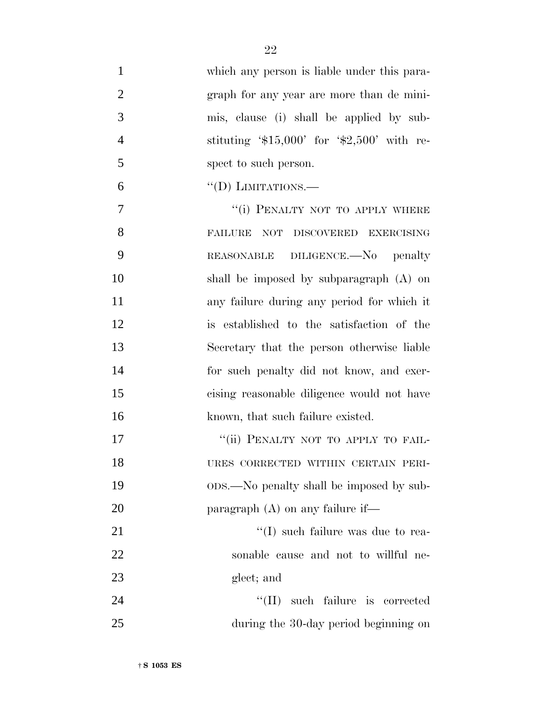| $\mathbf{1}$   | which any person is liable under this para- |
|----------------|---------------------------------------------|
| $\overline{2}$ | graph for any year are more than de mini-   |
| 3              | mis, clause (i) shall be applied by sub-    |
| $\overline{4}$ | stituting $$15,000'$ for $$2,500'$ with re- |
| 5              | spect to such person.                       |
| 6              | $\lq\lq$ (D) LIMITATIONS.—                  |
| 7              | "(i) PENALTY NOT TO APPLY WHERE             |
| 8              | FAILURE NOT DISCOVERED EXERCISING           |
| 9              | REASONABLE DILIGENCE.—No penalty            |
| 10             | shall be imposed by subparagraph $(A)$ on   |
| 11             | any failure during any period for which it  |
| 12             | is established to the satisfaction of the   |
| 13             | Secretary that the person otherwise liable  |
| 14             | for such penalty did not know, and exer-    |
| 15             | cising reasonable diligence would not have  |
| 16             | known, that such failure existed.           |
| 17             | "(ii) PENALTY NOT TO APPLY TO FAIL-         |
| 18             | URES CORRECTED WITHIN CERTAIN PERI-         |
| 19             | ops.—No penalty shall be imposed by sub-    |
| 20             | paragraph $(A)$ on any failure if—          |
| 21             | $\lq\lq$ such failure was due to rea-       |
| 22             | sonable cause and not to willful ne-        |
| 23             | glect; and                                  |
| 24             | "(II) such failure is corrected             |
| 25             | during the 30-day period beginning on       |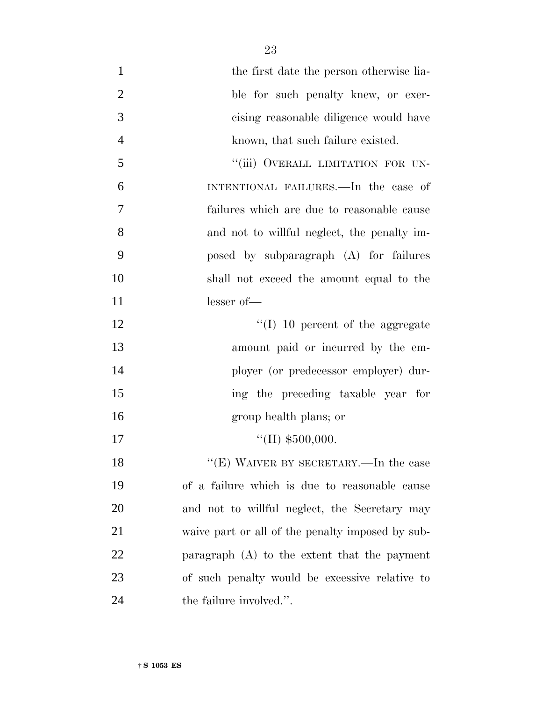| $\mathbf{1}$   | the first date the person otherwise lia-         |
|----------------|--------------------------------------------------|
| $\mathbf{2}$   | ble for such penalty knew, or exer-              |
| 3              | cising reasonable diligence would have           |
| $\overline{4}$ | known, that such failure existed.                |
| 5              | "(iii) OVERALL LIMITATION FOR UN-                |
| 6              | INTENTIONAL FAILURES.—In the case of             |
| 7              | failures which are due to reasonable cause       |
| 8              | and not to willful neglect, the penalty im-      |
| 9              | posed by subparagraph (A) for failures           |
| 10             | shall not exceed the amount equal to the         |
| 11             | $lesser of$ —                                    |
| 12             | $\lq\lq$ (I) 10 percent of the aggregate         |
| 13             | amount paid or incurred by the em-               |
| 14             | ployer (or predecessor employer) dur-            |
| 15             | ing the preceding taxable year for               |
| 16             | group health plans; or                           |
| 17             | "(II) $$500,000$ .                               |
| 18             | "(E) WAIVER BY SECRETARY.—In the case            |
| 19             | of a failure which is due to reasonable cause    |
| 20             | and not to willful neglect, the Secretary may    |
| 21             | waive part or all of the penalty imposed by sub- |
| 22             | paragraph $(A)$ to the extent that the payment   |
| 23             | of such penalty would be excessive relative to   |
| 24             | the failure involved.".                          |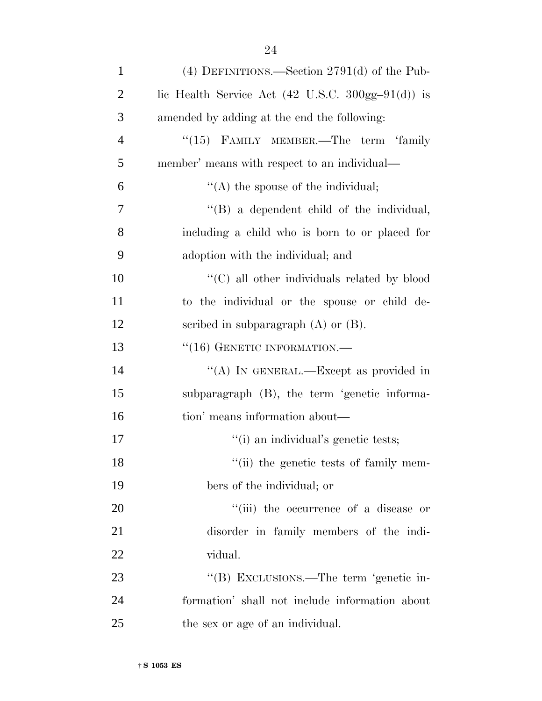| $\mathbf{1}$   | (4) DEFINITIONS.—Section $2791(d)$ of the Pub-                                  |
|----------------|---------------------------------------------------------------------------------|
| $\overline{2}$ | lic Health Service Act $(42 \text{ U.S.C. } 300 \text{gg} - 91 \text{ (d)})$ is |
| 3              | amended by adding at the end the following:                                     |
| $\overline{4}$ | $``(15)$ FAMILY MEMBER.—The term 'family                                        |
| 5              | member' means with respect to an individual—                                    |
| 6              | $\lq\lq$ the spouse of the individual;                                          |
| 7              | $\lq\lq$ a dependent child of the individual,                                   |
| 8              | including a child who is born to or placed for                                  |
| 9              | adoption with the individual; and                                               |
| 10             | "(C) all other individuals related by blood                                     |
| 11             | to the individual or the spouse or child de-                                    |
| 12             | scribed in subparagraph $(A)$ or $(B)$ .                                        |
| 13             | $``(16)$ GENETIC INFORMATION.—                                                  |
| 14             | "(A) IN GENERAL.—Except as provided in                                          |
| 15             | subparagraph (B), the term 'genetic informa-                                    |
| 16             | tion' means information about—                                                  |
| $17\,$         | "(i) an individual's genetic tests;                                             |
| 18             | "(ii) the genetic tests of family mem-                                          |
| 19             | bers of the individual; or                                                      |
| 20             | "(iii) the occurrence of a disease or                                           |
| 21             | disorder in family members of the indi-                                         |
| 22             | vidual.                                                                         |
| 23             | "(B) EXCLUSIONS.—The term 'genetic in-                                          |
| 24             | formation' shall not include information about                                  |
| 25             | the sex or age of an individual.                                                |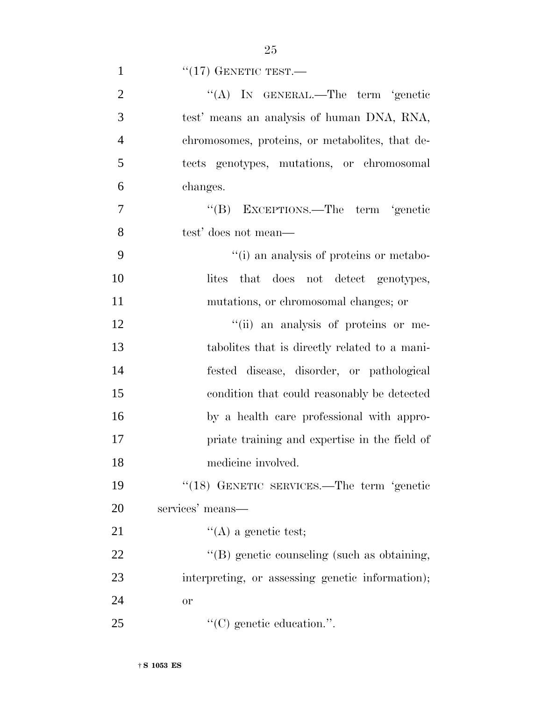|               | $\lq(17)$ GENETIC TEST.— |
|---------------|--------------------------|
| $\mathcal{D}$ | $\lq\lq (A)$ IN GENERAL. |

| $\overline{2}$ | "(A) IN GENERAL.—The term 'genetic               |
|----------------|--------------------------------------------------|
| 3              | test' means an analysis of human DNA, RNA,       |
| $\overline{4}$ | chromosomes, proteins, or metabolities, that de- |
| 5              | tects genotypes, mutations, or chromosomal       |
| 6              | changes.                                         |
| 7              | "(B) EXCEPTIONS.—The term 'genetic               |
| 8              | test' does not mean—                             |
| 9              | "(i) an analysis of proteins or metabo-          |
| 10             | that does not detect genotypes,<br>lites         |
| 11             | mutations, or chromosomal changes; or            |
| 12             | "(ii) an analysis of proteins or me-             |
| 13             | tabolities that is directly related to a mani-   |
| 14             | fested disease, disorder, or pathological        |
| 15             | condition that could reasonably be detected      |
| 16             | by a health care professional with appro-        |
| 17             | priate training and expertise in the field of    |
| 18             | medicine involved.                               |
| 19             | "(18) GENETIC SERVICES.—The term 'genetic        |
| 20             | services' means—                                 |
| 21             | $\lq\lq$ (A) a genetic test;                     |
| 22             | "(B) genetic counseling (such as obtaining,      |
| 23             | interpreting, or assessing genetic information); |
| 24             | <b>or</b>                                        |
| 25             | $\lq\lq$ (C) genetic education.".                |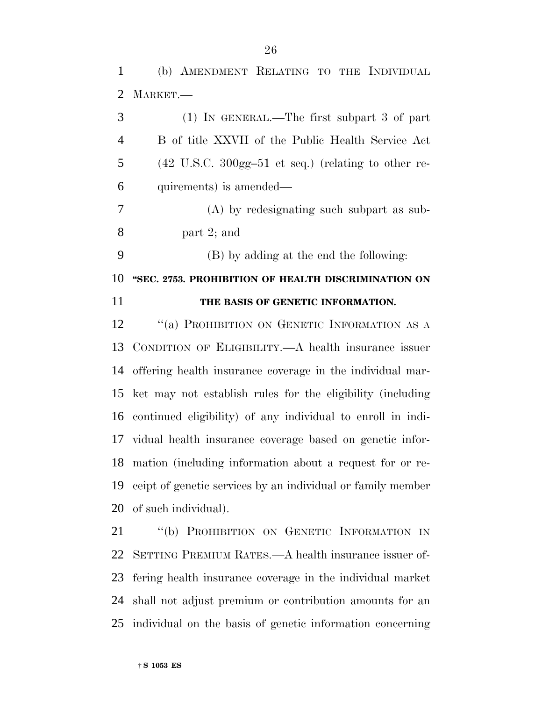(b) AMENDMENT RELATING TO THE INDIVIDUAL MARKET.—

| 3              | $(1)$ IN GENERAL.—The first subpart 3 of part                                    |
|----------------|----------------------------------------------------------------------------------|
| $\overline{4}$ | B of title XXVII of the Public Health Service Act                                |
| 5              | $(42 \text{ U.S.C. } 300 \text{gg} - 51 \text{ et seq.})$ (relating to other re- |
| 6              | quirements) is amended—                                                          |
| 7              | (A) by redesignating such subpart as sub-                                        |
| 8              | part $2$ ; and                                                                   |
| 9              | (B) by adding at the end the following:                                          |
| 10             | "SEC. 2753. PROHIBITION OF HEALTH DISCRIMINATION ON                              |
| 11             | THE BASIS OF GENETIC INFORMATION.                                                |
| 12             | "(a) PROHIBITION ON GENETIC INFORMATION AS A                                     |
| 13             | CONDITION OF ELIGIBILITY.—A health insurance issuer                              |
| 14             | offering health insurance coverage in the individual mar-                        |
| 15             | ket may not establish rules for the eligibility (including                       |
| 16             | continued eligibility) of any individual to enroll in indi-                      |
| 17             | vidual health insurance coverage based on genetic infor-                         |
| 18             | mation (including information about a request for or re-                         |
| 19             | ceipt of genetic services by an individual or family member                      |
|                | 20 of such individual).                                                          |

 ''(b) PROHIBITION ON GENETIC INFORMATION IN SETTING PREMIUM RATES.—A health insurance issuer of- fering health insurance coverage in the individual market shall not adjust premium or contribution amounts for an individual on the basis of genetic information concerning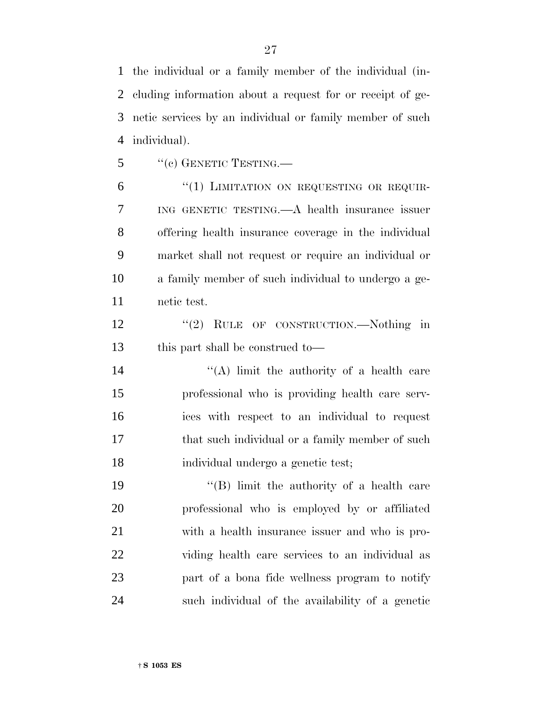the individual or a family member of the individual (in- cluding information about a request for or receipt of ge- netic services by an individual or family member of such individual).

"(c) GENETIC TESTING.—

6 "(1) LIMITATION ON REQUESTING OR REQUIR- ING GENETIC TESTING.—A health insurance issuer offering health insurance coverage in the individual market shall not request or require an individual or a family member of such individual to undergo a ge-netic test.

12 "(2) RULE OF CONSTRUCTION.—Nothing in this part shall be construed to—

 $((A)$  limit the authority of a health care professional who is providing health care serv- ices with respect to an individual to request 17 that such individual or a family member of such individual undergo a genetic test;

19 ''(B) limit the authority of a health care professional who is employed by or affiliated with a health insurance issuer and who is pro- viding health care services to an individual as part of a bona fide wellness program to notify such individual of the availability of a genetic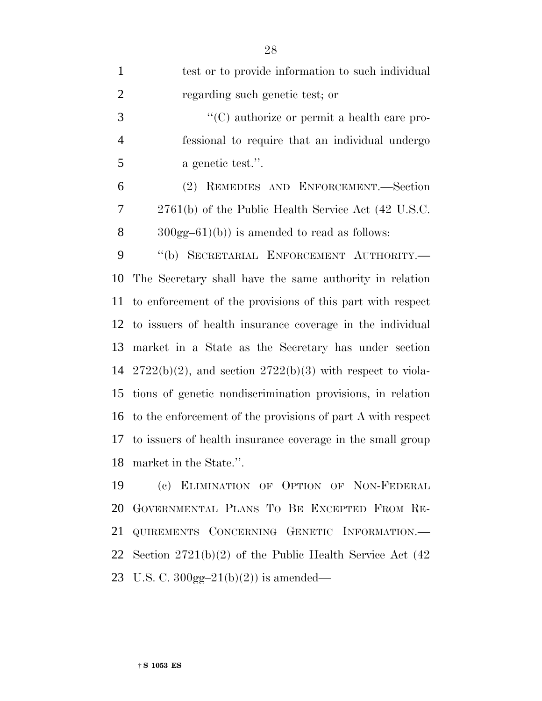| $\mathbf{1}$   | test or to provide information to such individual              |
|----------------|----------------------------------------------------------------|
| $\overline{2}$ | regarding such genetic test; or                                |
| 3              | "(C) authorize or permit a health care pro-                    |
| $\overline{4}$ | fessional to require that an individual undergo                |
| 5              | a genetic test.".                                              |
| 6              | (2) REMEDIES AND ENFORCEMENT.—Section                          |
| 7              | 2761(b) of the Public Health Service Act (42 U.S.C.            |
| 8              | $300gg-61$ (b)) is amended to read as follows:                 |
| 9              | "(b) SECRETARIAL ENFORCEMENT AUTHORITY.-                       |
| 10             | The Secretary shall have the same authority in relation        |
| 11             | to enforcement of the provisions of this part with respect     |
|                | 12 to issuers of health insurance coverage in the individual   |
| 13             | market in a State as the Secretary has under section           |
| 14             | $2722(b)(2)$ , and section $2722(b)(3)$ with respect to viola- |
| 15             | tions of genetic nondiscrimination provisions, in relation     |
|                | 16 to the enforcement of the provisions of part A with respect |
| 17             | to issuers of health insurance coverage in the small group     |
|                | 18 market in the State.".                                      |
| 19             | (c) ELIMINATION OF OPTION OF NON-FEDERAL                       |
| 20             | GOVERNMENTAL PLANS TO BE EXCEPTED FROM RE-                     |
| 21             | QUIREMENTS CONCERNING GENETIC INFORMATION.                     |
| 22             | Section $2721(b)(2)$ of the Public Health Service Act (42)     |

U.S. C. 300gg–21(b)(2)) is amended—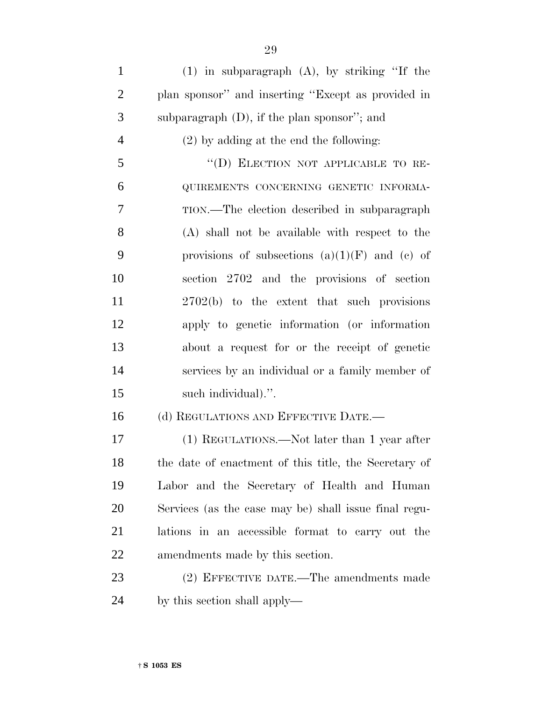(1) in subparagraph (A), by striking ''If the plan sponsor'' and inserting ''Except as provided in subparagraph (D), if the plan sponsor''; and (2) by adding at the end the following: ''(D) ELECTION NOT APPLICABLE TO RE- QUIREMENTS CONCERNING GENETIC INFORMA- TION.—The election described in subparagraph (A) shall not be available with respect to the 9 provisions of subsections  $(a)(1)(F)$  and  $(e)$  of section 2702 and the provisions of section 2702(b) to the extent that such provisions apply to genetic information (or information about a request for or the receipt of genetic services by an individual or a family member of such individual).''. 16 (d) REGULATIONS AND EFFECTIVE DATE. (1) REGULATIONS.—Not later than 1 year after the date of enactment of this title, the Secretary of Labor and the Secretary of Health and Human Services (as the case may be) shall issue final regu- lations in an accessible format to carry out the amendments made by this section. (2) EFFECTIVE DATE.—The amendments made

by this section shall apply—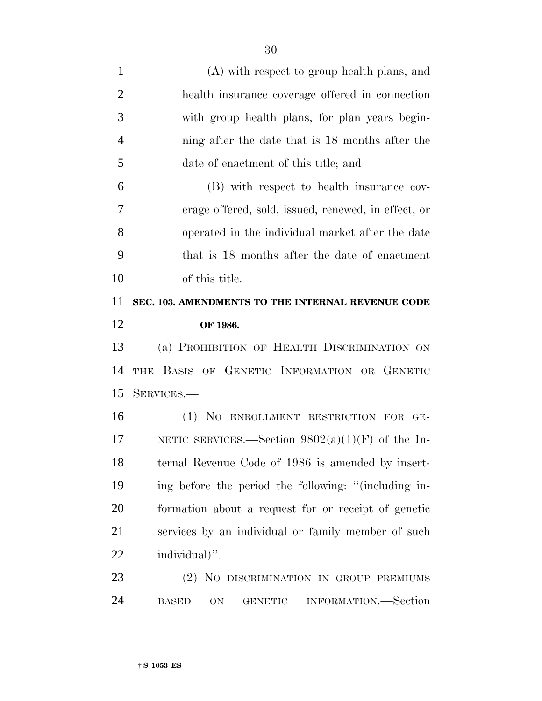| 1              | (A) with respect to group health plans, and          |
|----------------|------------------------------------------------------|
| $\overline{2}$ | health insurance coverage offered in connection      |
| 3              | with group health plans, for plan years begin-       |
| $\overline{4}$ | ning after the date that is 18 months after the      |
| 5              | date of enactment of this title; and                 |
| 6              | (B) with respect to health insurance cov-            |
| 7              | erage offered, sold, issued, renewed, in effect, or  |
| 8              | operated in the individual market after the date     |
| 9              | that is 18 months after the date of enactment        |
| 10             | of this title.                                       |
| 11             | SEC. 103. AMENDMENTS TO THE INTERNAL REVENUE CODE    |
| 12             | OF 1986.                                             |
| 13             | (a) PROHIBITION OF HEALTH DISCRIMINATION ON          |
| 14             | THE BASIS OF GENETIC INFORMATION OR GENETIC          |
| 15             | SERVICES.-                                           |
| 16             | (1) NO ENROLLMENT RESTRICTION FOR GE-                |
| 17             | NETIC SERVICES.—Section $9802(a)(1)(F)$ of the In-   |
| 18             | ternal Revenue Code of 1986 is amended by insert-    |
| 19             | ing before the period the following: "(including in- |
| 20             | formation about a request for or receipt of genetic  |
| 21             | services by an individual or family member of such   |
| 22             | individual)".                                        |
| 23             | (2) NO DISCRIMINATION IN GROUP PREMIUMS              |
|                |                                                      |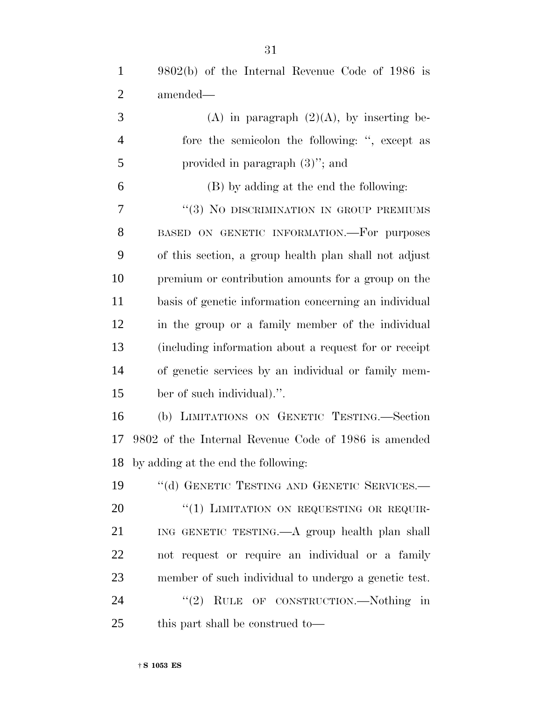9802(b) of the Internal Revenue Code of 1986 is

| $\overline{2}$ | amended—                                              |
|----------------|-------------------------------------------------------|
| 3              | (A) in paragraph $(2)(A)$ , by inserting be-          |
| $\overline{4}$ | fore the semicolon the following: ", except as        |
| 5              | provided in paragraph $(3)$ "; and                    |
| 6              | (B) by adding at the end the following:               |
| 7              | "(3) NO DISCRIMINATION IN GROUP PREMIUMS              |
| 8              | BASED ON GENETIC INFORMATION.-For purposes            |
| 9              | of this section, a group health plan shall not adjust |
| 10             | premium or contribution amounts for a group on the    |
| 11             | basis of genetic information concerning an individual |
| 12             | in the group or a family member of the individual     |
| 13             | (including information about a request for or receipt |
| 14             | of genetic services by an individual or family mem-   |
| 15             | ber of such individual).".                            |
| 16             | (b) LIMITATIONS ON GENETIC TESTING.—Section           |
| 17             | 9802 of the Internal Revenue Code of 1986 is amended  |
| 18             | by adding at the end the following:                   |
| 19             | "(d) GENETIC TESTING AND GENETIC SERVICES.-           |
| 20             | "(1) LIMITATION ON REQUESTING OR REQUIR-              |
| 21             | ING GENETIC TESTING.—A group health plan shall        |
| 22             | not request or require an individual or a family      |
| 23             | member of such individual to undergo a genetic test.  |
| 24             | "(2) RULE OF CONSTRUCTION.—Nothing in                 |
| 25             | this part shall be construed to—                      |
|                |                                                       |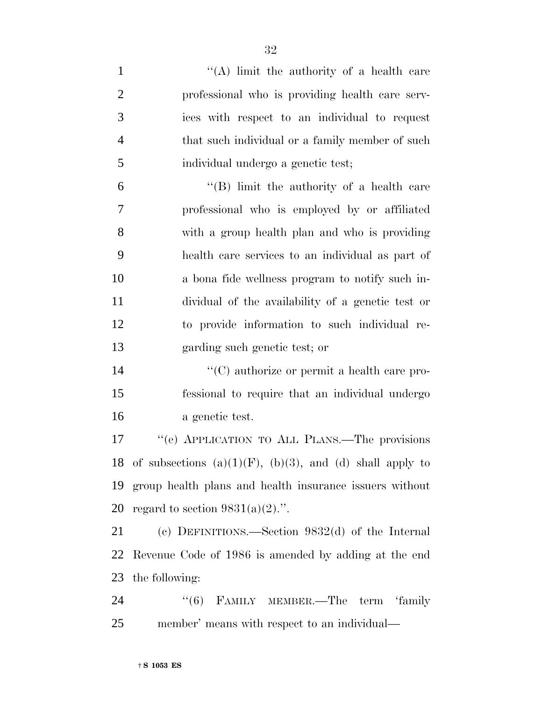- 1 ''(A) limit the authority of a health care professional who is providing health care serv- ices with respect to an individual to request that such individual or a family member of such individual undergo a genetic test; ''(B) limit the authority of a health care professional who is employed by or affiliated with a group health plan and who is providing health care services to an individual as part of a bona fide wellness program to notify such in- dividual of the availability of a genetic test or to provide information to such individual re- garding such genetic test; or 14  $\lq\lq$  (C) authorize or permit a health care pro- fessional to require that an individual undergo a genetic test. ''(e) APPLICATION TO ALL PLANS.—The provisions 18 of subsections  $(a)(1)(F)$ ,  $(b)(3)$ , and  $(d)$  shall apply to group health plans and health insurance issuers without 20 regard to section  $9831(a)(2)$ .". (c) DEFINITIONS.—Section 9832(d) of the Internal Revenue Code of 1986 is amended by adding at the end the following: 24 "(6) FAMILY MEMBER.—The term 'family
- member' means with respect to an individual—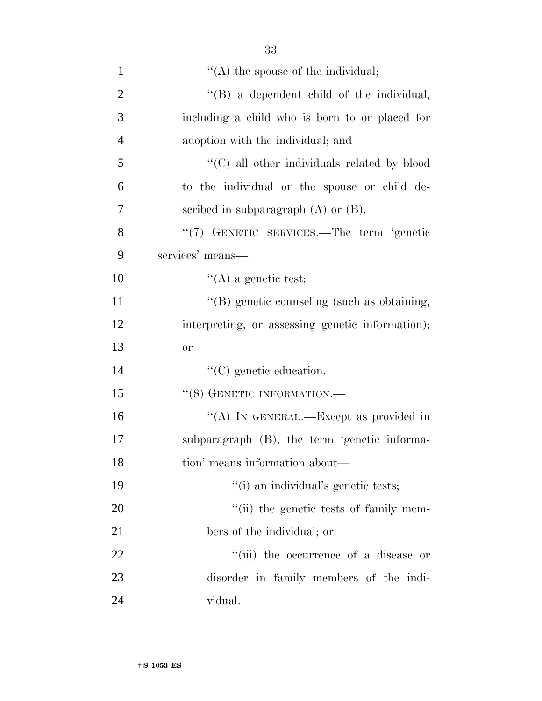| $\mathbf{1}$   | $\lq\lq$ the spouse of the individual;           |
|----------------|--------------------------------------------------|
| $\overline{2}$ | "(B) a dependent child of the individual,        |
| 3              | including a child who is born to or placed for   |
| $\overline{4}$ | adoption with the individual; and                |
| 5              | "(C) all other individuals related by blood      |
| 6              | to the individual or the spouse or child de-     |
| 7              | scribed in subparagraph $(A)$ or $(B)$ .         |
| 8              | "(7) GENETIC SERVICES.—The term 'genetic         |
| 9              | services' means-                                 |
| 10             | $\lq\lq$ (A) a genetic test;                     |
| 11             | "(B) genetic counseling (such as obtaining,      |
| 12             | interpreting, or assessing genetic information); |
| 13             | <b>or</b>                                        |
| 14             | $\lq\lq$ (C) genetic education.                  |
| 15             | $``(8)$ GENETIC INFORMATION.—                    |
| 16             | "(A) IN GENERAL.—Except as provided in           |
| 17             | subparagraph (B), the term 'genetic informa-     |
| 18             | tion' means information about—                   |
| 19             | "(i) an individual's genetic tests;              |
| 20             | "(ii) the genetic tests of family mem-           |
| 21             | bers of the individual; or                       |
| 22             | "(iii) the occurrence of a disease or            |
| 23             | disorder in family members of the indi-          |
| 24             | vidual.                                          |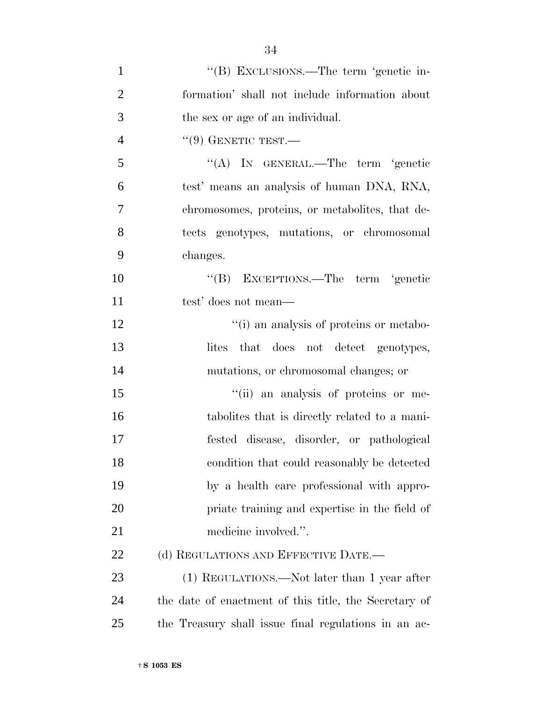| $\mathbf{1}$   | "(B) EXCLUSIONS.—The term 'genetic in-                |
|----------------|-------------------------------------------------------|
| $\overline{2}$ | formation' shall not include information about        |
| 3              | the sex or age of an individual.                      |
| 4              | $``(9)$ GENETIC TEST.—                                |
| 5              | "(A) IN GENERAL.—The term 'genetic                    |
| 6              | test' means an analysis of human DNA, RNA,            |
| 7              | chromosomes, proteins, or metabolities, that de-      |
| 8              | tects genotypes, mutations, or chromosomal            |
| 9              | changes.                                              |
| 10             | "(B) EXCEPTIONS.—The term 'genetic                    |
| 11             | test' does not mean—                                  |
| 12             | "(i) an analysis of proteins or metabo-               |
| 13             | that does not detect genotypes,<br>lites              |
| 14             | mutations, or chromosomal changes; or                 |
| 15             | "(ii) an analysis of proteins or me-                  |
| 16             | tabolities that is directly related to a mani-        |
| 17             | fested disease, disorder, or pathological             |
| 18             | condition that could reasonably be detected           |
| 19             | by a health care professional with appro-             |
| 20             | priate training and expertise in the field of         |
| 21             | medicine involved.".                                  |
| 22             | (d) REGULATIONS AND EFFECTIVE DATE.—                  |
| 23             | (1) REGULATIONS.—Not later than 1 year after          |
| 24             | the date of enactment of this title, the Secretary of |
| 25             | the Treasury shall issue final regulations in an ac-  |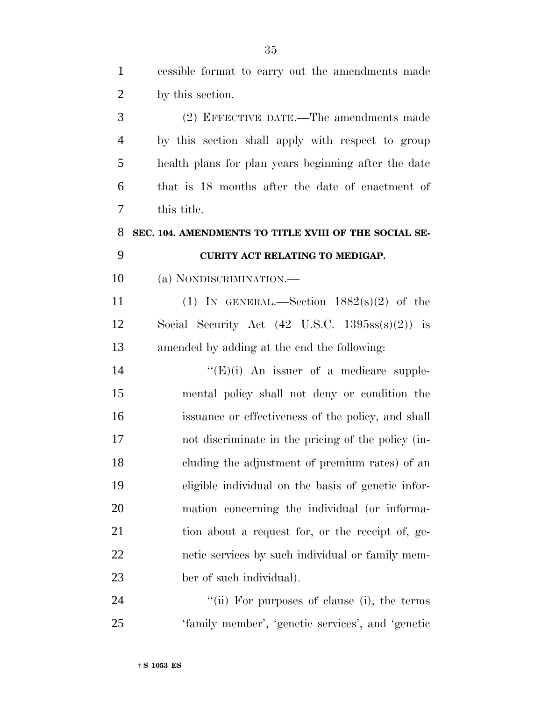| $\mathbf{1}$   | cessible format to carry out the amendments made                  |
|----------------|-------------------------------------------------------------------|
| $\overline{2}$ | by this section.                                                  |
| 3              | (2) EFFECTIVE DATE.—The amendments made                           |
| $\overline{4}$ | by this section shall apply with respect to group                 |
| 5              | health plans for plan years beginning after the date              |
| 6              | that is 18 months after the date of enactment of                  |
| 7              | this title.                                                       |
| 8              | SEC. 104. AMENDMENTS TO TITLE XVIII OF THE SOCIAL SE-             |
| 9              | CURITY ACT RELATING TO MEDIGAP.                                   |
| 10             | (a) NONDISCRIMINATION.—                                           |
| 11             | (1) IN GENERAL.—Section $1882(s)(2)$ of the                       |
| 12             | Social Security Act $(42 \text{ U.S.C. } 1395\text{ss(s)}(2))$ is |
| 13             | amended by adding at the end the following:                       |
| 14             | $\lq\lq(E)(i)$ An issuer of a medicare supple-                    |
| 15             | mental policy shall not deny or condition the                     |
| 16             | issuance or effectiveness of the policy, and shall                |
| 17             | not discriminate in the pricing of the policy (in-                |
| 18             | cluding the adjustment of premium rates) of an                    |
| 19             | eligible individual on the basis of genetic infor-                |
| 20             | mation concerning the individual (or informa-                     |
| 21             | tion about a request for, or the receipt of, ge-                  |
| 22             | netic services by such individual or family mem-                  |
| 23             | ber of such individual).                                          |
| 24             | "(ii) For purposes of clause (i), the terms                       |

'family member', 'genetic services', and 'genetic

† **S 1053 ES**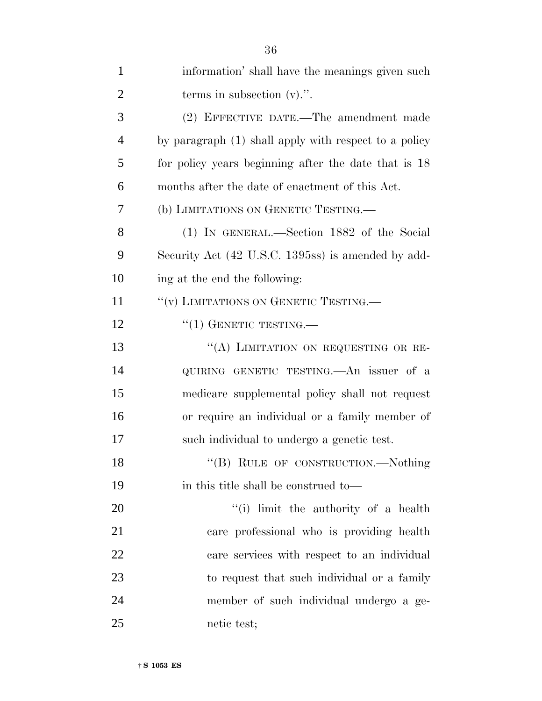| $\mathbf{1}$   | information' shall have the meanings given such       |
|----------------|-------------------------------------------------------|
| $\overline{2}$ | terms in subsection $(v)$ .".                         |
| 3              | (2) EFFECTIVE DATE.—The amendment made                |
| $\overline{4}$ | by paragraph (1) shall apply with respect to a policy |
| 5              | for policy years beginning after the date that is 18  |
| 6              | months after the date of enactment of this Act.       |
| 7              | (b) LIMITATIONS ON GENETIC TESTING.—                  |
| 8              | (1) IN GENERAL.—Section 1882 of the Social            |
| 9              | Security Act (42 U.S.C. 1395ss) is amended by add-    |
| 10             | ing at the end the following:                         |
| 11             | "(v) LIMITATIONS ON GENETIC TESTING.                  |
| 12             | $``(1)$ GENETIC TESTING.—                             |
| 13             | "(A) LIMITATION ON REQUESTING OR RE-                  |
| 14             | QUIRING GENETIC TESTING. An issuer of a               |
| 15             | medicare supplemental policy shall not request        |
| 16             | or require an individual or a family member of        |
| 17             | such individual to undergo a genetic test.            |
| 18             | "(B) RULE OF CONSTRUCTION.—Nothing                    |
| 19             | in this title shall be construed to—                  |
| 20             | "(i) limit the authority of a health                  |
| 21             | care professional who is providing health             |
| 22             | care services with respect to an individual           |
| 23             | to request that such individual or a family           |
| 24             | member of such individual undergo a ge-               |
| 25             | netic test;                                           |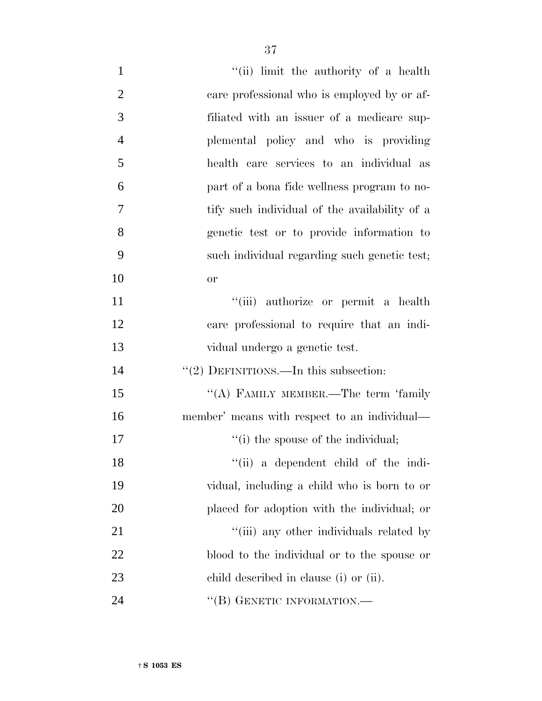| $\mathbf{1}$   | "(ii) limit the authority of a health         |
|----------------|-----------------------------------------------|
| $\overline{2}$ | care professional who is employed by or af-   |
| 3              | filiated with an issuer of a medicare sup-    |
| $\overline{4}$ | plemental policy and who is providing         |
| 5              | health care services to an individual as      |
| 6              | part of a bona fide wellness program to no-   |
| 7              | tify such individual of the availability of a |
| 8              | genetic test or to provide information to     |
| 9              | such individual regarding such genetic test;  |
| 10             | or                                            |
| 11             | "(iii) authorize or permit a health           |
| 12             | care professional to require that an indi-    |
| 13             | vidual undergo a genetic test.                |
| 14             | "(2) DEFINITIONS.—In this subsection:         |
| 15             | "(A) FAMILY MEMBER.—The term 'family          |
| 16             | member' means with respect to an individual—  |
| 17             | "(i) the spouse of the individual;            |
| 18             | "(ii) a dependent child of the indi-          |
| 19             | vidual, including a child who is born to or   |
| 20             | placed for adoption with the individual; or   |
| 21             | "(iii) any other individuals related by       |
| 22             | blood to the individual or to the spouse or   |
| 23             | child described in clause (i) or (ii).        |
| 24             | "(B) GENETIC INFORMATION.—                    |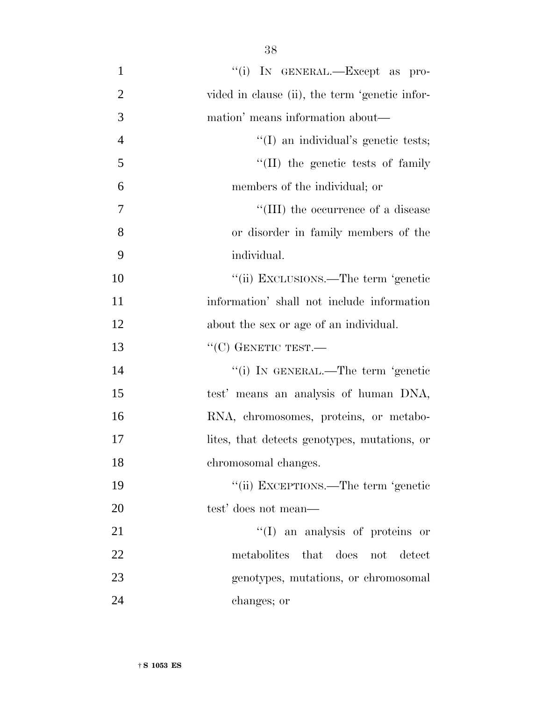| $\mathbf{1}$   | "(i) IN GENERAL.—Except as pro-                |
|----------------|------------------------------------------------|
| $\overline{2}$ | vided in clause (ii), the term 'genetic infor- |
| 3              | mation' means information about—               |
| $\overline{4}$ | "(I) an individual's genetic tests;            |
| 5              | "(II) the genetic tests of family              |
| 6              | members of the individual; or                  |
| 7              | "(III) the occurrence of a disease             |
| 8              | or disorder in family members of the           |
| 9              | individual.                                    |
| 10             | "(ii) EXCLUSIONS.—The term 'genetic            |
| 11             | information' shall not include information     |
| 12             | about the sex or age of an individual.         |
| 13             | $``(C)$ GENETIC TEST.—                         |
| 14             | "(i) IN GENERAL.—The term 'genetic             |
| 15             | test' means an analysis of human DNA,          |
| 16             | RNA, chromosomes, proteins, or metabo-         |
| 17             | lites, that detects genotypes, mutations, or   |
| 18             | chromosomal changes.                           |
| 19             | "(ii) EXCEPTIONS.—The term 'genetic            |
| 20             | test' does not mean—                           |
| 21             | $\lq\lq$ (I) an analysis of proteins or        |
| 22             | metabolites that does not detect               |
| 23             | genotypes, mutations, or chromosomal           |
| 24             | changes; or                                    |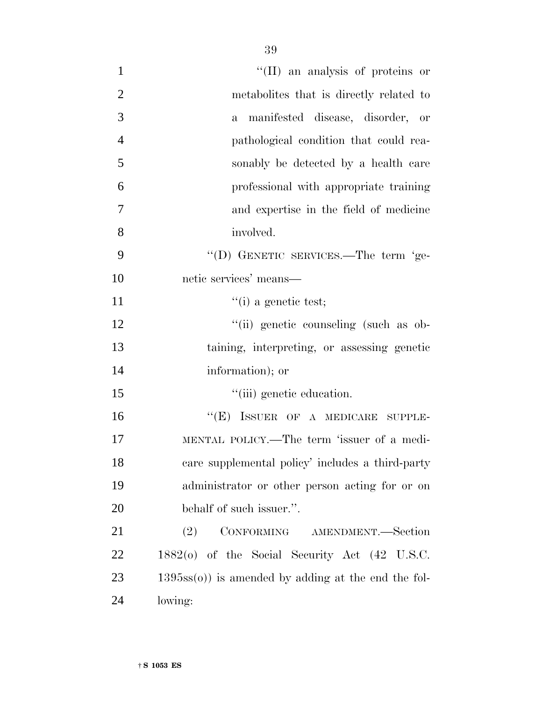| $\mathbf{1}$   | "(II) an analysis of proteins or                           |
|----------------|------------------------------------------------------------|
| $\overline{2}$ | metabolities that is directly related to                   |
| 3              | a manifested disease, disorder, or                         |
| $\overline{4}$ | pathological condition that could rea-                     |
| 5              | sonably be detected by a health care                       |
| 6              | professional with appropriate training                     |
| $\overline{7}$ | and expertise in the field of medicine                     |
| 8              | involved.                                                  |
| 9              | "(D) GENETIC SERVICES.—The term 'ge-                       |
| 10             | netic services' means-                                     |
| 11             | $\lq$ <sup>"</sup> (i) a genetic test;                     |
| 12             | "(ii) genetic counseling (such as ob-                      |
| 13             | taining, interpreting, or assessing genetic                |
| 14             | information); or                                           |
| 15             | "(iii) genetic education.                                  |
| 16             | "(E) ISSUER OF A MEDICARE SUPPLE-                          |
| 17             | MENTAL POLICY.—The term 'issuer of a medi-                 |
| 18             | care supplemental policy' includes a third-party           |
| 19             | administrator or other person acting for or on             |
| 20             | behalf of such issuer.".                                   |
| 21             | CONFORMING AMENDMENT.-Section<br>(2)                       |
| 22             | $1882(0)$ of the Social Security Act $(42 \text{ U.S.C.})$ |
| 23             | $1395ss(0)$ is amended by adding at the end the fol-       |
| 24             | lowing:                                                    |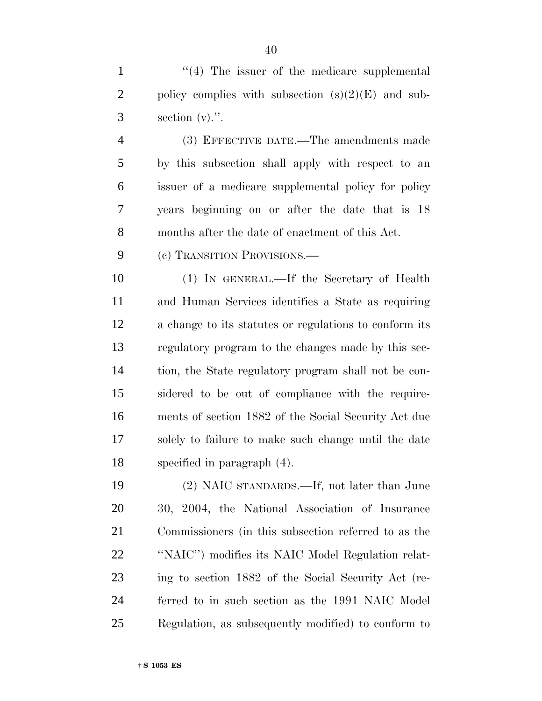1 ''(4) The issuer of the medicare supplemental 2 policy complies with subsection  $(s)(2)(E)$  and sub- $3 \qquad \text{section (v).}$ ".

 (3) EFFECTIVE DATE.—The amendments made by this subsection shall apply with respect to an issuer of a medicare supplemental policy for policy years beginning on or after the date that is 18 months after the date of enactment of this Act.

(c) TRANSITION PROVISIONS.—

 (1) IN GENERAL.—If the Secretary of Health and Human Services identifies a State as requiring a change to its statutes or regulations to conform its regulatory program to the changes made by this sec- tion, the State regulatory program shall not be con- sidered to be out of compliance with the require- ments of section 1882 of the Social Security Act due solely to failure to make such change until the date specified in paragraph (4).

 (2) NAIC STANDARDS.—If, not later than June 30, 2004, the National Association of Insurance Commissioners (in this subsection referred to as the ''NAIC'') modifies its NAIC Model Regulation relat- ing to section 1882 of the Social Security Act (re- ferred to in such section as the 1991 NAIC Model Regulation, as subsequently modified) to conform to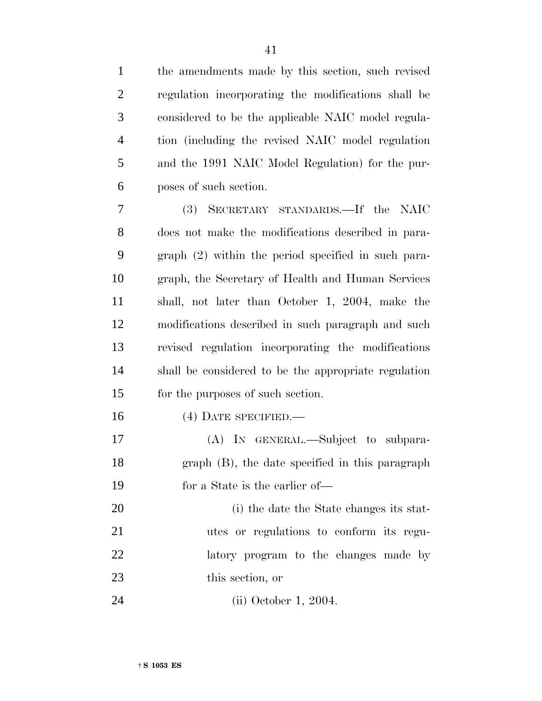| $\mathbf{1}$   | the amendments made by this section, such revised    |
|----------------|------------------------------------------------------|
| $\overline{c}$ | regulation incorporating the modifications shall be  |
| 3              | considered to be the applicable NAIC model regula-   |
| $\overline{4}$ | tion (including the revised NAIC model regulation    |
| 5              | and the 1991 NAIC Model Regulation) for the pur-     |
| 6              | poses of such section.                               |
| 7              | (3) SECRETARY STANDARDS.—If the NAIC                 |
| 8              | does not make the modifications described in para-   |
| 9              | graph (2) within the period specified in such para-  |
| 10             | graph, the Secretary of Health and Human Services    |
| 11             | shall, not later than October 1, 2004, make the      |
| 12             | modifications described in such paragraph and such   |
| 13             | revised regulation incorporating the modifications   |
| 14             | shall be considered to be the appropriate regulation |
| 15             | for the purposes of such section.                    |
| 16             | $(4)$ DATE SPECIFIED.—                               |
| 17             | (A) IN GENERAL.—Subject to subpara-                  |
| 18             | graph (B), the date specified in this paragraph      |
| 19             | for a State is the earlier of—                       |
| 20             | (i) the date the State changes its stat-             |
| 21             | utes or regulations to conform its regu-             |
| 22             | latory program to the changes made by                |
| 23             | this section, or                                     |
| 24             | $(ii)$ October 1, 2004.                              |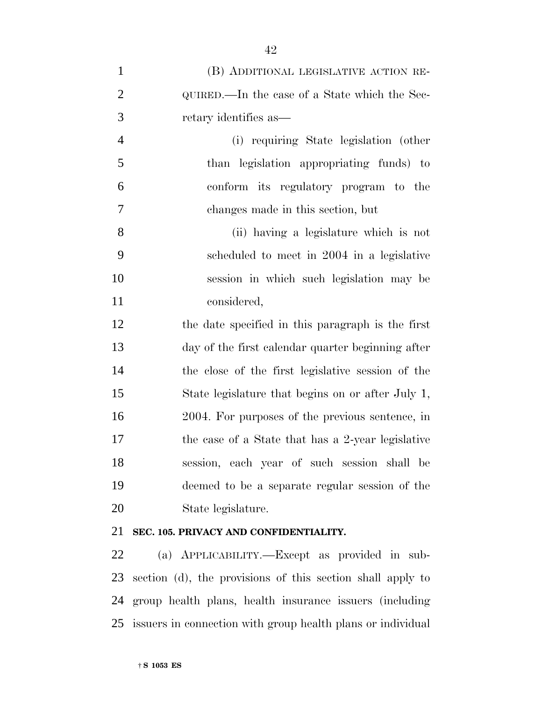| $\mathbf{1}$   | (B) ADDITIONAL LEGISLATIVE ACTION RE-             |
|----------------|---------------------------------------------------|
| $\overline{2}$ | QUIRED.—In the case of a State which the Sec-     |
| 3              | retary identifies as—                             |
| $\overline{4}$ | (i) requiring State legislation (other            |
| 5              | than legislation appropriating funds) to          |
| 6              | conform its regulatory program to the             |
| 7              | changes made in this section, but                 |
| 8              | (ii) having a legislature which is not            |
| 9              | scheduled to meet in 2004 in a legislative        |
| 10             | session in which such legislation may be          |
| 11             | considered,                                       |
| 12             | the date specified in this paragraph is the first |
| 13             | day of the first calendar quarter beginning after |
| 14             | the close of the first legislative session of the |
| 15             | State legislature that begins on or after July 1, |
| 16             | 2004. For purposes of the previous sentence, in   |
| 17             | the case of a State that has a 2-year legislative |
| 18             | session, each year of such session shall be       |
| 19             | deemed to be a separate regular session of the    |
| 20             | State legislature.                                |
|                |                                                   |

# **SEC. 105. PRIVACY AND CONFIDENTIALITY.**

 (a) APPLICABILITY.—Except as provided in sub- section (d), the provisions of this section shall apply to group health plans, health insurance issuers (including issuers in connection with group health plans or individual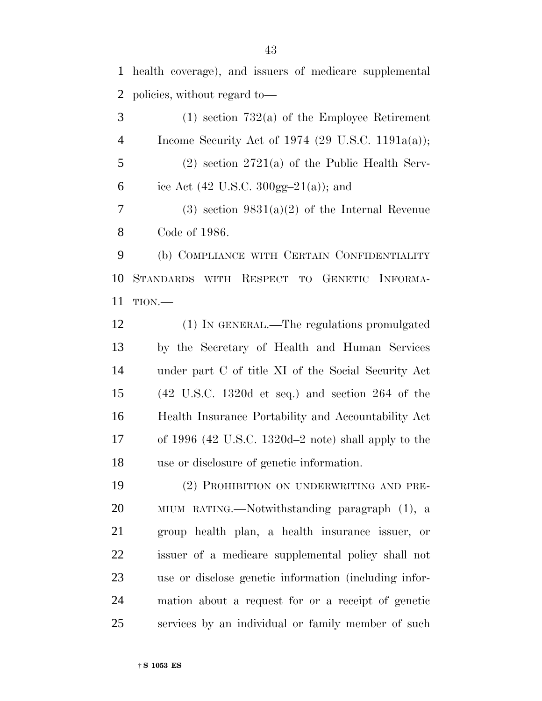health coverage), and issuers of medicare supplemental policies, without regard to—

 (1) section 732(a) of the Employee Retirement Income Security Act of 1974 (29 U.S.C. 1191a(a)); (2) section 2721(a) of the Public Health Serv-6 ice Act (42 U.S.C. 300gg-21(a)); and 7 (3) section  $9831(a)(2)$  of the Internal Revenue Code of 1986. (b) COMPLIANCE WITH CERTAIN CONFIDENTIALITY STANDARDS WITH RESPECT TO GENETIC INFORMA- TION.— (1) IN GENERAL.—The regulations promulgated by the Secretary of Health and Human Services under part C of title XI of the Social Security Act

 (42 U.S.C. 1320d et seq.) and section 264 of the Health Insurance Portability and Accountability Act of 1996 (42 U.S.C. 1320d–2 note) shall apply to the use or disclosure of genetic information.

 (2) PROHIBITION ON UNDERWRITING AND PRE- MIUM RATING.—Notwithstanding paragraph (1), a group health plan, a health insurance issuer, or issuer of a medicare supplemental policy shall not use or disclose genetic information (including infor- mation about a request for or a receipt of genetic services by an individual or family member of such

† **S 1053 ES**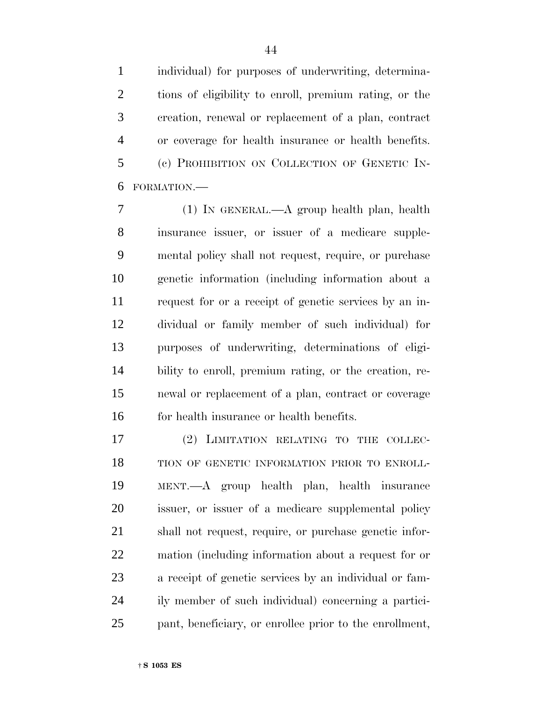individual) for purposes of underwriting, determina- tions of eligibility to enroll, premium rating, or the creation, renewal or replacement of a plan, contract or coverage for health insurance or health benefits. (c) PROHIBITION ON COLLECTION OF GENETIC IN-FORMATION.—

 (1) IN GENERAL.—A group health plan, health insurance issuer, or issuer of a medicare supple- mental policy shall not request, require, or purchase genetic information (including information about a request for or a receipt of genetic services by an in- dividual or family member of such individual) for purposes of underwriting, determinations of eligi- bility to enroll, premium rating, or the creation, re- newal or replacement of a plan, contract or coverage 16 for health insurance or health benefits.

 (2) LIMITATION RELATING TO THE COLLEC- TION OF GENETIC INFORMATION PRIOR TO ENROLL- MENT.—A group health plan, health insurance issuer, or issuer of a medicare supplemental policy shall not request, require, or purchase genetic infor- mation (including information about a request for or a receipt of genetic services by an individual or fam- ily member of such individual) concerning a partici-pant, beneficiary, or enrollee prior to the enrollment,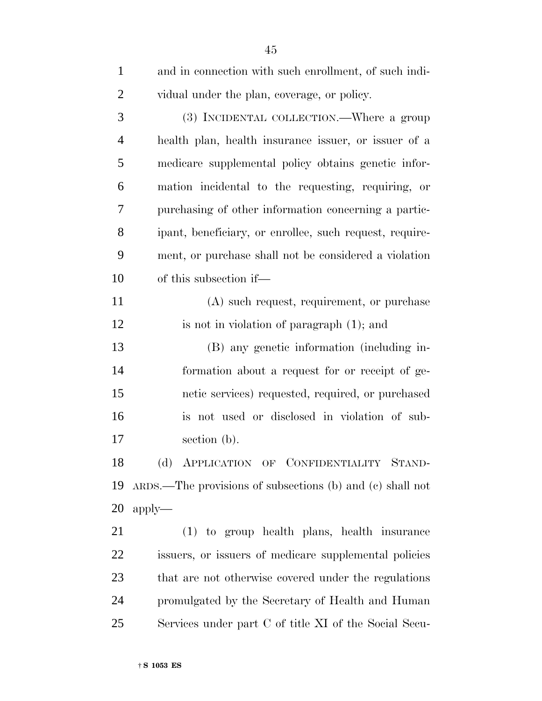| $\mathbf{1}$   | and in connection with such enrollment, of such indi-        |
|----------------|--------------------------------------------------------------|
| $\overline{2}$ | vidual under the plan, coverage, or policy.                  |
| 3              | (3) INCIDENTAL COLLECTION.—Where a group                     |
| $\overline{4}$ | health plan, health insurance issuer, or issuer of a         |
| 5              | medicare supplemental policy obtains genetic infor-          |
| 6              | mation incidental to the requesting, requiring, or           |
| 7              | purchasing of other information concerning a partic-         |
| 8              | ipant, beneficiary, or enrollee, such request, require-      |
| 9              | ment, or purchase shall not be considered a violation        |
| 10             | of this subsection if—                                       |
| 11             | (A) such request, requirement, or purchase                   |
| 12             | is not in violation of paragraph (1); and                    |
| 13             | (B) any genetic information (including in-                   |
| 14             | formation about a request for or receipt of ge-              |
| 15             | netic services) requested, required, or purchased            |
| 16             | is not used or disclosed in violation of sub-                |
| 17             | section (b).                                                 |
| 18             | (d) APPLICATION OF CONFIDENTIALITY STAND-                    |
| 19             | $ARDS$ . The provisions of subsections (b) and (c) shall not |
| 20             | $apply-$                                                     |
| 21             | (1) to group health plans, health insurance                  |
| 22             | issuers, or issuers of medicare supplemental policies        |
| 23             | that are not otherwise covered under the regulations         |
| 24             | promulgated by the Secretary of Health and Human             |
| 25             | Services under part C of title XI of the Social Secu-        |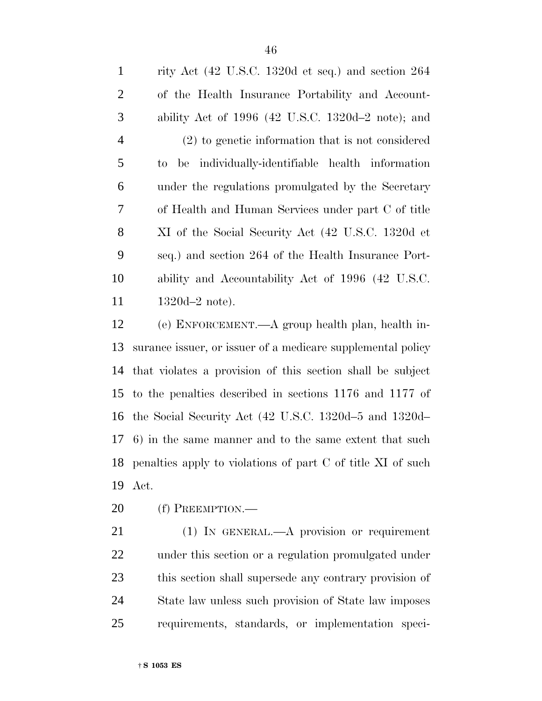rity Act (42 U.S.C. 1320d et seq.) and section 264 of the Health Insurance Portability and Account- ability Act of 1996 (42 U.S.C. 1320d–2 note); and (2) to genetic information that is not considered to be individually-identifiable health information under the regulations promulgated by the Secretary of Health and Human Services under part C of title XI of the Social Security Act (42 U.S.C. 1320d et seq.) and section 264 of the Health Insurance Port- ability and Accountability Act of 1996 (42 U.S.C. 11 1320d–2 note).

 (e) ENFORCEMENT.—A group health plan, health in- surance issuer, or issuer of a medicare supplemental policy that violates a provision of this section shall be subject to the penalties described in sections 1176 and 1177 of the Social Security Act (42 U.S.C. 1320d–5 and 1320d– 6) in the same manner and to the same extent that such penalties apply to violations of part C of title XI of such Act.

(f) PREEMPTION.—

 (1) IN GENERAL.—A provision or requirement under this section or a regulation promulgated under this section shall supersede any contrary provision of State law unless such provision of State law imposes requirements, standards, or implementation speci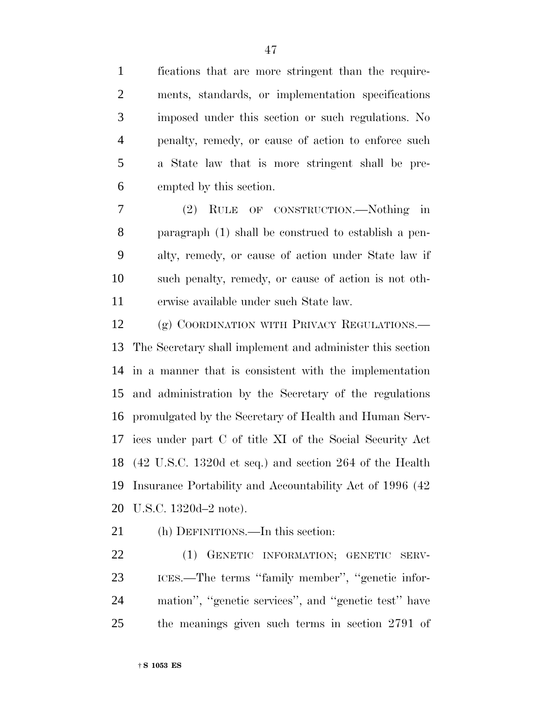fications that are more stringent than the require- ments, standards, or implementation specifications imposed under this section or such regulations. No penalty, remedy, or cause of action to enforce such a State law that is more stringent shall be pre-empted by this section.

 (2) RULE OF CONSTRUCTION.—Nothing in paragraph (1) shall be construed to establish a pen- alty, remedy, or cause of action under State law if such penalty, remedy, or cause of action is not oth-erwise available under such State law.

12 (g) COORDINATION WITH PRIVACY REGULATIONS. The Secretary shall implement and administer this section in a manner that is consistent with the implementation and administration by the Secretary of the regulations promulgated by the Secretary of Health and Human Serv- ices under part C of title XI of the Social Security Act (42 U.S.C. 1320d et seq.) and section 264 of the Health Insurance Portability and Accountability Act of 1996 (42 U.S.C. 1320d–2 note).

(h) DEFINITIONS.—In this section:

 (1) GENETIC INFORMATION; GENETIC SERV- ICES.—The terms ''family member'', ''genetic infor- mation'', ''genetic services'', and ''genetic test'' have the meanings given such terms in section 2791 of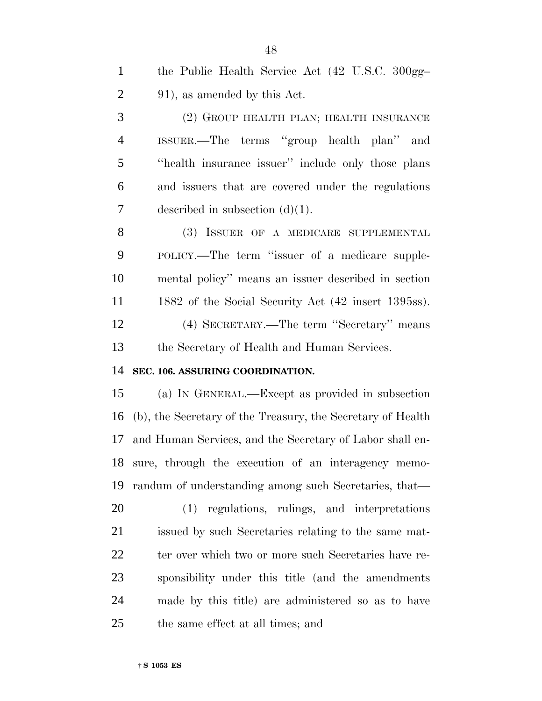| $\mathbf{1}$   | the Public Health Service Act (42 U.S.C. 300gg-             |
|----------------|-------------------------------------------------------------|
| $\overline{2}$ | 91), as amended by this Act.                                |
| 3              | (2) GROUP HEALTH PLAN; HEALTH INSURANCE                     |
| $\overline{4}$ | ISSUER.—The terms "group health plan" and                   |
| 5              | "health insurance issuer" include only those plans          |
| 6              | and issuers that are covered under the regulations          |
| $\overline{7}$ | described in subsection $(d)(1)$ .                          |
| 8              | (3) ISSUER OF A MEDICARE SUPPLEMENTAL                       |
| 9              | POLICY.—The term "issuer of a medicare supple-              |
| 10             | mental policy" means an issuer described in section         |
| 11             | 1882 of the Social Security Act (42 insert 1395ss).         |
| 12             | (4) SECRETARY.—The term "Secretary" means                   |
| 13             | the Secretary of Health and Human Services.                 |
| 14             | SEC. 106. ASSURING COORDINATION.                            |
| 15             | (a) IN GENERAL.—Except as provided in subsection            |
| 16             | (b), the Secretary of the Treasury, the Secretary of Health |
| 17             | and Human Services, and the Secretary of Labor shall en-    |
|                | 18 sure, through the execution of an interagency memo-      |
| 19             | randum of understanding among such Secretaries, that—       |
| 20             | (1) regulations, rulings, and interpretations               |
| 21             | issued by such Secretaries relating to the same mat-        |
| 22             | ter over which two or more such Secretaries have re-        |
| 23             | sponsibility under this title (and the amendments           |
| 24             | made by this title) are administered so as to have          |
| 25             | the same effect at all times; and                           |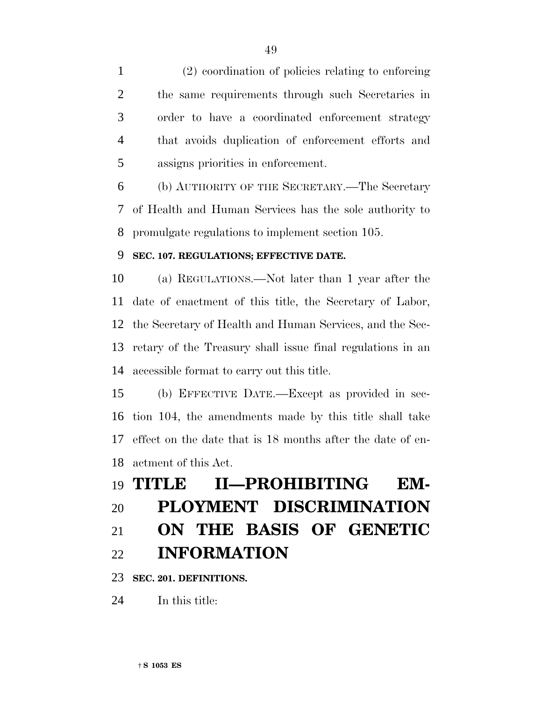(2) coordination of policies relating to enforcing the same requirements through such Secretaries in order to have a coordinated enforcement strategy that avoids duplication of enforcement efforts and assigns priorities in enforcement.

 (b) AUTHORITY OF THE SECRETARY.—The Secretary of Health and Human Services has the sole authority to promulgate regulations to implement section 105.

# **SEC. 107. REGULATIONS; EFFECTIVE DATE.**

 (a) REGULATIONS.—Not later than 1 year after the date of enactment of this title, the Secretary of Labor, the Secretary of Health and Human Services, and the Sec- retary of the Treasury shall issue final regulations in an accessible format to carry out this title.

 (b) EFFECTIVE DATE.—Except as provided in sec- tion 104, the amendments made by this title shall take effect on the date that is 18 months after the date of en-actment of this Act.

# **TITLE II—PROHIBITING EM- PLOYMENT DISCRIMINATION ON THE BASIS OF GENETIC INFORMATION**

**SEC. 201. DEFINITIONS.**

In this title: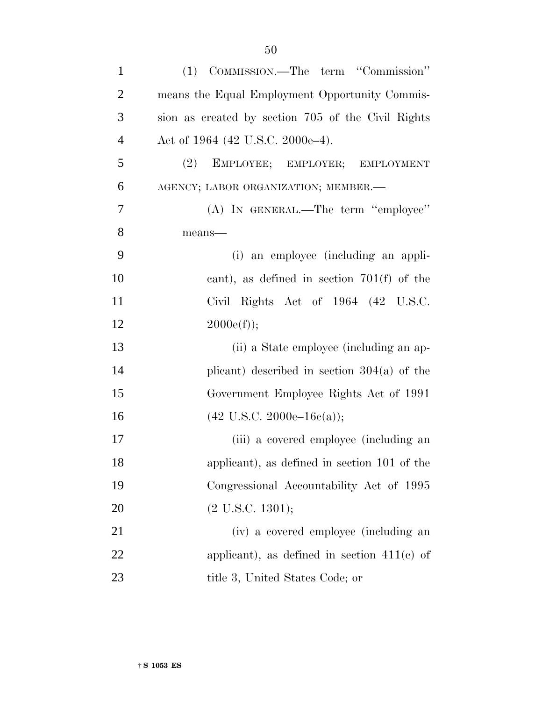| $\mathbf{1}$   | (1) COMMISSION.—The term "Commission"              |
|----------------|----------------------------------------------------|
| $\overline{2}$ | means the Equal Employment Opportunity Commis-     |
| 3              | sion as created by section 705 of the Civil Rights |
| $\overline{4}$ | Act of 1964 (42 U.S.C. 2000e–4).                   |
| 5              | (2)<br>EMPLOYEE; EMPLOYER; EMPLOYMENT              |
| 6              | AGENCY; LABOR ORGANIZATION; MEMBER.-               |
| 7              | (A) IN GENERAL.—The term "employee"                |
| 8              | means-                                             |
| 9              | (i) an employee (including an appli-               |
| 10             | cant), as defined in section $701(f)$ of the       |
| 11             | Civil Rights Act of 1964 (42 U.S.C.                |
| 12             | $2000e(f)$ ;                                       |
| 13             | (ii) a State employee (including an ap-            |
| 14             | plicant) described in section $304(a)$ of the      |
| 15             | Government Employee Rights Act of 1991             |
| 16             | $(42 \text{ U.S.C. } 2000\text{e}-16\text{e(a)});$ |
| 17             | (iii) a covered employee (including an             |
| 18             | applicant), as defined in section 101 of the       |
| 19             | Congressional Accountability Act of 1995           |
| 20             | $(2 \text{ U.S.C. } 1301);$                        |
| 21             | (iv) a covered employee (including an              |
| 22             | applicant), as defined in section $411(c)$ of      |
| 23             | title 3, United States Code; or                    |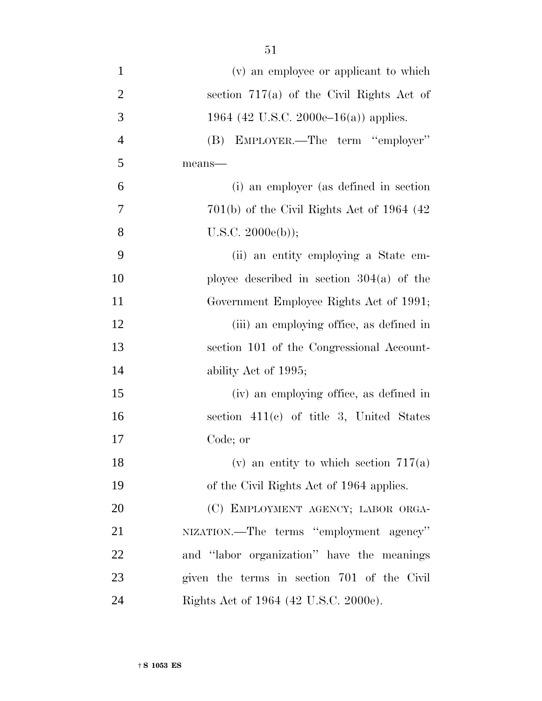| $\mathbf{1}$   | (v) an employee or applicant to which         |
|----------------|-----------------------------------------------|
| $\overline{2}$ | section $717(a)$ of the Civil Rights Act of   |
| 3              | 1964 (42 U.S.C. 2000e–16(a)) applies.         |
| $\overline{4}$ | (B) EMPLOYER.—The term "employer"             |
| 5              | means-                                        |
| 6              | (i) an employer (as defined in section        |
| $\overline{7}$ | $701(b)$ of the Civil Rights Act of 1964 (42) |
| 8              | U.S.C. 2000e(b));                             |
| 9              | (ii) an entity employing a State em-          |
| 10             | ployee described in section $304(a)$ of the   |
| 11             | Government Employee Rights Act of 1991;       |
| 12             | (iii) an employing office, as defined in      |
| 13             | section 101 of the Congressional Account-     |
| 14             | ability Act of 1995;                          |
| 15             | (iv) an employing office, as defined in       |
| 16             | section $411(c)$ of title 3, United States    |
| 17             | Code; or                                      |
| 18             | (v) an entity to which section $717(a)$       |
| 19             | of the Civil Rights Act of 1964 applies.      |
| 20             | (C) EMPLOYMENT AGENCY; LABOR ORGA-            |
| 21             | NIZATION.—The terms "employment agency"       |
| 22             | and "labor organization" have the meanings    |
| 23             | given the terms in section 701 of the Civil   |
| 24             | Rights Act of 1964 (42 U.S.C. 2000e).         |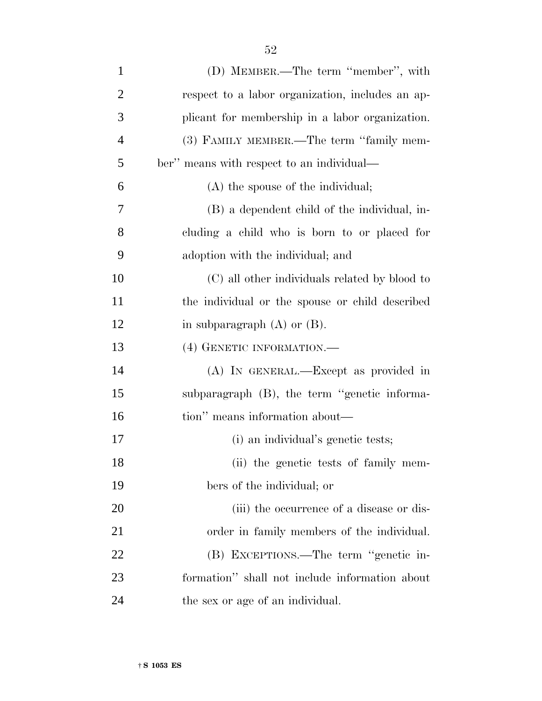| $\mathbf{1}$   | (D) MEMBER.—The term "member", with              |
|----------------|--------------------------------------------------|
| $\overline{2}$ | respect to a labor organization, includes an ap- |
| 3              | plicant for membership in a labor organization.  |
| $\overline{4}$ | (3) FAMILY MEMBER.—The term "family mem-         |
| 5              | ber" means with respect to an individual—        |
| 6              | (A) the spouse of the individual;                |
| $\overline{7}$ | (B) a dependent child of the individual, in-     |
| 8              | cluding a child who is born to or placed for     |
| 9              | adoption with the individual; and                |
| 10             | (C) all other individuals related by blood to    |
| 11             | the individual or the spouse or child described  |
| 12             | in subparagraph $(A)$ or $(B)$ .                 |
| 13             | (4) GENETIC INFORMATION.                         |
| 14             | (A) IN GENERAL.—Except as provided in            |
| 15             | subparagraph (B), the term "genetic informa-     |
| 16             | tion" means information about—                   |
| 17             | (i) an individual's genetic tests;               |
| 18             | (ii) the genetic tests of family mem-            |
| 19             | bers of the individual; or                       |
| 20             | (iii) the occurrence of a disease or dis-        |
| 21             | order in family members of the individual.       |
| 22             | (B) EXCEPTIONS.—The term "genetic in-            |
| 23             | formation" shall not include information about   |
| 24             | the sex or age of an individual.                 |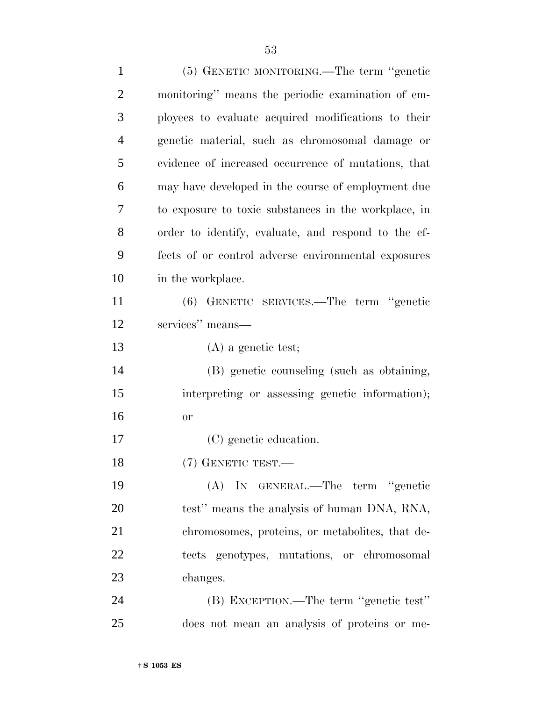| $\mathbf{1}$   | (5) GENETIC MONITORING.—The term "genetic            |
|----------------|------------------------------------------------------|
| $\overline{2}$ | monitoring" means the periodic examination of em-    |
| 3              | ployees to evaluate acquired modifications to their  |
| $\overline{4}$ | genetic material, such as chromosomal damage or      |
| 5              | evidence of increased occurrence of mutations, that  |
| 6              | may have developed in the course of employment due   |
| 7              | to exposure to toxic substances in the workplace, in |
| 8              | order to identify, evaluate, and respond to the ef-  |
| 9              | fects of or control adverse environmental exposures  |
| 10             | in the workplace.                                    |
| 11             | (6) GENETIC SERVICES.—The term "genetic              |
| 12             | services" means-                                     |
| 13             | $(A)$ a genetic test;                                |
| 14             | (B) genetic counseling (such as obtaining,           |
| 15             | interpreting or assessing genetic information);      |
| 16             | or                                                   |
| 17             | (C) genetic education.                               |
| 18             | $(7)$ GENETIC TEST. —                                |
| 19             | (A) IN GENERAL.—The term "genetic                    |
| 20             | test" means the analysis of human DNA, RNA,          |
| 21             | chromosomes, proteins, or metabolites, that de-      |
| 22             | tects genotypes, mutations, or chromosomal           |
| 23             | changes.                                             |
| 24             | (B) EXCEPTION.—The term "genetic test"               |
| 25             | does not mean an analysis of proteins or me-         |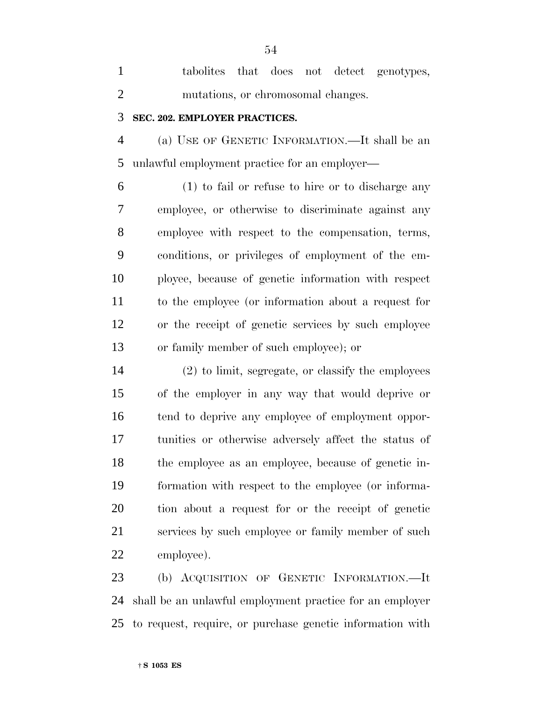| $\mathbf{1}$   | tabolities that does not detect genotypes,          |
|----------------|-----------------------------------------------------|
| $\overline{2}$ | mutations, or chromosomal changes.                  |
| 3              | SEC. 202. EMPLOYER PRACTICES.                       |
| $\overline{4}$ | (a) USE OF GENETIC INFORMATION.—It shall be an      |
| 5              | unlawful employment practice for an employer—       |
| 6              | (1) to fail or refuse to hire or to discharge any   |
| 7              | employee, or otherwise to discriminate against any  |
| 8              | employee with respect to the compensation, terms,   |
| 9              | conditions, or privileges of employment of the em-  |
| 10             | ployee, because of genetic information with respect |
| 11             | to the employee (or information about a request for |
| 12             | or the receipt of genetic services by such employee |
| 13             | or family member of such employee); or              |
| 14             | (2) to limit, segregate, or classify the employees  |
| 15             | of the employer in any way that would deprive or    |
| 16             | tend to deprive any employee of employment oppor-   |
|                |                                                     |

16 tend to deprive any employee of employment oppor- tunities or otherwise adversely affect the status of the employee as an employee, because of genetic in- formation with respect to the employee (or informa- tion about a request for or the receipt of genetic services by such employee or family member of such employee).

 (b) ACQUISITION OF GENETIC INFORMATION.—It shall be an unlawful employment practice for an employer to request, require, or purchase genetic information with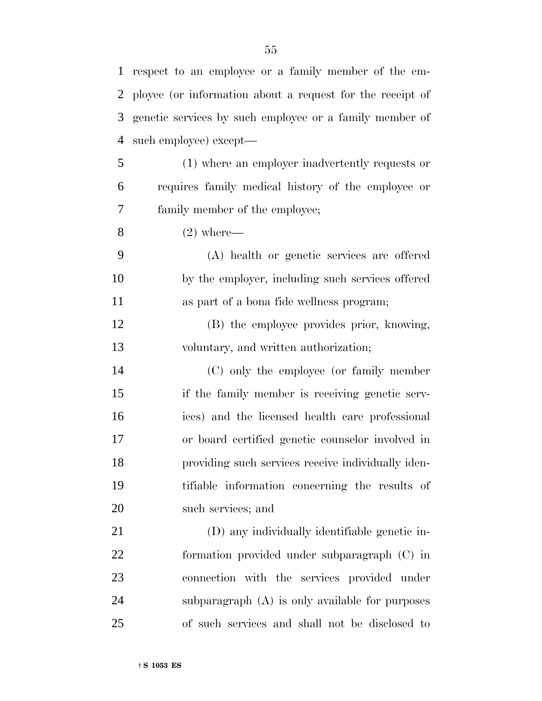| $\mathbf{1}$ | respect to an employee or a family member of the em-      |
|--------------|-----------------------------------------------------------|
| 2            | ployee (or information about a request for the receipt of |
| 3            | genetic services by such employee or a family member of   |
| 4            | such employee) except—                                    |
| 5            | (1) where an employer inadvertently requests or           |
| 6            | requires family medical history of the employee or        |
| 7            | family member of the employee;                            |
| 8            | $(2)$ where—                                              |
| 9            | (A) health or genetic services are offered                |
| 10           | by the employer, including such services offered          |
| 11           | as part of a bona fide wellness program;                  |
| 12           | (B) the employee provides prior, knowing,                 |
| 13           | voluntary, and written authorization;                     |
| 14           | (C) only the employee (or family member                   |
| 15           | if the family member is receiving genetic serv-           |
| 16           | ices) and the licensed health care professional           |
| 17           | or board certified genetic counselor involved in          |
| 18           | providing such services receive individually iden-        |
| 19           | tifiable information concerning the results of            |
| 20           | such services; and                                        |
| 21           | (D) any individually identifiable genetic in-             |
| 22           | formation provided under subparagraph (C) in              |
| 23           | connection with the services provided under               |
| 24           | subparagraph (A) is only available for purposes           |
| 25           | of such services and shall not be disclosed to            |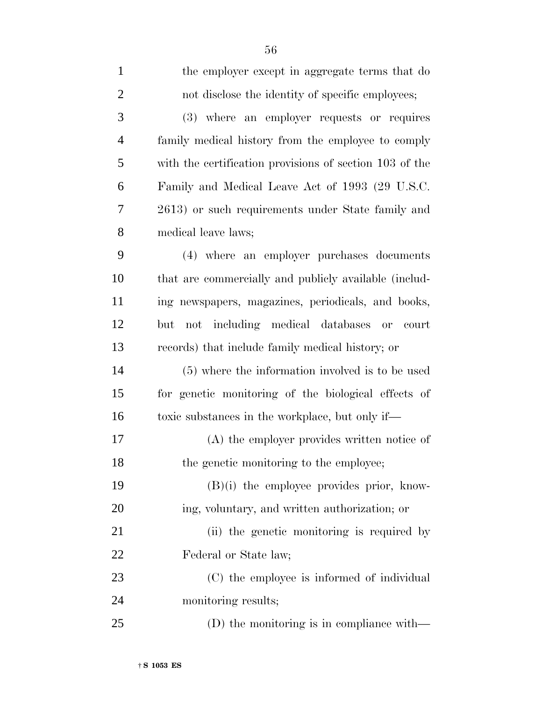| $\mathbf{1}$   | the employer except in aggregate terms that do          |
|----------------|---------------------------------------------------------|
| $\overline{2}$ | not disclose the identity of specific employees;        |
| 3              | (3) where an employer requests or requires              |
| $\overline{4}$ | family medical history from the employee to comply      |
| 5              | with the certification provisions of section 103 of the |
| 6              | Family and Medical Leave Act of 1993 (29 U.S.C.         |
| 7              | 2613) or such requirements under State family and       |
| 8              | medical leave laws;                                     |
| 9              | (4) where an employer purchases documents               |
| 10             | that are commercially and publicly available (includ-   |
| 11             | ing newspapers, magazines, periodicals, and books,      |
| 12             | not including medical databases<br>court<br>but<br>or   |
| 13             | records) that include family medical history; or        |
| 14             | (5) where the information involved is to be used        |
| 15             | for genetic monitoring of the biological effects of     |
| 16             | toxic substances in the workplace, but only if—         |
| 17             | (A) the employer provides written notice of             |
| 18             | the genetic monitoring to the employee;                 |
| 19             | $(B)(i)$ the employee provides prior, know-             |
| 20             | ing, voluntary, and written authorization; or           |
| 21             | (ii) the genetic monitoring is required by              |
| 22             | Federal or State law;                                   |
| 23             | (C) the employee is informed of individual              |
| 24             | monitoring results;                                     |
| 25             | (D) the monitoring is in compliance with—               |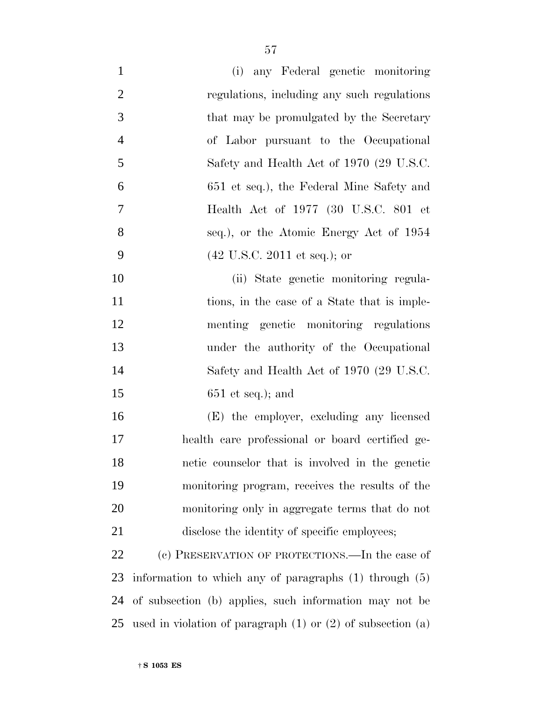| $\mathbf{1}$   | (i) any Federal genetic monitoring                                |
|----------------|-------------------------------------------------------------------|
| $\overline{2}$ | regulations, including any such regulations                       |
| 3              | that may be promulgated by the Secretary                          |
| $\overline{4}$ | of Labor pursuant to the Occupational                             |
| 5              | Safety and Health Act of 1970 (29 U.S.C.                          |
| 6              | 651 et seq.), the Federal Mine Safety and                         |
| $\overline{7}$ | Health Act of 1977 (30 U.S.C. 801 et                              |
| 8              | seq.), or the Atomic Energy Act of 1954                           |
| 9              | $(42 \text{ U.S.C. } 2011 \text{ et seq.});$ or                   |
| 10             | (ii) State genetic monitoring regula-                             |
| 11             | tions, in the case of a State that is imple-                      |
| 12             | menting genetic monitoring regulations                            |
| 13             | under the authority of the Occupational                           |
| 14             | Safety and Health Act of 1970 (29 U.S.C.                          |
| 15             | $651$ et seq.); and                                               |
| 16             | (E) the employer, excluding any licensed                          |
| 17             | health care professional or board certified ge-                   |
| 18             | netic counselor that is involved in the genetic                   |
| 19             | monitoring program, receives the results of the                   |
| 20             | monitoring only in aggregate terms that do not                    |
| 21             | disclose the identity of specific employees;                      |
| 22             | (c) PRESERVATION OF PROTECTIONS.—In the case of                   |
| 23             | information to which any of paragraphs $(1)$ through $(5)$        |
| 24             | of subsection (b) applies, such information may not be            |
| 25             | used in violation of paragraph $(1)$ or $(2)$ of subsection $(a)$ |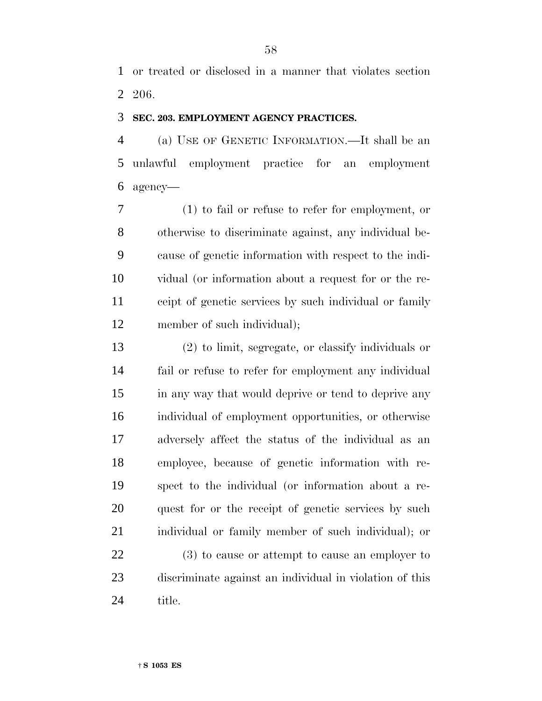or treated or disclosed in a manner that violates section 206.

#### **SEC. 203. EMPLOYMENT AGENCY PRACTICES.**

 (a) USE OF GENETIC INFORMATION.—It shall be an unlawful employment practice for an employment agency—

 (1) to fail or refuse to refer for employment, or otherwise to discriminate against, any individual be- cause of genetic information with respect to the indi- vidual (or information about a request for or the re- ceipt of genetic services by such individual or family member of such individual);

 (2) to limit, segregate, or classify individuals or fail or refuse to refer for employment any individual in any way that would deprive or tend to deprive any individual of employment opportunities, or otherwise adversely affect the status of the individual as an employee, because of genetic information with re- spect to the individual (or information about a re- quest for or the receipt of genetic services by such individual or family member of such individual); or

 (3) to cause or attempt to cause an employer to discriminate against an individual in violation of this title.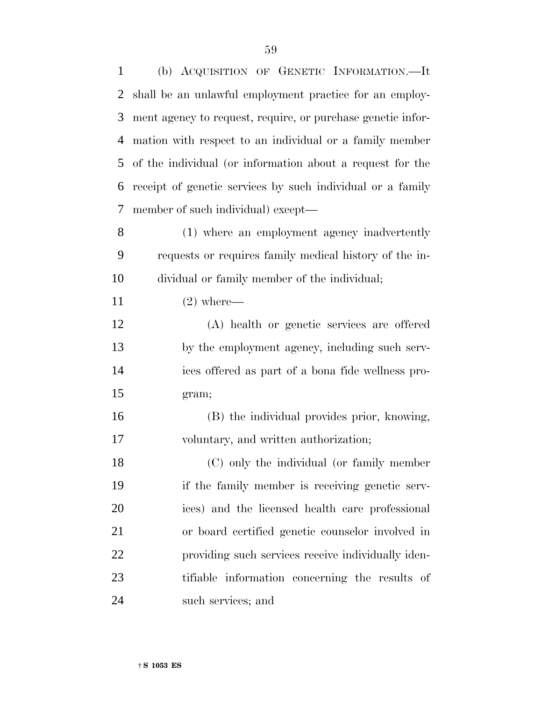| $\mathbf{1}$ | (b) ACQUISITION OF GENETIC INFORMATION.-It                  |
|--------------|-------------------------------------------------------------|
| 2            | shall be an unlawful employment practice for an employ-     |
| 3            | ment agency to request, require, or purchase genetic infor- |
| 4            | mation with respect to an individual or a family member     |
| 5            | of the individual (or information about a request for the   |
| 6            | receipt of genetic services by such individual or a family  |
| 7            | member of such individual) except—                          |
| 8            | (1) where an employment agency inadvertently                |
| 9            | requests or requires family medical history of the in-      |
| 10           | dividual or family member of the individual;                |
| 11           | $(2)$ where—                                                |
| 12           | (A) health or genetic services are offered                  |
| 13           | by the employment agency, including such serv-              |
| 14           | ices offered as part of a bona fide wellness pro-           |
| 15           | gram;                                                       |
| 16           | (B) the individual provides prior, knowing,                 |
| 17           | voluntary, and written authorization;                       |
| 18           | (C) only the individual (or family member                   |
| 19           | if the family member is receiving genetic serv-             |
| 20           | ices) and the licensed health care professional             |
| 21           | or board certified genetic counselor involved in            |
| 22           | providing such services receive individually iden-          |
| 23           | tifiable information concerning the results of              |
| 24           | such services; and                                          |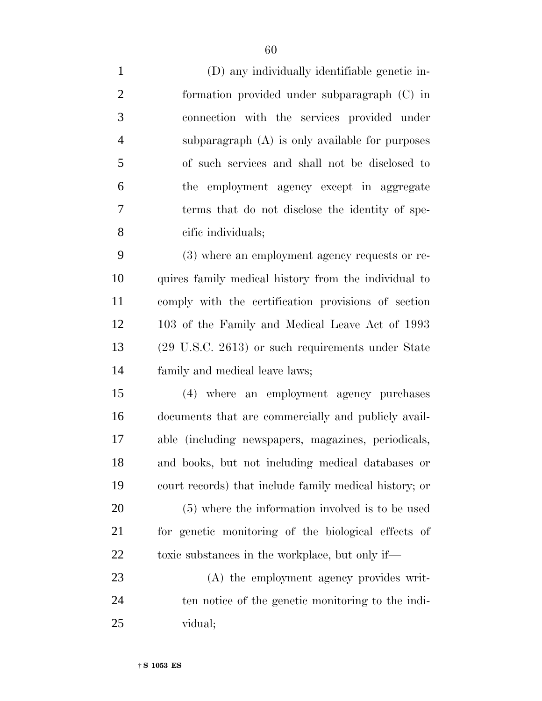(D) any individually identifiable genetic in- formation provided under subparagraph (C) in connection with the services provided under subparagraph (A) is only available for purposes of such services and shall not be disclosed to the employment agency except in aggregate terms that do not disclose the identity of spe- cific individuals; (3) where an employment agency requests or re- quires family medical history from the individual to comply with the certification provisions of section 103 of the Family and Medical Leave Act of 1993 (29 U.S.C. 2613) or such requirements under State family and medical leave laws;

 (4) where an employment agency purchases documents that are commercially and publicly avail- able (including newspapers, magazines, periodicals, and books, but not including medical databases or court records) that include family medical history; or (5) where the information involved is to be used for genetic monitoring of the biological effects of 22 toxic substances in the workplace, but only if—

 (A) the employment agency provides writ- ten notice of the genetic monitoring to the indi-vidual;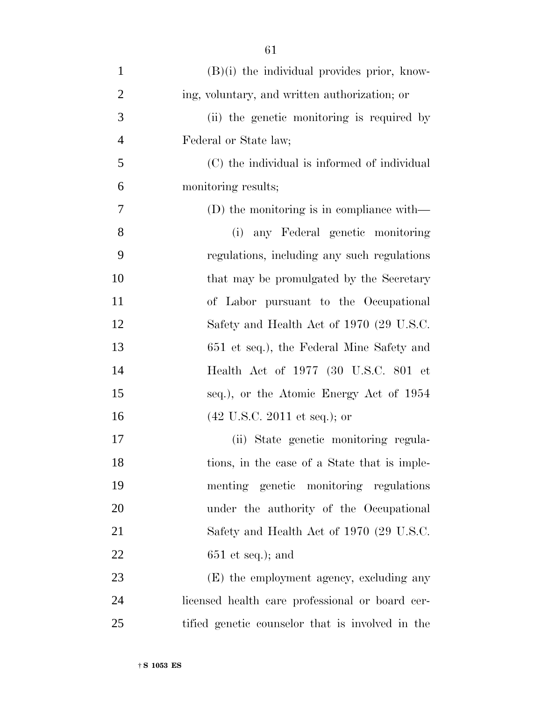| $\mathbf{1}$   | $(B)(i)$ the individual provides prior, know-    |
|----------------|--------------------------------------------------|
| $\overline{2}$ | ing, voluntary, and written authorization; or    |
| 3              | (ii) the genetic monitoring is required by       |
| $\overline{4}$ | Federal or State law;                            |
| 5              | (C) the individual is informed of individual     |
| 6              | monitoring results;                              |
| 7              | $(D)$ the monitoring is in compliance with—      |
| 8              | (i) any Federal genetic monitoring               |
| 9              | regulations, including any such regulations      |
| 10             | that may be promulgated by the Secretary         |
| 11             | of Labor pursuant to the Occupational            |
| 12             | Safety and Health Act of 1970 (29 U.S.C.         |
| 13             | 651 et seq.), the Federal Mine Safety and        |
| 14             | Health Act of 1977 (30 U.S.C. 801 et             |
| 15             | seq.), or the Atomic Energy Act of 1954          |
| 16             | $(42 \text{ U.S.C. } 2011 \text{ et seq.});$ or  |
| 17             | (ii) State genetic monitoring regula-            |
| 18             | tions, in the case of a State that is imple-     |
| 19             | menting genetic monitoring regulations           |
| 20             | under the authority of the Occupational          |
| 21             | Safety and Health Act of 1970 (29 U.S.C.         |
| 22             | $651$ et seq.); and                              |
| 23             | (E) the employment agency, excluding any         |
| 24             | licensed health care professional or board cer-  |
| 25             | tified genetic counselor that is involved in the |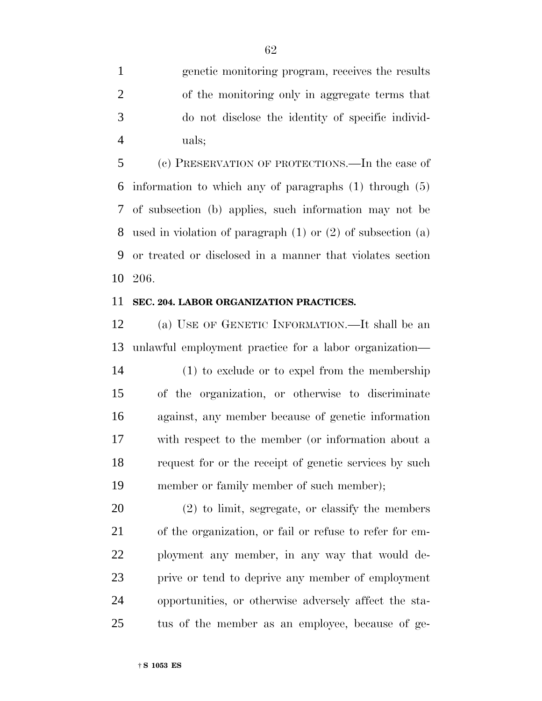genetic monitoring program, receives the results of the monitoring only in aggregate terms that do not disclose the identity of specific individ-uals;

 (c) PRESERVATION OF PROTECTIONS.—In the case of information to which any of paragraphs (1) through (5) of subsection (b) applies, such information may not be used in violation of paragraph (1) or (2) of subsection (a) or treated or disclosed in a manner that violates section 206.

## **SEC. 204. LABOR ORGANIZATION PRACTICES.**

 (a) USE OF GENETIC INFORMATION.—It shall be an unlawful employment practice for a labor organization— (1) to exclude or to expel from the membership of the organization, or otherwise to discriminate against, any member because of genetic information with respect to the member (or information about a request for or the receipt of genetic services by such member or family member of such member);

 (2) to limit, segregate, or classify the members of the organization, or fail or refuse to refer for em- ployment any member, in any way that would de- prive or tend to deprive any member of employment opportunities, or otherwise adversely affect the sta-tus of the member as an employee, because of ge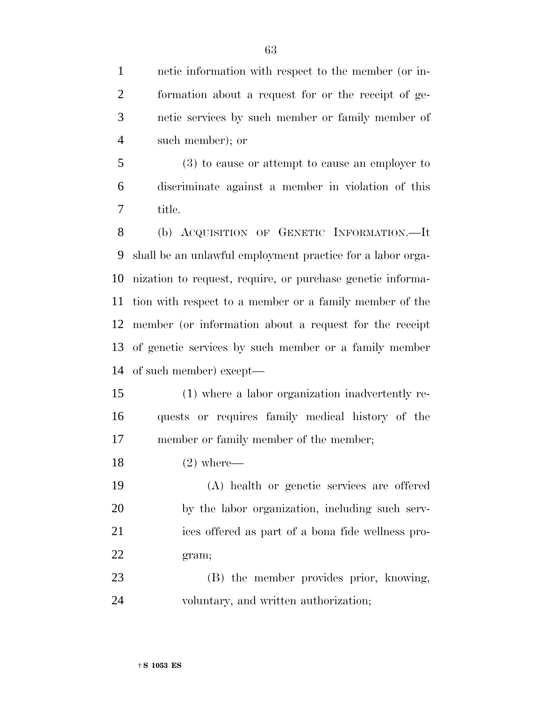netic information with respect to the member (or in- formation about a request for or the receipt of ge-netic services by such member or family member of

such member); or

 (3) to cause or attempt to cause an employer to discriminate against a member in violation of this title.

 (b) ACQUISITION OF GENETIC INFORMATION.—It shall be an unlawful employment practice for a labor orga- nization to request, require, or purchase genetic informa- tion with respect to a member or a family member of the member (or information about a request for the receipt of genetic services by such member or a family member of such member) except—

 (1) where a labor organization inadvertently re- quests or requires family medical history of the 17 member or family member of the member;

(2) where—

 (A) health or genetic services are offered by the labor organization, including such serv- ices offered as part of a bona fide wellness pro-gram;

 (B) the member provides prior, knowing, voluntary, and written authorization;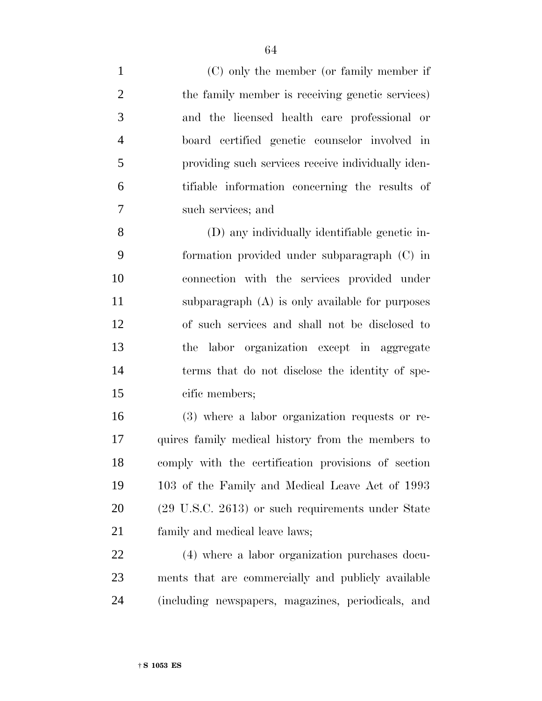(C) only the member (or family member if 2 the family member is receiving genetic services) and the licensed health care professional or board certified genetic counselor involved in providing such services receive individually iden- tifiable information concerning the results of such services; and (D) any individually identifiable genetic in- formation provided under subparagraph (C) in connection with the services provided under subparagraph (A) is only available for purposes of such services and shall not be disclosed to the labor organization except in aggregate terms that do not disclose the identity of spe- cific members; (3) where a labor organization requests or re- quires family medical history from the members to comply with the certification provisions of section

 103 of the Family and Medical Leave Act of 1993 (29 U.S.C. 2613) or such requirements under State family and medical leave laws;

 (4) where a labor organization purchases docu- ments that are commercially and publicly available (including newspapers, magazines, periodicals, and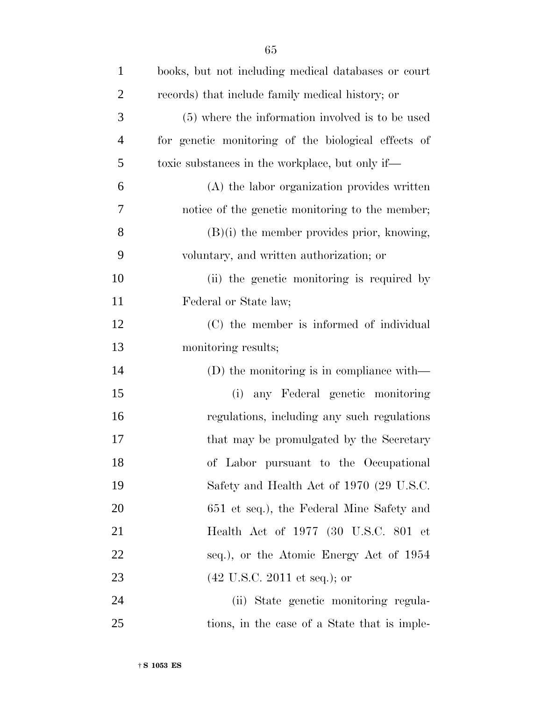| $\mathbf{1}$   | books, but not including medical databases or court |
|----------------|-----------------------------------------------------|
| $\overline{2}$ | records) that include family medical history; or    |
| 3              | (5) where the information involved is to be used    |
| $\overline{4}$ | for genetic monitoring of the biological effects of |
| 5              | toxic substances in the workplace, but only if—     |
| 6              | (A) the labor organization provides written         |
| 7              | notice of the genetic monitoring to the member;     |
| 8              | $(B)(i)$ the member provides prior, knowing,        |
| 9              | voluntary, and written authorization; or            |
| 10             | (ii) the genetic monitoring is required by          |
| 11             | Federal or State law;                               |
| 12             | (C) the member is informed of individual            |
| 13             | monitoring results;                                 |
| 14             | $(D)$ the monitoring is in compliance with—         |
| 15             | any Federal genetic monitoring<br>(i)               |
| 16             | regulations, including any such regulations         |
| 17             | that may be promulgated by the Secretary            |
| 18             | of Labor pursuant to the Occupational               |
| 19             | Safety and Health Act of 1970 (29 U.S.C.            |
| 20             | 651 et seq.), the Federal Mine Safety and           |
| 21             | Health Act of 1977 (30 U.S.C. 801 et                |
| 22             | seq.), or the Atomic Energy Act of 1954             |
| 23             | $(42 \text{ U.S.C. } 2011 \text{ et seq.});$ or     |
| 24             | (ii) State genetic monitoring regula-               |
| 25             | tions, in the case of a State that is imple-        |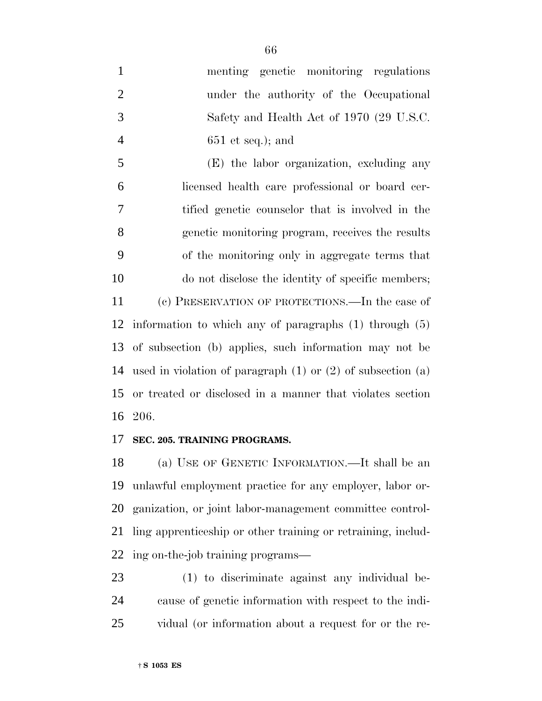menting genetic monitoring regulations under the authority of the Occupational Safety and Health Act of 1970 (29 U.S.C. 651 et seq.); and

 (E) the labor organization, excluding any licensed health care professional or board cer- tified genetic counselor that is involved in the genetic monitoring program, receives the results of the monitoring only in aggregate terms that do not disclose the identity of specific members; (c) PRESERVATION OF PROTECTIONS.—In the case of information to which any of paragraphs (1) through (5) of subsection (b) applies, such information may not be used in violation of paragraph (1) or (2) of subsection (a) or treated or disclosed in a manner that violates section

206.

## **SEC. 205. TRAINING PROGRAMS.**

 (a) USE OF GENETIC INFORMATION.—It shall be an unlawful employment practice for any employer, labor or- ganization, or joint labor-management committee control- ling apprenticeship or other training or retraining, includ-ing on-the-job training programs—

 (1) to discriminate against any individual be- cause of genetic information with respect to the indi-vidual (or information about a request for or the re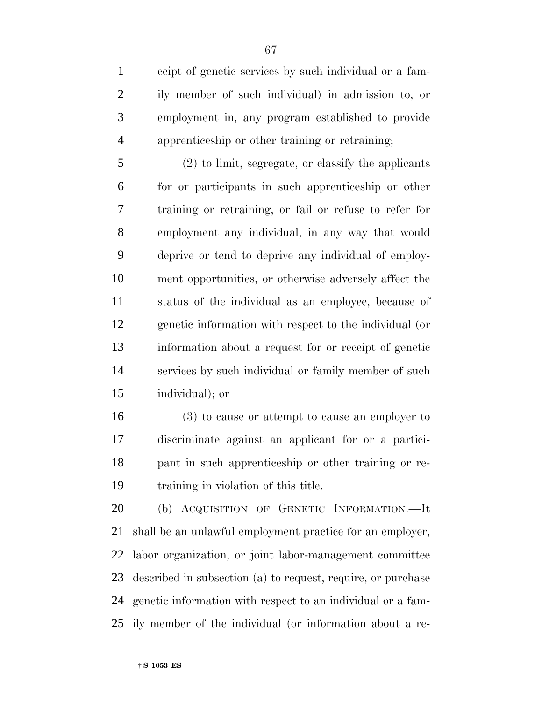ceipt of genetic services by such individual or a fam- ily member of such individual) in admission to, or employment in, any program established to provide apprenticeship or other training or retraining;

 (2) to limit, segregate, or classify the applicants for or participants in such apprenticeship or other training or retraining, or fail or refuse to refer for employment any individual, in any way that would deprive or tend to deprive any individual of employ- ment opportunities, or otherwise adversely affect the status of the individual as an employee, because of genetic information with respect to the individual (or information about a request for or receipt of genetic services by such individual or family member of such individual); or

 (3) to cause or attempt to cause an employer to discriminate against an applicant for or a partici- pant in such apprenticeship or other training or re-training in violation of this title.

 (b) ACQUISITION OF GENETIC INFORMATION.—It shall be an unlawful employment practice for an employer, labor organization, or joint labor-management committee described in subsection (a) to request, require, or purchase genetic information with respect to an individual or a fam-ily member of the individual (or information about a re-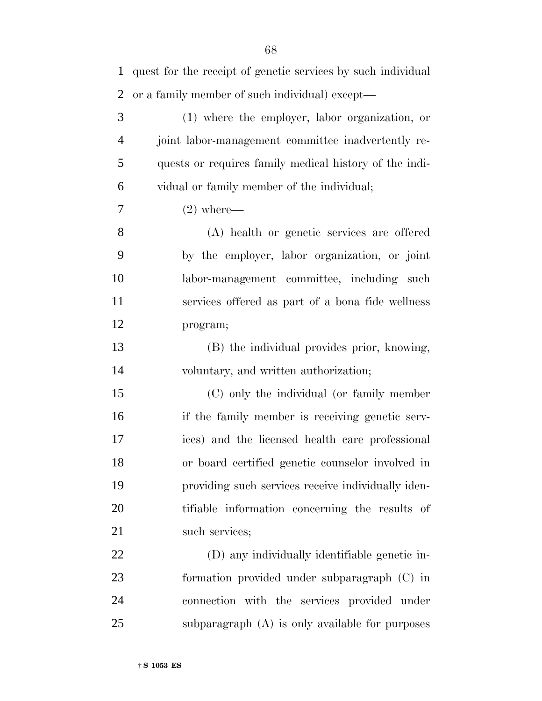| $\mathbf{1}$   | quest for the receipt of genetic services by such individual |
|----------------|--------------------------------------------------------------|
| $\overline{2}$ | or a family member of such individual) except—               |
| 3              | (1) where the employer, labor organization, or               |
| $\overline{4}$ | joint labor-management committee inadvertently re-           |
| 5              | quests or requires family medical history of the indi-       |
| 6              | vidual or family member of the individual;                   |
| 7              | $(2)$ where—                                                 |
| 8              | (A) health or genetic services are offered                   |
| 9              | by the employer, labor organization, or joint                |
| 10             | labor-management committee, including such                   |
| 11             | services offered as part of a bona fide wellness             |
| 12             | program;                                                     |
| 13             | (B) the individual provides prior, knowing,                  |
| 14             | voluntary, and written authorization;                        |
| 15             | (C) only the individual (or family member                    |
| 16             | if the family member is receiving genetic serv-              |
| 17             | ices) and the licensed health care professional              |
| 18             | or board certified genetic counselor involved in             |
| 19             | providing such services receive individually iden-           |
| 20             | tifiable information concerning the results of               |
| 21             | such services;                                               |
| 22             | (D) any individually identifiable genetic in-                |
| 23             | formation provided under subparagraph (C) in                 |
| 24             | connection with the services provided under                  |
| 25             | subparagraph (A) is only available for purposes              |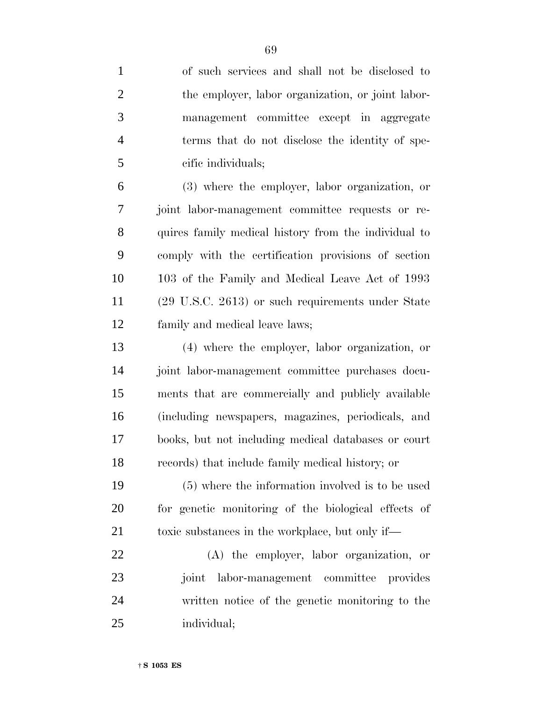| $\mathbf{1}$   | of such services and shall not be disclosed to       |
|----------------|------------------------------------------------------|
| $\overline{2}$ | the employer, labor organization, or joint labor-    |
| 3              | management committee except in aggregate             |
| $\overline{4}$ | terms that do not disclose the identity of spe-      |
| 5              | cific individuals;                                   |
| 6              | (3) where the employer, labor organization, or       |
| 7              | joint labor-management committee requests or re-     |
| 8              | quires family medical history from the individual to |
| 9              | comply with the certification provisions of section  |
| 10             | 103 of the Family and Medical Leave Act of 1993      |
| 11             | (29 U.S.C. 2613) or such requirements under State    |
| 12             | family and medical leave laws;                       |
| 13             | (4) where the employer, labor organization, or       |
| 14             | joint labor-management committee purchases docu-     |
| 15             | ments that are commercially and publicly available   |
| 16             | (including newspapers, magazines, periodicals, and   |
| 17             | books, but not including medical databases or court  |
| 18             | records) that include family medical history; or     |
| 19             | (5) where the information involved is to be used     |
| 20             | for genetic monitoring of the biological effects of  |
| 21             | toxic substances in the workplace, but only if—      |
| 22             | (A) the employer, labor organization, or             |
| 23             | joint labor-management committee provides            |
| 24             | written notice of the genetic monitoring to the      |
| 25             | individual;                                          |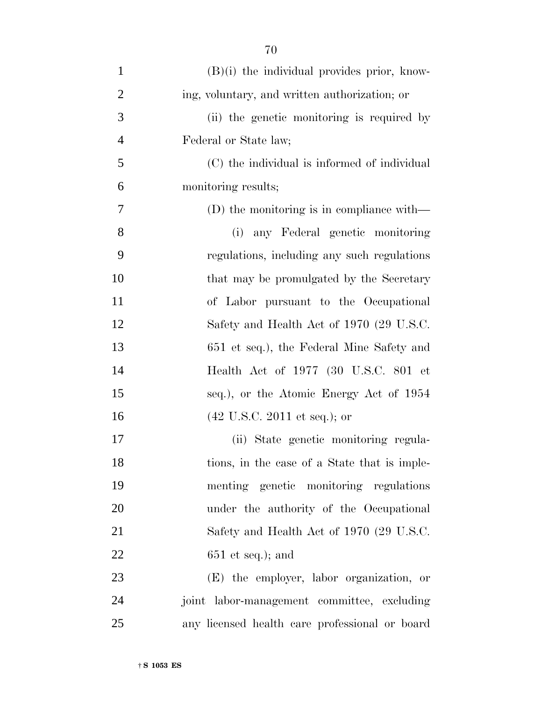| $\mathbf{1}$   | $(B)(i)$ the individual provides prior, know-   |
|----------------|-------------------------------------------------|
| $\overline{2}$ | ing, voluntary, and written authorization; or   |
| 3              | (ii) the genetic monitoring is required by      |
| $\overline{4}$ | Federal or State law;                           |
| 5              | (C) the individual is informed of individual    |
| 6              | monitoring results;                             |
| 7              | (D) the monitoring is in compliance with—       |
| 8              | (i) any Federal genetic monitoring              |
| 9              | regulations, including any such regulations     |
| 10             | that may be promulgated by the Secretary        |
| 11             | of Labor pursuant to the Occupational           |
| 12             | Safety and Health Act of 1970 (29 U.S.C.        |
| 13             | 651 et seq.), the Federal Mine Safety and       |
| 14             | Health Act of 1977 (30 U.S.C. 801 et            |
| 15             | seq.), or the Atomic Energy Act of 1954         |
| 16             | $(42 \text{ U.S.C. } 2011 \text{ et seq.});$ or |
| 17             | (ii) State genetic monitoring regula-           |
| 18             | tions, in the case of a State that is imple-    |
| 19             | menting genetic monitoring regulations          |
| 20             | under the authority of the Occupational         |
| 21             | Safety and Health Act of 1970 (29 U.S.C.        |
| 22             | $651$ et seq.); and                             |
| 23             | (E) the employer, labor organization, or        |
| 24             | joint labor-management committee, excluding     |
| 25             | any licensed health care professional or board  |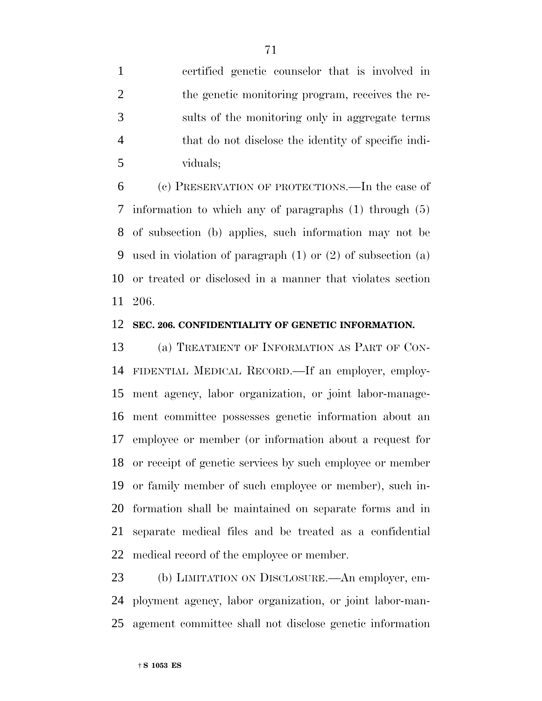certified genetic counselor that is involved in the genetic monitoring program, receives the re- sults of the monitoring only in aggregate terms that do not disclose the identity of specific indi-viduals;

 (c) PRESERVATION OF PROTECTIONS.—In the case of information to which any of paragraphs (1) through (5) of subsection (b) applies, such information may not be used in violation of paragraph (1) or (2) of subsection (a) or treated or disclosed in a manner that violates section 206.

#### **SEC. 206. CONFIDENTIALITY OF GENETIC INFORMATION.**

 (a) TREATMENT OF INFORMATION AS PART OF CON- FIDENTIAL MEDICAL RECORD.—If an employer, employ- ment agency, labor organization, or joint labor-manage- ment committee possesses genetic information about an employee or member (or information about a request for or receipt of genetic services by such employee or member or family member of such employee or member), such in- formation shall be maintained on separate forms and in separate medical files and be treated as a confidential medical record of the employee or member.

 (b) LIMITATION ON DISCLOSURE.—An employer, em- ployment agency, labor organization, or joint labor-man-agement committee shall not disclose genetic information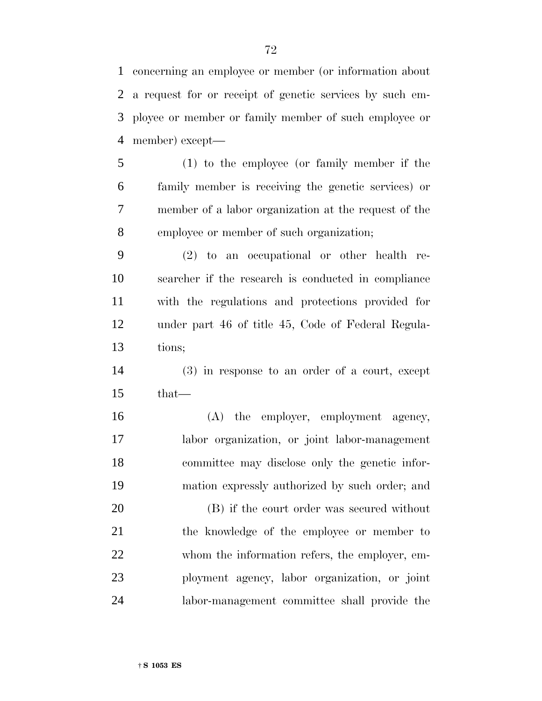concerning an employee or member (or information about a request for or receipt of genetic services by such em- ployee or member or family member of such employee or member) except—

 (1) to the employee (or family member if the family member is receiving the genetic services) or member of a labor organization at the request of the employee or member of such organization;

 (2) to an occupational or other health re- searcher if the research is conducted in compliance with the regulations and protections provided for under part 46 of title 45, Code of Federal Regula-tions;

 (3) in response to an order of a court, except that—

16 (A) the employer, employment agency, labor organization, or joint labor-management committee may disclose only the genetic infor-mation expressly authorized by such order; and

 (B) if the court order was secured without the knowledge of the employee or member to whom the information refers, the employer, em- ployment agency, labor organization, or joint labor-management committee shall provide the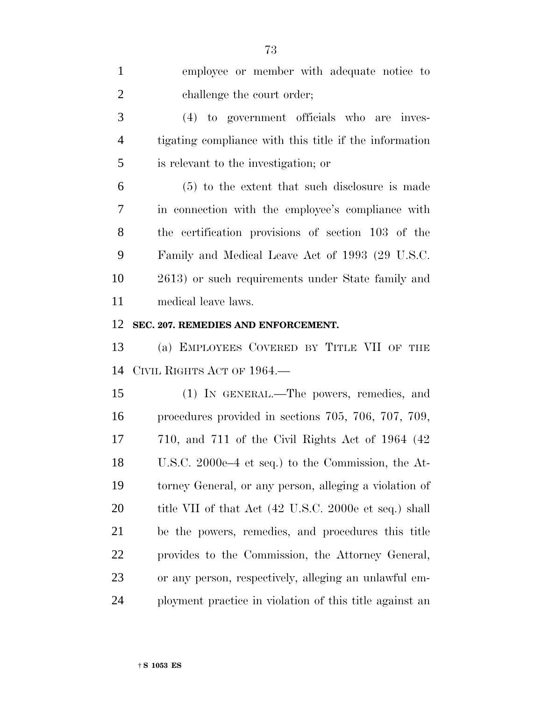| $\mathbf{1}$   | employee or member with adequate notice to                 |
|----------------|------------------------------------------------------------|
| $\overline{2}$ | challenge the court order;                                 |
| 3              | (4) to government officials who are inves-                 |
| 4              | tigating compliance with this title if the information     |
| 5              | is relevant to the investigation; or                       |
| 6              | $(5)$ to the extent that such disclosure is made           |
| 7              | in connection with the employee's compliance with          |
| 8              | the certification provisions of section 103 of the         |
| 9              | Family and Medical Leave Act of 1993 (29 U.S.C.            |
| 10             | 2613) or such requirements under State family and          |
| 11             | medical leave laws.                                        |
| 12             | SEC. 207. REMEDIES AND ENFORCEMENT.                        |
| 13             | (a) EMPLOYEES COVERED BY TITLE VII OF THE                  |
| 14             | CIVIL RIGHTS ACT OF 1964.                                  |
| 15             | (1) IN GENERAL.—The powers, remedies, and                  |
| 16             | procedures provided in sections 705, 706, 707, 709,        |
| 17             | $710$ , and $711$ of the Civil Rights Act of $1964$ $(42)$ |
| 18             | U.S.C. 2000e-4 et seq.) to the Commission, the At-         |
| 19             | torney General, or any person, alleging a violation of     |
| 20             | title VII of that Act (42 U.S.C. 2000e et seq.) shall      |
| 21             | be the powers, remedies, and procedures this title         |
| 22             | provides to the Commission, the Attorney General,          |
| 23             | or any person, respectively, alleging an unlawful em-      |
| 24             | ployment practice in violation of this title against an    |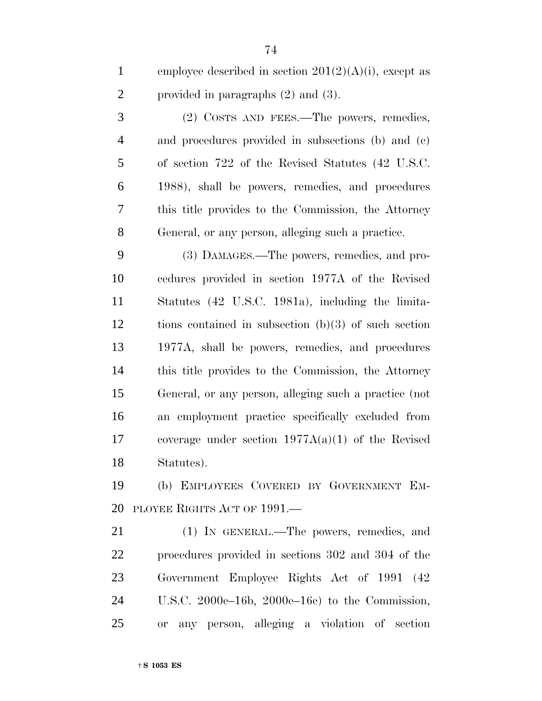|   | employee described in section $201(2)(A)(i)$ , except as |
|---|----------------------------------------------------------|
| 2 | provided in paragraphs $(2)$ and $(3)$ .                 |

 (2) COSTS AND FEES.—The powers, remedies, and procedures provided in subsections (b) and (c) of section 722 of the Revised Statutes (42 U.S.C. 1988), shall be powers, remedies, and procedures this title provides to the Commission, the Attorney General, or any person, alleging such a practice.

 (3) DAMAGES.—The powers, remedies, and pro- cedures provided in section 1977A of the Revised Statutes (42 U.S.C. 1981a), including the limita- tions contained in subsection (b)(3) of such section 1977A, shall be powers, remedies, and procedures this title provides to the Commission, the Attorney General, or any person, alleging such a practice (not an employment practice specifically excluded from coverage under section 1977A(a)(1) of the Revised Statutes).

 (b) EMPLOYEES COVERED BY GOVERNMENT EM-PLOYEE RIGHTS ACT OF 1991.—

 (1) IN GENERAL.—The powers, remedies, and procedures provided in sections 302 and 304 of the Government Employee Rights Act of 1991 (42 U.S.C. 2000e–16b, 2000e–16c) to the Commission, or any person, alleging a violation of section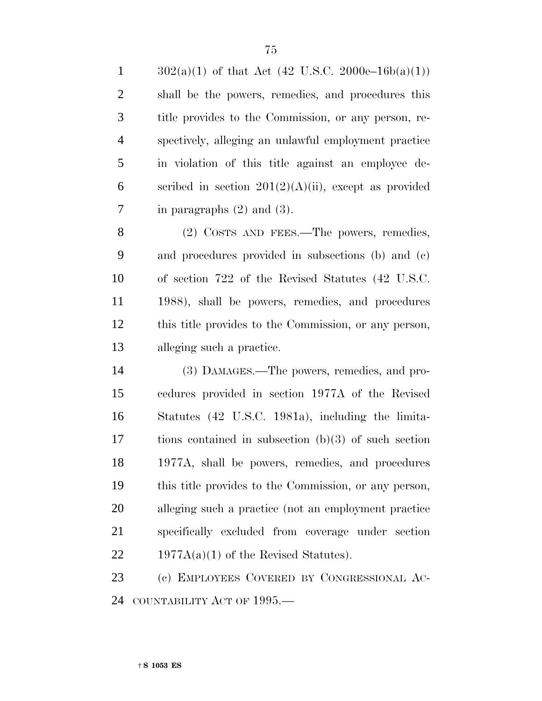$302(a)(1)$  of that Act (42 U.S.C. 2000e–16b(a)(1)) shall be the powers, remedies, and procedures this title provides to the Commission, or any person, re- spectively, alleging an unlawful employment practice in violation of this title against an employee de-6 scribed in section  $201(2)(A)(ii)$ , except as provided 7 in paragraphs  $(2)$  and  $(3)$ .

8 (2) COSTS AND FEES.—The powers, remedies, and procedures provided in subsections (b) and (c) of section 722 of the Revised Statutes (42 U.S.C. 1988), shall be powers, remedies, and procedures this title provides to the Commission, or any person, alleging such a practice.

 (3) DAMAGES.—The powers, remedies, and pro- cedures provided in section 1977A of the Revised Statutes (42 U.S.C. 1981a), including the limita- tions contained in subsection (b)(3) of such section 1977A, shall be powers, remedies, and procedures this title provides to the Commission, or any person, alleging such a practice (not an employment practice specifically excluded from coverage under section 22 1977A(a)(1) of the Revised Statutes).

 (c) EMPLOYEES COVERED BY CONGRESSIONAL AC-24 COUNTABILITY ACT OF 1995.—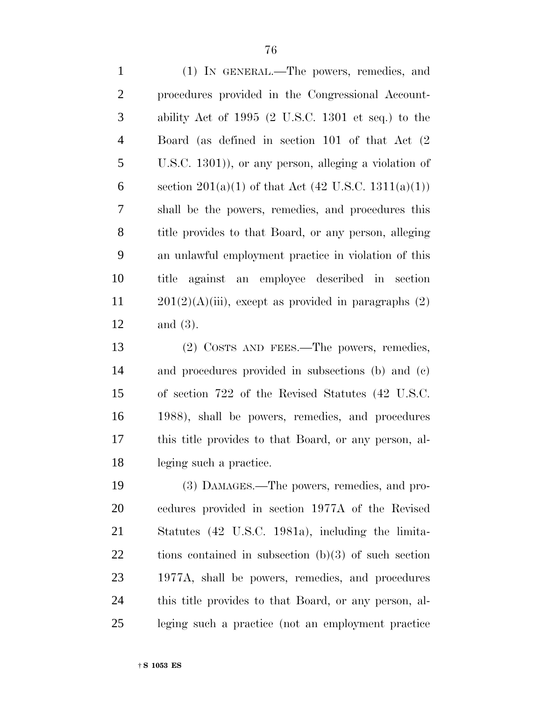(1) IN GENERAL.—The powers, remedies, and procedures provided in the Congressional Account- ability Act of 1995 (2 U.S.C. 1301 et seq.) to the Board (as defined in section 101 of that Act (2 U.S.C. 1301)), or any person, alleging a violation of 6 section  $201(a)(1)$  of that Act  $(42 \text{ U.S.C. } 1311(a)(1))$  shall be the powers, remedies, and procedures this title provides to that Board, or any person, alleging an unlawful employment practice in violation of this title against an employee described in section  $201(2)(A)(iii)$ , except as provided in paragraphs  $(2)$ and (3).

 (2) COSTS AND FEES.—The powers, remedies, and procedures provided in subsections (b) and (c) of section 722 of the Revised Statutes (42 U.S.C. 1988), shall be powers, remedies, and procedures this title provides to that Board, or any person, al-leging such a practice.

 (3) DAMAGES.—The powers, remedies, and pro- cedures provided in section 1977A of the Revised Statutes (42 U.S.C. 1981a), including the limita- tions contained in subsection (b)(3) of such section 1977A, shall be powers, remedies, and procedures this title provides to that Board, or any person, al-leging such a practice (not an employment practice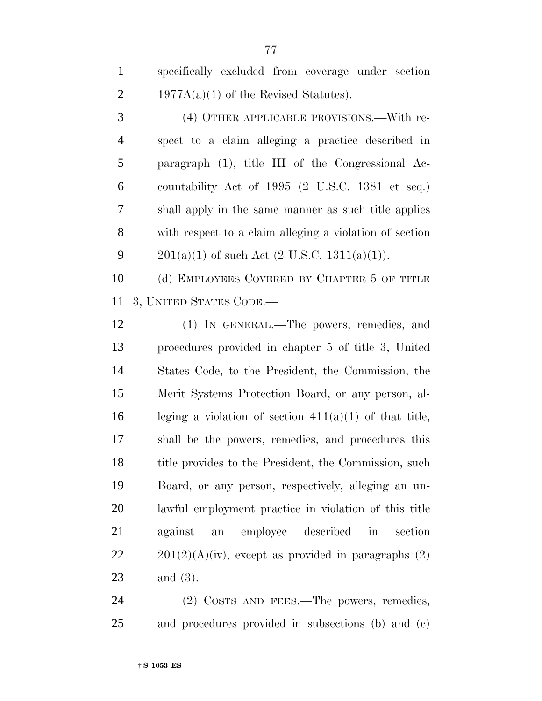specifically excluded from coverage under section 2 1977A(a)(1) of the Revised Statutes).

 (4) OTHER APPLICABLE PROVISIONS.—With re- spect to a claim alleging a practice described in paragraph (1), title III of the Congressional Ac- countability Act of 1995 (2 U.S.C. 1381 et seq.) shall apply in the same manner as such title applies with respect to a claim alleging a violation of section 9 201(a)(1) of such Act  $(2 \text{ U.S.C. } 1311(a)(1))$ .

 (d) EMPLOYEES COVERED BY CHAPTER 5 OF TITLE 3, UNITED STATES CODE.—

 (1) IN GENERAL.—The powers, remedies, and procedures provided in chapter 5 of title 3, United States Code, to the President, the Commission, the Merit Systems Protection Board, or any person, al-16 leging a violation of section  $411(a)(1)$  of that title, shall be the powers, remedies, and procedures this 18 title provides to the President, the Commission, such Board, or any person, respectively, alleging an un- lawful employment practice in violation of this title against an employee described in section  $201(2)(A)(iv)$ , except as provided in paragraphs (2) and (3).

24 (2) COSTS AND FEES.—The powers, remedies, and procedures provided in subsections (b) and (c)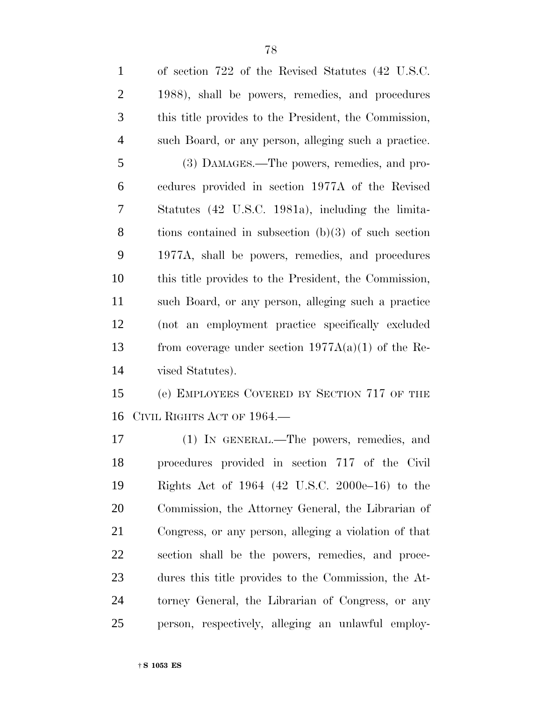| $\mathbf{1}$   | of section 722 of the Revised Statutes (42 U.S.C.      |
|----------------|--------------------------------------------------------|
| $\overline{2}$ | 1988), shall be powers, remedies, and procedures       |
| 3              | this title provides to the President, the Commission,  |
| $\overline{4}$ | such Board, or any person, alleging such a practice.   |
| 5              | (3) DAMAGES.—The powers, remedies, and pro-            |
| 6              | cedures provided in section 1977A of the Revised       |
| 7              | Statutes (42 U.S.C. 1981a), including the limita-      |
| 8              | tions contained in subsection $(b)(3)$ of such section |
| 9              | 1977A, shall be powers, remedies, and procedures       |
| 10             | this title provides to the President, the Commission,  |
| 11             | such Board, or any person, alleging such a practice    |
| 12             | (not an employment practice specifically excluded      |
| 13             | from coverage under section $1977A(a)(1)$ of the Re-   |
| 14             | vised Statutes).                                       |
| 15             | (e) EMPLOYEES COVERED BY SECTION 717 OF THE            |
| 16             | CIVIL RIGHTS ACT OF 1964.                              |
| 17             | (1) IN GENERAL.—The powers, remedies, and              |
| 18             | procedures provided in section 717 of the Civil        |
| 19             | Rights Act of 1964 (42 U.S.C. 2000e–16) to the         |
| 20             | Commission, the Attorney General, the Librarian of     |
|                |                                                        |

 procedures provided in section 717 of the Civil Rights Act of 1964 (42 U.S.C. 2000e–16) to the Commission, the Attorney General, the Librarian of Congress, or any person, alleging a violation of that section shall be the powers, remedies, and proce- dures this title provides to the Commission, the At- torney General, the Librarian of Congress, or any person, respectively, alleging an unlawful employ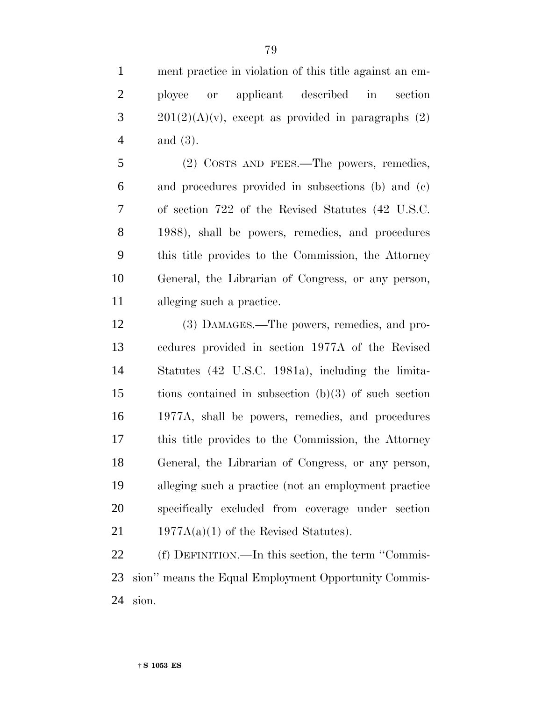ployee or applicant described in section  $3 \qquad 201(2)(A)(v)$ , except as provided in paragraphs (2) and (3).

 (2) COSTS AND FEES.—The powers, remedies, and procedures provided in subsections (b) and (c) of section 722 of the Revised Statutes (42 U.S.C. 1988), shall be powers, remedies, and procedures this title provides to the Commission, the Attorney General, the Librarian of Congress, or any person, alleging such a practice.

 (3) DAMAGES.—The powers, remedies, and pro- cedures provided in section 1977A of the Revised Statutes (42 U.S.C. 1981a), including the limita- tions contained in subsection (b)(3) of such section 1977A, shall be powers, remedies, and procedures this title provides to the Commission, the Attorney General, the Librarian of Congress, or any person, alleging such a practice (not an employment practice specifically excluded from coverage under section 21 1977 $A(a)(1)$  of the Revised Statutes).

 (f) DEFINITION.—In this section, the term ''Commis- sion'' means the Equal Employment Opportunity Commis-sion.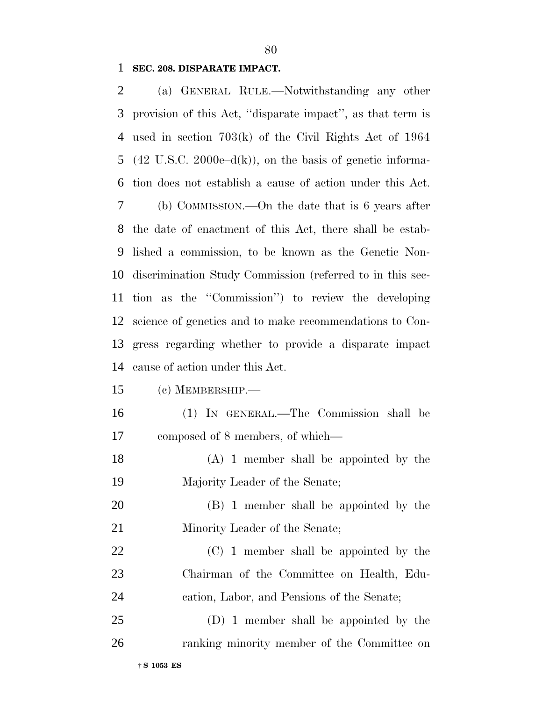## **SEC. 208. DISPARATE IMPACT.**

| 2  | (a) GENERAL RULE.—Notwithstanding any other                          |
|----|----------------------------------------------------------------------|
| 3  | provision of this Act, "disparate impact", as that term is           |
| 4  | used in section $703(k)$ of the Civil Rights Act of 1964             |
| 5  | $(42 \text{ U.S.C. } 2000e-d(k))$ , on the basis of genetic informa- |
| 6  | tion does not establish a cause of action under this Act.            |
| 7  | (b) COMMISSION.—On the date that is $6$ years after                  |
| 8  | the date of enactment of this Act, there shall be estab-             |
| 9  | lished a commission, to be known as the Genetic Non-                 |
| 10 | discrimination Study Commission (referred to in this sec-            |
| 11 | tion as the "Commission") to review the developing                   |
| 12 | science of genetics and to make recommendations to Con-              |
| 13 | gress regarding whether to provide a disparate impact                |
| 14 | cause of action under this Act.                                      |
| 15 | $(c)$ MEMBERSHIP.—                                                   |
| 16 | (1) IN GENERAL.—The Commission shall be                              |
| 17 | composed of 8 members, of which—                                     |
| 18 | $(A)$ 1 member shall be appointed by the                             |
| 19 | Majority Leader of the Senate;                                       |
| 20 | (B) 1 member shall be appointed by the                               |
| 21 | Minority Leader of the Senate;                                       |
| 22 | (C) 1 member shall be appointed by the                               |
| 23 | Chairman of the Committee on Health, Edu-                            |
| 24 | cation, Labor, and Pensions of the Senate;                           |
| 25 | (D) 1 member shall be appointed by the                               |
| 26 | ranking minority member of the Committee on                          |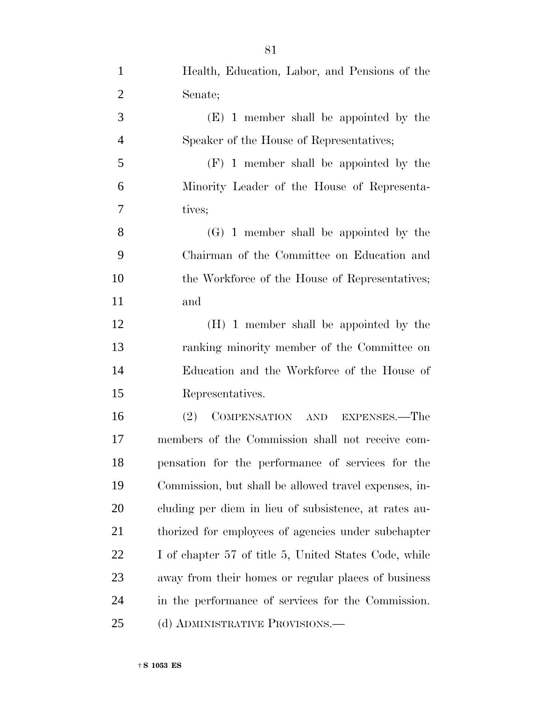| $\mathbf{1}$   | Health, Education, Labor, and Pensions of the         |
|----------------|-------------------------------------------------------|
| $\overline{2}$ | Senate;                                               |
| 3              | (E) 1 member shall be appointed by the                |
| $\overline{4}$ | Speaker of the House of Representatives;              |
| 5              | $(F)$ 1 member shall be appointed by the              |
| 6              | Minority Leader of the House of Representa-           |
| 7              | tives;                                                |
| 8              | $(G)$ 1 member shall be appointed by the              |
| 9              | Chairman of the Committee on Education and            |
| 10             | the Workforce of the House of Representatives;        |
| 11             | and                                                   |
| 12             | (H) 1 member shall be appointed by the                |
| 13             | ranking minority member of the Committee on           |
| 14             | Education and the Workforce of the House of           |
| 15             | Representatives.                                      |
| 16             | COMPENSATION AND EXPENSES.—The<br>(2)                 |
| 17             | members of the Commission shall not receive com-      |
| 18             | pensation for the performance of services for the     |
| 19             | Commission, but shall be allowed travel expenses, in- |
| 20             | cluding per diem in lieu of subsistence, at rates au- |
| 21             | thorized for employees of agencies under subchapter   |
| 22             | I of chapter 57 of title 5, United States Code, while |
| 23             | away from their homes or regular places of business   |
| 24             | in the performance of services for the Commission.    |
| 25             | (d) ADMINISTRATIVE PROVISIONS.—                       |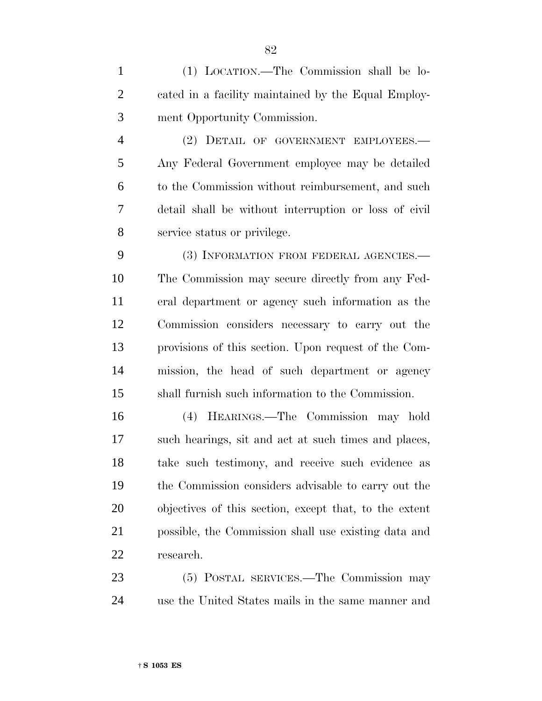(1) LOCATION.—The Commission shall be lo- cated in a facility maintained by the Equal Employ-ment Opportunity Commission.

 (2) DETAIL OF GOVERNMENT EMPLOYEES.— Any Federal Government employee may be detailed to the Commission without reimbursement, and such detail shall be without interruption or loss of civil service status or privilege.

 (3) INFORMATION FROM FEDERAL AGENCIES.— The Commission may secure directly from any Fed- eral department or agency such information as the Commission considers necessary to carry out the provisions of this section. Upon request of the Com- mission, the head of such department or agency shall furnish such information to the Commission.

 (4) HEARINGS.—The Commission may hold such hearings, sit and act at such times and places, take such testimony, and receive such evidence as the Commission considers advisable to carry out the objectives of this section, except that, to the extent possible, the Commission shall use existing data and research.

 (5) POSTAL SERVICES.—The Commission may use the United States mails in the same manner and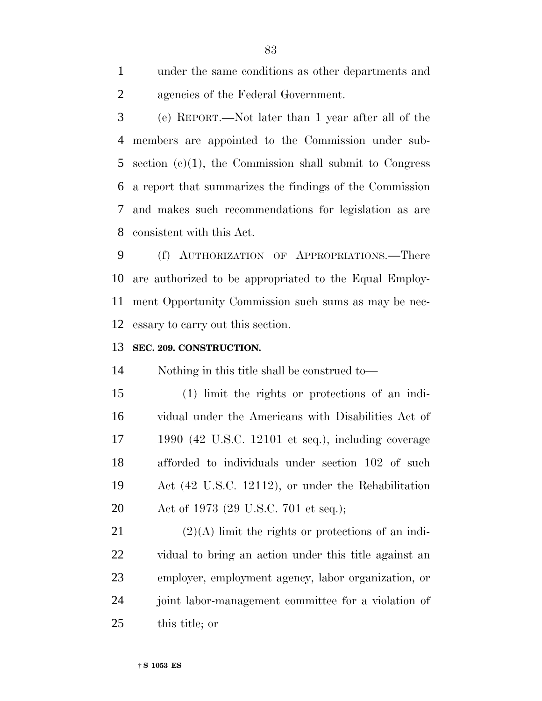under the same conditions as other departments and agencies of the Federal Government.

 (e) REPORT.—Not later than 1 year after all of the members are appointed to the Commission under sub- section (c)(1), the Commission shall submit to Congress a report that summarizes the findings of the Commission and makes such recommendations for legislation as are consistent with this Act.

 (f) AUTHORIZATION OF APPROPRIATIONS.—There are authorized to be appropriated to the Equal Employ- ment Opportunity Commission such sums as may be nec-essary to carry out this section.

### **SEC. 209. CONSTRUCTION.**

Nothing in this title shall be construed to—

 (1) limit the rights or protections of an indi- vidual under the Americans with Disabilities Act of 1990 (42 U.S.C. 12101 et seq.), including coverage afforded to individuals under section 102 of such Act (42 U.S.C. 12112), or under the Rehabilitation Act of 1973 (29 U.S.C. 701 et seq.);

21 (2)(A) limit the rights or protections of an indi- vidual to bring an action under this title against an employer, employment agency, labor organization, or joint labor-management committee for a violation of this title; or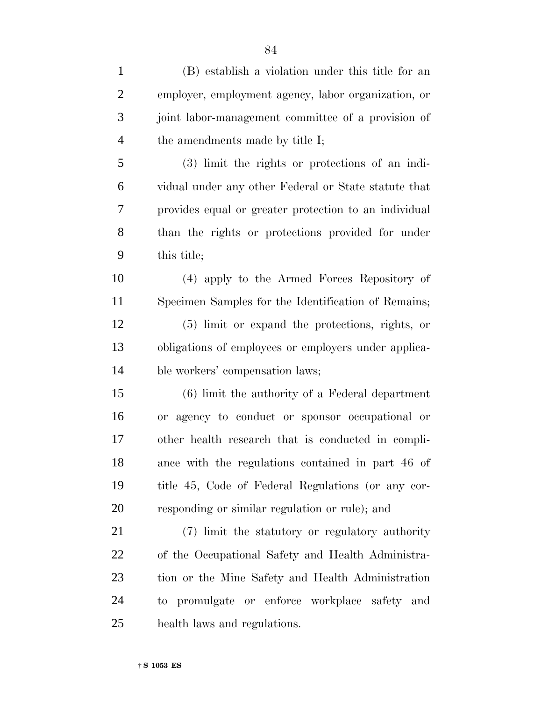| $\mathbf{1}$   | (B) establish a violation under this title for an     |
|----------------|-------------------------------------------------------|
| $\overline{2}$ | employer, employment agency, labor organization, or   |
| 3              | joint labor-management committee of a provision of    |
| $\overline{4}$ | the amendments made by title I;                       |
| 5              | (3) limit the rights or protections of an indi-       |
| 6              | vidual under any other Federal or State statute that  |
| $\overline{7}$ | provides equal or greater protection to an individual |
| 8              | than the rights or protections provided for under     |
| 9              | this title;                                           |
| 10             | (4) apply to the Armed Forces Repository of           |
| 11             | Specimen Samples for the Identification of Remains;   |
| 12             | (5) limit or expand the protections, rights, or       |
| 13             | obligations of employees or employers under applica-  |
| 14             | ble workers' compensation laws;                       |
| 15             | $(6)$ limit the authority of a Federal department     |
| 16             | or agency to conduct or sponsor occupational or       |
| 17             | other health research that is conducted in compli-    |
| 18             | ance with the regulations contained in part 46 of     |
| 19             | title 45, Code of Federal Regulations (or any cor-    |
| 20             | responding or similar regulation or rule); and        |
| 21             | (7) limit the statutory or regulatory authority       |
| 22             | of the Occupational Safety and Health Administra-     |
| 23             | tion or the Mine Safety and Health Administration     |
| 24             | to promulgate or enforce workplace safety and         |
| 25             | health laws and regulations.                          |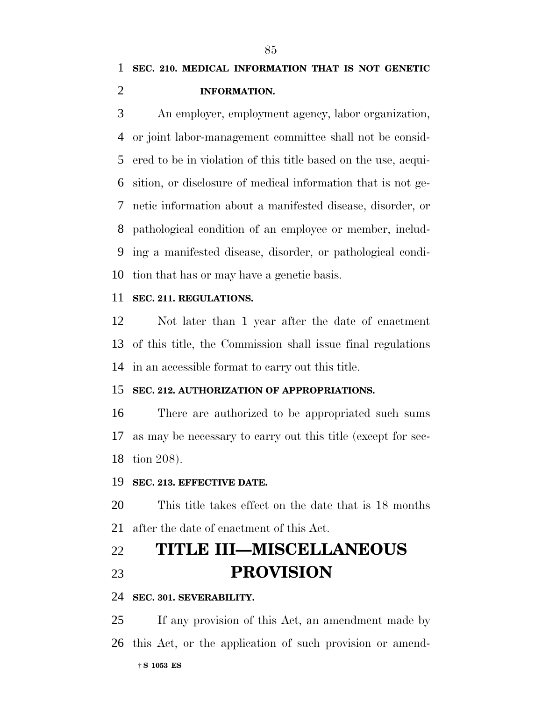# **SEC. 210. MEDICAL INFORMATION THAT IS NOT GENETIC INFORMATION.**

 An employer, employment agency, labor organization, or joint labor-management committee shall not be consid- ered to be in violation of this title based on the use, acqui- sition, or disclosure of medical information that is not ge- netic information about a manifested disease, disorder, or pathological condition of an employee or member, includ- ing a manifested disease, disorder, or pathological condi-tion that has or may have a genetic basis.

#### **SEC. 211. REGULATIONS.**

 Not later than 1 year after the date of enactment of this title, the Commission shall issue final regulations in an accessible format to carry out this title.

#### **SEC. 212. AUTHORIZATION OF APPROPRIATIONS.**

 There are authorized to be appropriated such sums as may be necessary to carry out this title (except for sec-tion 208).

### **SEC. 213. EFFECTIVE DATE.**

 This title takes effect on the date that is 18 months after the date of enactment of this Act.

# **TITLE III—MISCELLANEOUS PROVISION**

#### **SEC. 301. SEVERABILITY.**

† **S 1053 ES** If any provision of this Act, an amendment made by this Act, or the application of such provision or amend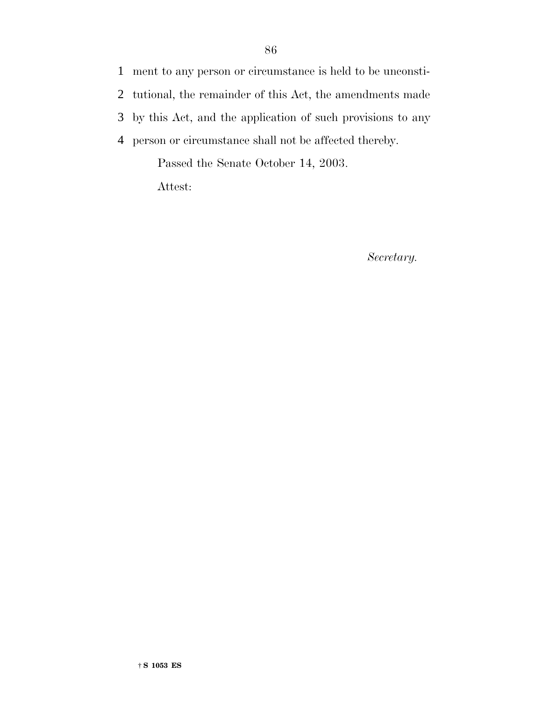1 ment to any person or circumstance is held to be unconsti-

2 tutional, the remainder of this Act, the amendments made

3 by this Act, and the application of such provisions to any

4 person or circumstance shall not be affected thereby.

Passed the Senate October 14, 2003.

Attest:

*Secretary.*